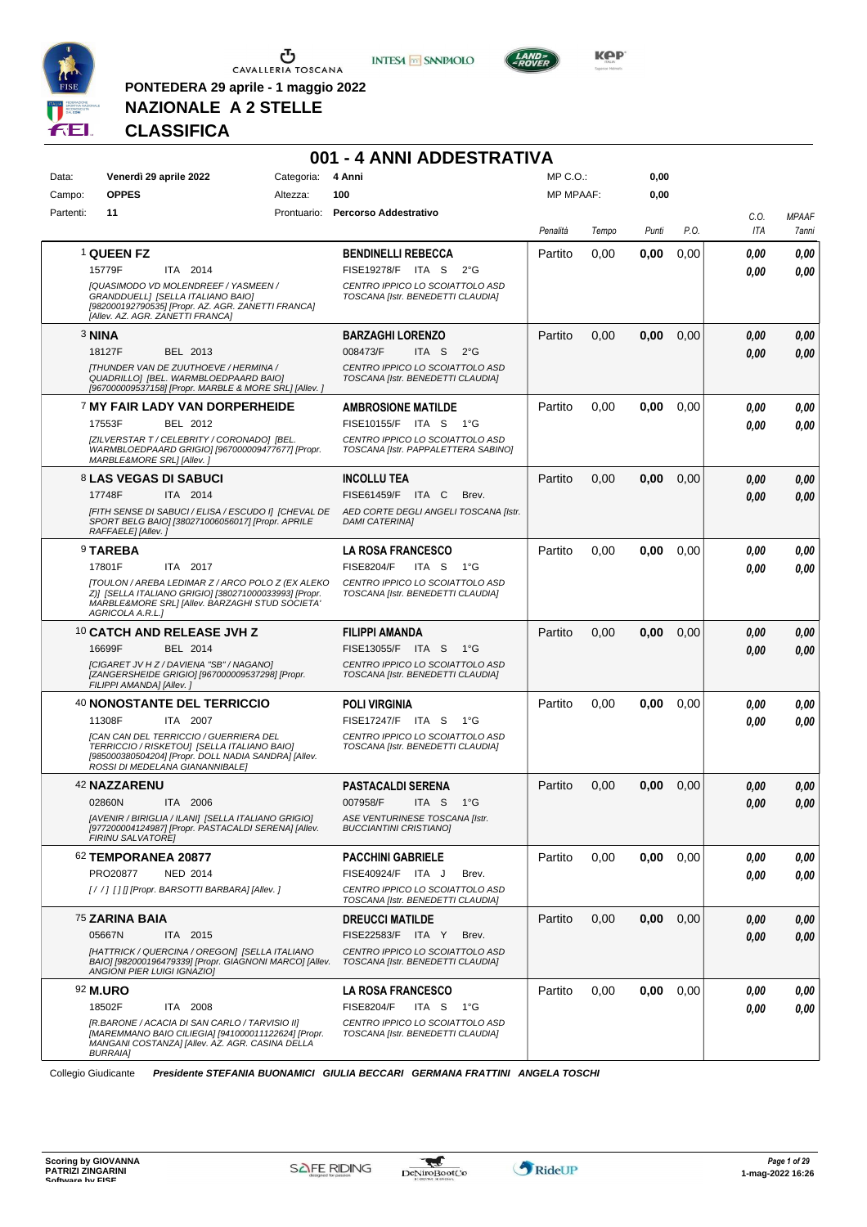

**PONTEDERA 29 aprile - 1 maggio 2022**



**NAZIONALE A 2 STELLE CLASSIFICA**

|           |                                                                                                                                                                                         |            | 001 - 4 ANNI ADDESTRATIVA                                                                          |                  |       |       |      |      |              |
|-----------|-----------------------------------------------------------------------------------------------------------------------------------------------------------------------------------------|------------|----------------------------------------------------------------------------------------------------|------------------|-------|-------|------|------|--------------|
| Data:     | Venerdì 29 aprile 2022                                                                                                                                                                  | Categoria: | 4 Anni                                                                                             | MP C.O.:         |       | 0,00  |      |      |              |
| Campo:    | <b>OPPES</b>                                                                                                                                                                            | Altezza:   | 100                                                                                                | <b>MP MPAAF:</b> |       | 0,00  |      |      |              |
| Partenti: | 11                                                                                                                                                                                      |            | Prontuario: Percorso Addestrativo                                                                  |                  |       |       |      | C.O. | <b>MPAAF</b> |
|           |                                                                                                                                                                                         |            |                                                                                                    | Penalità         | Tempo | Punti | P.O. | ITA  | 7anni        |
|           | <b>1 QUEEN FZ</b>                                                                                                                                                                       |            | <b>BENDINELLI REBECCA</b>                                                                          | Partito          | 0,00  | 0.00  | 0,00 | 0.00 | 0.00         |
|           | 15779F<br>ITA 2014                                                                                                                                                                      |            | FISE19278/F ITA S 2°G                                                                              |                  |       |       |      | 0.00 | 0.00         |
|           | [QUASIMODO VD MOLENDREEF / YASMEEN /<br>GRANDDUELL] [SELLA ITALIANO BAIO]<br>[982000192790535] [Propr. AZ. AGR. ZANETTI FRANCA]<br>[Allev. AZ. AGR. ZANETTI FRANCA]                     |            | CENTRO IPPICO LO SCOIATTOLO ASD<br>TOSCANA [Istr. BENEDETTI CLAUDIA]                               |                  |       |       |      |      |              |
|           | 3 NINA                                                                                                                                                                                  |            | <b>BARZAGHI LORENZO</b>                                                                            | Partito          | 0,00  | 0,00  | 0,00 | 0.00 | 0,00         |
|           | 18127F<br>BEL 2013                                                                                                                                                                      |            | 008473/F<br>ITA S<br>$2^{\circ}G$                                                                  |                  |       |       |      | 0,00 | 0,00         |
|           | [THUNDER VAN DE ZUUTHOEVE / HERMINA /<br>QUADRILLO] [BEL. WARMBLOEDPAARD BAIO]<br>[967000009537158] [Propr. MARBLE & MORE SRL] [Allev. ]                                                |            | CENTRO IPPICO LO SCOIATTOLO ASD<br>TOSCANA [Istr. BENEDETTI CLAUDIA]                               |                  |       |       |      |      |              |
|           | 7 MY FAIR LADY VAN DORPERHEIDE                                                                                                                                                          |            | <b>AMBROSIONE MATILDE</b>                                                                          | Partito          | 0,00  | 0,00  | 0.00 | 0.00 | 0,00         |
|           | BEL 2012<br>17553F                                                                                                                                                                      |            | FISE10155/F ITA S 1°G                                                                              |                  |       |       |      | 0.00 | 0.00         |
|           | [ZILVERSTAR T / CELEBRITY / CORONADO] [BEL.<br>WARMBLOEDPAARD GRIGIO] [967000009477677] [Propr.<br>MARBLE&MORE SRL1 [Allev.]                                                            |            | CENTRO IPPICO LO SCOIATTOLO ASD<br>TOSCANA [Istr. PAPPALETTERA SABINO]                             |                  |       |       |      |      |              |
|           | <b>8 LAS VEGAS DI SABUCI</b>                                                                                                                                                            |            | <b>INCOLLU TEA</b>                                                                                 | Partito          | 0,00  | 0,00  | 0,00 | 0,00 | 0,00         |
|           | 17748F<br>ITA 2014                                                                                                                                                                      |            | FISE61459/F ITA C<br>Brev.                                                                         |                  |       |       |      | 0,00 | 0.00         |
|           | [FITH SENSE DI SABUCI / ELISA / ESCUDO I] [CHEVAL DE<br>SPORT BELG BAIO] [380271006056017] [Propr. APRILE<br>RAFFAELE] [Allev.]                                                         |            | AED CORTE DEGLI ANGELI TOSCANA Ilstr.<br><b>DAMI CATERINA]</b>                                     |                  |       |       |      |      |              |
|           | 9 TAREBA                                                                                                                                                                                |            | <b>LA ROSA FRANCESCO</b>                                                                           | Partito          | 0,00  | 0,00  | 0,00 | 0.00 | 0,00         |
|           | 17801F<br>ITA 2017                                                                                                                                                                      |            | <b>FISE8204/F</b><br>ITA S<br>1°G                                                                  |                  |       |       |      | 0.00 | 0.00         |
|           | [TOULON / AREBA LEDIMAR Z / ARCO POLO Z (EX ALEKO<br>Z)] [SELLA ITALIANO GRIGIO] [380271000033993] [Propr.<br>MARBLE&MORE SRL] [Allev. BARZAGHI STUD SOCIETA'<br>AGRICOLA A.R.L.]       |            | CENTRO IPPICO LO SCOIATTOLO ASD<br>TOSCANA [Istr. BENEDETTI CLAUDIA]                               |                  |       |       |      |      |              |
|           | 10 CATCH AND RELEASE JVH Z                                                                                                                                                              |            | <b>FILIPPI AMANDA</b>                                                                              | Partito          | 0,00  | 0,00  | 0,00 | 0.00 | 0,00         |
|           | 16699F<br>BEL 2014                                                                                                                                                                      |            | FISE13055/F ITA S<br>$1^{\circ}G$                                                                  |                  |       |       |      | 0.00 | 0.00         |
|           | [CIGARET JV H Z / DAVIENA "SB" / NAGANO]<br>[ZANGERSHEIDE GRIGIO] [967000009537298] [Propr.<br>FILIPPI AMANDA] [Allev.]                                                                 |            | CENTRO IPPICO LO SCOIATTOLO ASD<br>TOSCANA [Istr. BENEDETTI CLAUDIA]                               |                  |       |       |      |      |              |
|           | 40 NONOSTANTE DEL TERRICCIO                                                                                                                                                             |            | <b>POLI VIRGINIA</b>                                                                               | Partito          | 0,00  | 0,00  | 0.00 | 0.00 | 0,00         |
|           | 11308F<br>ITA 2007                                                                                                                                                                      |            | FISE17247/F ITA S<br>$1^{\circ}G$                                                                  |                  |       |       |      | 0.00 | 0.00         |
|           | <b>ICAN CAN DEL TERRICCIO / GUERRIERA DEL</b><br>TERRICCIO / RISKETOU] [SELLA ITALIANO BAIO]<br>[985000380504204] [Propr. DOLL NADIA SANDRA] [Allev.<br>ROSSI DI MEDELANA GIANANNIBALE] |            | CENTRO IPPICO LO SCOIATTOLO ASD<br>TOSCANA [Istr. BENEDETTI CLAUDIA]                               |                  |       |       |      |      |              |
|           | 42 NAZZARENU                                                                                                                                                                            |            | <b>PASTACALDI SERENA</b>                                                                           | Partito          | 0,00  | 0,00  | 0,00 | 0,00 | 0.00         |
|           | 02860N<br>ITA 2006                                                                                                                                                                      |            | 007958/F<br>ITA S $1^{\circ}$ G                                                                    |                  |       |       |      | 0,00 | 0,00         |
|           | [AVENIR / BIRIGLIA / ILANI] [SELLA ITALIANO GRIGIO]<br>[977200004124987] [Propr. PASTACALDI SERENA] [Allev.<br>FIRINU SALVATORE]                                                        |            | ASE VENTURINESE TOSCANA [Istr.<br><b>BUCCIANTINI CRISTIANOI</b>                                    |                  |       |       |      |      |              |
|           | 62 TEMPORANEA 20877                                                                                                                                                                     |            | <b>PACCHINI GABRIELE</b>                                                                           | Partito          | 0,00  | 0,00  | 0.00 | 0.00 | 0,00         |
|           | PRO20877<br>NED 2014                                                                                                                                                                    |            | FISE40924/F ITA J<br>Brev.                                                                         |                  |       |       |      | 0.00 | 0,00         |
|           | [//] [1] [Propr. BARSOTTI BARBARA] [Allev.]                                                                                                                                             |            | CENTRO IPPICO LO SCOIATTOLO ASD<br>TOSCANA [Istr. BENEDETTI CLAUDIA]                               |                  |       |       |      |      |              |
|           | <sup>75</sup> ZARINA BAIA                                                                                                                                                               |            | <b>DREUCCI MATILDE</b>                                                                             | Partito          | 0,00  | 0,00  | 0,00 | 0,00 | 0,00         |
|           | 05667N<br>ITA 2015<br>[HATTRICK / QUERCINA / OREGON] [SELLA ITALIANO<br>BAIO] [982000196479339] [Propr. GIAGNONI MARCO] [Allev.<br>ANGIONI PIER LUIGI IGNAZIO]                          |            | FISE22583/F ITA Y<br>Brev.<br>CENTRO IPPICO LO SCOIATTOLO ASD<br>TOSCANA [Istr. BENEDETTI CLAUDIA] |                  |       |       |      | 0,00 | 0,00         |
|           | 92 <b>M.URO</b>                                                                                                                                                                         |            | <b>LA ROSA FRANCESCO</b>                                                                           | Partito          | 0,00  | 0,00  | 0,00 | 0,00 | 0,00         |
|           | 18502F<br>ITA 2008                                                                                                                                                                      |            | <b>FISE8204/F</b><br>ITA S 1°G                                                                     |                  |       |       |      | 0,00 | 0,00         |
|           | [R.BARONE / ACACIA DI SAN CARLO / TARVISIO II]<br>[MAREMMANO BAIO CILIEGIA] [941000011122624] [Propr.<br>MANGANI COSTANZA] [Allev. AZ. AGR. CASINA DELLA<br><b>BURRAIA]</b>             |            | CENTRO IPPICO LO SCOIATTOLO ASD<br>TOSCANA [Istr. BENEDETTI CLAUDIA]                               |                  |       |       |      |      |              |

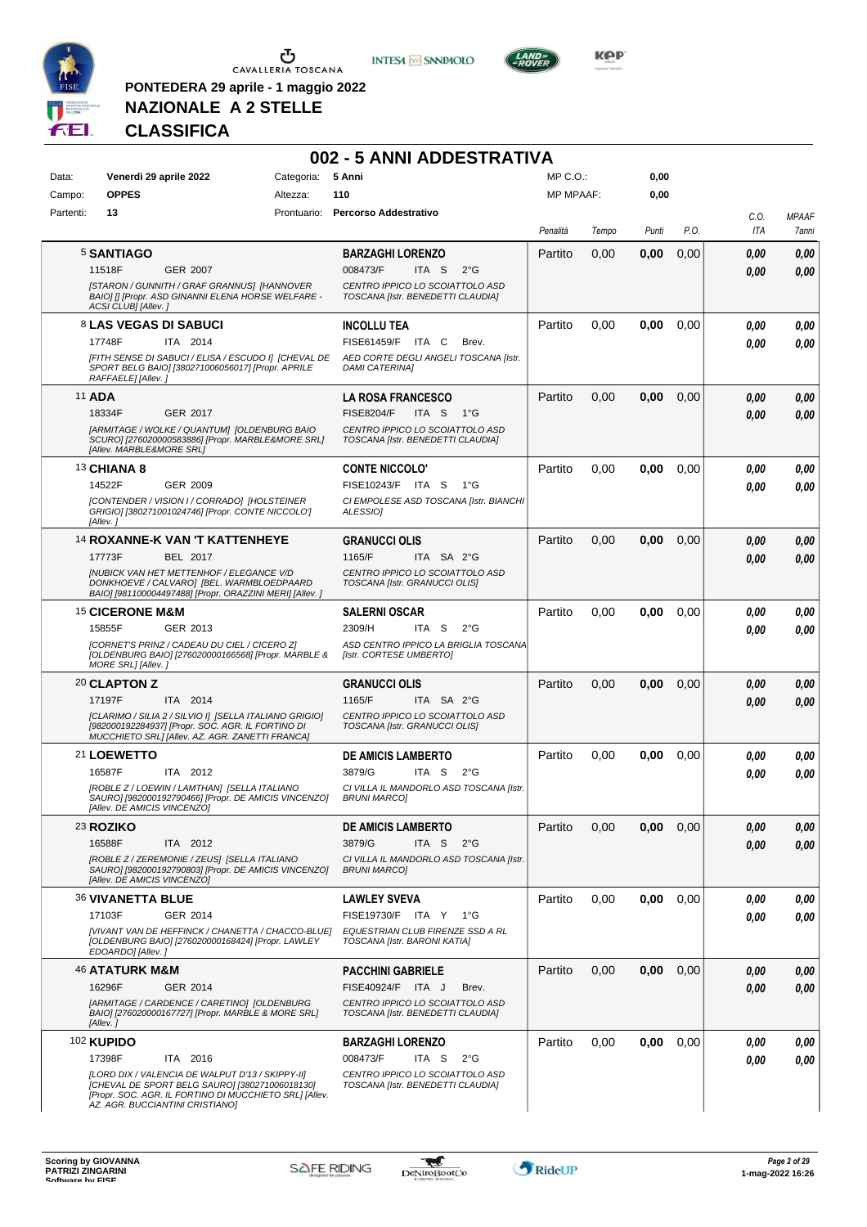

**PONTEDERA 29 aprile - 1 maggio 2022**

**NAZIONALE A 2 STELLE**





**KOP** 

**CLASSIFICA**

| Data:         | Venerdì 29 aprile 2022                                                                                                                                         | 002 - 5 ANNI ADDESTRATIVA<br>Categoria: | 5 Anni                                                               | MP C.O.:         |       | 0,00  |      |                    |                       |
|---------------|----------------------------------------------------------------------------------------------------------------------------------------------------------------|-----------------------------------------|----------------------------------------------------------------------|------------------|-------|-------|------|--------------------|-----------------------|
| Campo:        | <b>OPPES</b>                                                                                                                                                   | Altezza:                                | 110                                                                  | <b>MP MPAAF:</b> |       | 0,00  |      |                    |                       |
| Partenti:     | 13                                                                                                                                                             |                                         | Prontuario: Percorso Addestrativo                                    |                  |       |       |      |                    |                       |
|               |                                                                                                                                                                |                                         |                                                                      | Penalità         | Tempo | Punti | P.O. | C.O.<br><b>ITA</b> | <b>MPAAF</b><br>7anni |
|               | <b>5 SANTIAGO</b>                                                                                                                                              |                                         | <b>BARZAGHI LORENZO</b>                                              | Partito          | 0,00  | 0,00  | 0,00 | 0.00               | 0.00                  |
|               | 11518F<br><b>GER 2007</b>                                                                                                                                      |                                         | 008473/F<br>ITA S<br>$2^{\circ}G$                                    |                  |       |       |      | 0.00               | 0,00                  |
|               | [STARON / GUNNITH / GRAF GRANNUS] [HANNOVER<br>BAIO] [] [Propr. ASD GINANNI ELENA HORSE WELFARE -<br>ACSI CLUB] [Allev.]                                       |                                         | CENTRO IPPICO LO SCOIATTOLO ASD<br>TOSCANA [Istr. BENEDETTI CLAUDIA] |                  |       |       |      |                    |                       |
|               | <b>8 LAS VEGAS DI SABUCI</b>                                                                                                                                   |                                         | <b>INCOLLU TEA</b>                                                   | Partito          | 0,00  | 0,00  | 0,00 | 0.00               | 0.00                  |
|               | 17748F<br>ITA 2014                                                                                                                                             |                                         | FISE61459/F<br>ITA C<br>Brev.                                        |                  |       |       |      | 0.00               | 0.00                  |
|               | [FITH SENSE DI SABUCI / ELISA / ESCUDO I] [CHEVAL DE<br>SPORT BELG BAIO] [380271006056017] [Propr. APRILE<br>RAFFAELE] [Allev.]                                |                                         | AED CORTE DEGLI ANGELI TOSCANA [Istr.<br><b>DAMI CATERINAI</b>       |                  |       |       |      |                    |                       |
| <b>11 ADA</b> |                                                                                                                                                                |                                         | <b>LA ROSA FRANCESCO</b>                                             | Partito          | 0,00  | 0,00  | 0,00 | 0.00               | 0,00                  |
|               | 18334F<br>GER 2017                                                                                                                                             |                                         | <b>FISE8204/F</b><br>ITA S<br>1°G                                    |                  |       |       |      | 0.00               | 0,00                  |
|               | [ARMITAGE / WOLKE / QUANTUM] [OLDENBURG BAIO<br>SCURO] [276020000583886] [Propr. MARBLE&MORE SRL]<br>[Allev. MARBLE&MORE SRL]                                  |                                         | CENTRO IPPICO LO SCOIATTOLO ASD<br>TOSCANA [Istr. BENEDETTI CLAUDIA] |                  |       |       |      |                    |                       |
|               | 13 CHIANA 8                                                                                                                                                    |                                         | <b>CONTE NICCOLO'</b>                                                | Partito          | 0,00  | 0,00  | 0,00 | 0.00               | 0.00                  |
|               | 14522F<br>GER 2009                                                                                                                                             |                                         | FISE10243/F ITA S<br>1°G                                             |                  |       |       |      | 0.00               | 0.00                  |
|               | <b>[CONTENDER / VISION I / CORRADO] [HOLSTEINER</b><br>GRIGIO] [380271001024746] [Propr. CONTE NICCOLO']<br>[Allev.]                                           |                                         | CI EMPOLESE ASD TOSCANA [Istr. BIANCHI<br>ALESSIOI                   |                  |       |       |      |                    |                       |
|               | 14 ROXANNE-K VAN 'T KATTENHEYE                                                                                                                                 |                                         | <b>GRANUCCI OLIS</b>                                                 | Partito          | 0,00  | 0,00  | 0,00 | 0.00               | 0,00                  |
|               | 17773F<br>BEL 2017                                                                                                                                             |                                         | 1165/F<br>ITA SA 2°G                                                 |                  |       |       |      | 0.00               | 0.00                  |
|               | <b>INUBICK VAN HET METTENHOF / ELEGANCE V/D</b><br>DONKHOEVE / CALVARO] [BEL. WARMBLOEDPAARD<br>BAIO] [981100004497488] [Propr. ORAZZINI MERI] [Allev. ]       |                                         | CENTRO IPPICO LO SCOIATTOLO ASD<br>TOSCANA [Istr. GRANUCCI OLIS]     |                  |       |       |      |                    |                       |
|               | <b>15 CICERONE M&amp;M</b>                                                                                                                                     |                                         | <b>SALERNI OSCAR</b>                                                 | Partito          | 0,00  | 0,00  | 0,00 | 0.00               | 0,00                  |
|               | 15855F<br>GER 2013                                                                                                                                             |                                         | 2309/H<br>ITA S<br>$2^{\circ}G$                                      |                  |       |       |      | 0.00               | 0.00                  |
|               | [CORNET'S PRINZ / CADEAU DU CIEL / CICERO Z]<br>[OLDENBURG BAIO] [276020000166568] [Propr. MARBLE &<br>MORE SRL] [Allev.]                                      |                                         | ASD CENTRO IPPICO LA BRIGLIA TOSCANA<br>[Istr. CORTESE UMBERTO]      |                  |       |       |      |                    |                       |
|               | 20 CLAPTON Z                                                                                                                                                   |                                         | <b>GRANUCCI OLIS</b>                                                 | Partito          | 0,00  | 0,00  | 0,00 | 0.00               | 0,00                  |
|               | 17197F<br>ITA 2014                                                                                                                                             |                                         | 1165/F<br>ITA SA 2°G                                                 |                  |       |       |      | 0.00               | 0.00                  |
|               | [CLARIMO / SILIA 2 / SILVIO I] [SELLA ITALIANO GRIGIO]<br>[982000192284937] [Propr. SOC. AGR. IL FORTINO DI<br>MUCCHIETO SRL] [Allev. AZ. AGR. ZANETTI FRANCA] |                                         | CENTRO IPPICO LO SCOIATTOLO ASD<br>TOSCANA [Istr. GRANUCCI OLIS]     |                  |       |       |      |                    |                       |
|               | 21 LOEWETTO                                                                                                                                                    |                                         | <b>DE AMICIS LAMBERTO</b>                                            | Partito          | 0,00  | 0,00  | 0.00 | 0.00               | 0,00                  |
|               | 16587F<br>ITA 2012                                                                                                                                             |                                         | 3879/G<br>ITA S<br>$2^{\circ}G$                                      |                  |       |       |      | 0.00               | 0.00                  |
|               | [ROBLE Z/LOEWIN/LAMTHAN] [SELLA ITALIANO<br>SAURO] [982000192790466] [Propr. DE AMICIS VINCENZO]<br>[Allev. DE AMICIS VINCENZO]                                |                                         | CI VILLA IL MANDORLO ASD TOSCANA Ilstr.<br><b>BRUNI MARCO]</b>       |                  |       |       |      |                    |                       |
|               | 23 ROZIKO                                                                                                                                                      |                                         | <b>DE AMICIS LAMBERTO</b>                                            | Partito          | 0,00  | 0,00  | 0,00 | 0,00               | 0,00                  |
|               | 16588F<br>ITA 2012                                                                                                                                             |                                         | 3879/G<br>ITA S $2^{\circ}G$                                         |                  |       |       |      | 0.00               | 0,00                  |
|               | [ROBLE Z / ZEREMONIE / ZEUS] [SELLA ITALIANO<br>SAURO] [982000192790803] [Propr. DE AMICIS VINCENZO]<br>[Allev. DE AMICIS VINCENZO]                            |                                         | CI VILLA IL MANDORLO ASD TOSCANA [Istr.<br><b>BRUNI MARCO]</b>       |                  |       |       |      |                    |                       |
|               | <b>36 VIVANETTA BLUE</b>                                                                                                                                       |                                         | <b>LAWLEY SVEVA</b>                                                  | Partito          | 0,00  | 0,00  | 0,00 | 0,00               | 0,00                  |
|               | 17103F<br>GER 2014                                                                                                                                             |                                         | FISE19730/F ITA Y 1°G                                                |                  |       |       |      | 0.00               | 0,00                  |
|               | [VIVANT VAN DE HEFFINCK / CHANETTA / CHACCO-BLUE]<br>[OLDENBURG BAIO] [276020000168424] [Propr. LAWLEY<br>EDOARDO] [Allev.]                                    |                                         | EQUESTRIAN CLUB FIRENZE SSD A RL<br>TOSCANA [Istr. BARONI KATIA]     |                  |       |       |      |                    |                       |
|               | <b>46 ATATURK M&amp;M</b>                                                                                                                                      |                                         | <b>PACCHINI GABRIELE</b>                                             | Partito          | 0,00  | 0,00  | 0,00 | 0,00               | 0,00                  |
|               | 16296F<br>GER 2014                                                                                                                                             |                                         | FISE40924/F ITA J<br>Brev.                                           |                  |       |       |      | 0.00               | 0,00                  |
|               | [ARMITAGE / CARDENCE / CARETINO] [OLDENBURG<br>BAIO] [276020000167727] [Propr. MARBLE & MORE SRL]<br>[Allev.]                                                  |                                         | CENTRO IPPICO LO SCOIATTOLO ASD<br>TOSCANA [Istr. BENEDETTI CLAUDIA] |                  |       |       |      |                    |                       |
|               | <b>102 KUPIDO</b>                                                                                                                                              |                                         | <b>BARZAGHI LORENZO</b>                                              | Partito          | 0,00  | 0,00  | 0,00 | 0,00               | 0,00                  |
|               | 17398F<br>ITA 2016                                                                                                                                             |                                         | 008473/F<br>ITA S<br>$2^{\circ}$ G                                   |                  |       |       |      | 0,00               | 0,00                  |
|               | [LORD DIX / VALENCIA DE WALPUT D'13 / SKIPPY-II]<br>[CHEVAL DE SPORT BELG SAURO] [380271006018130]<br>[Propr. SOC. AGR. IL FORTINO DI MUCCHIETO SRL] [Allev.   |                                         | CENTRO IPPICO LO SCOIATTOLO ASD<br>TOSCANA [Istr. BENEDETTI CLAUDIA] |                  |       |       |      |                    |                       |

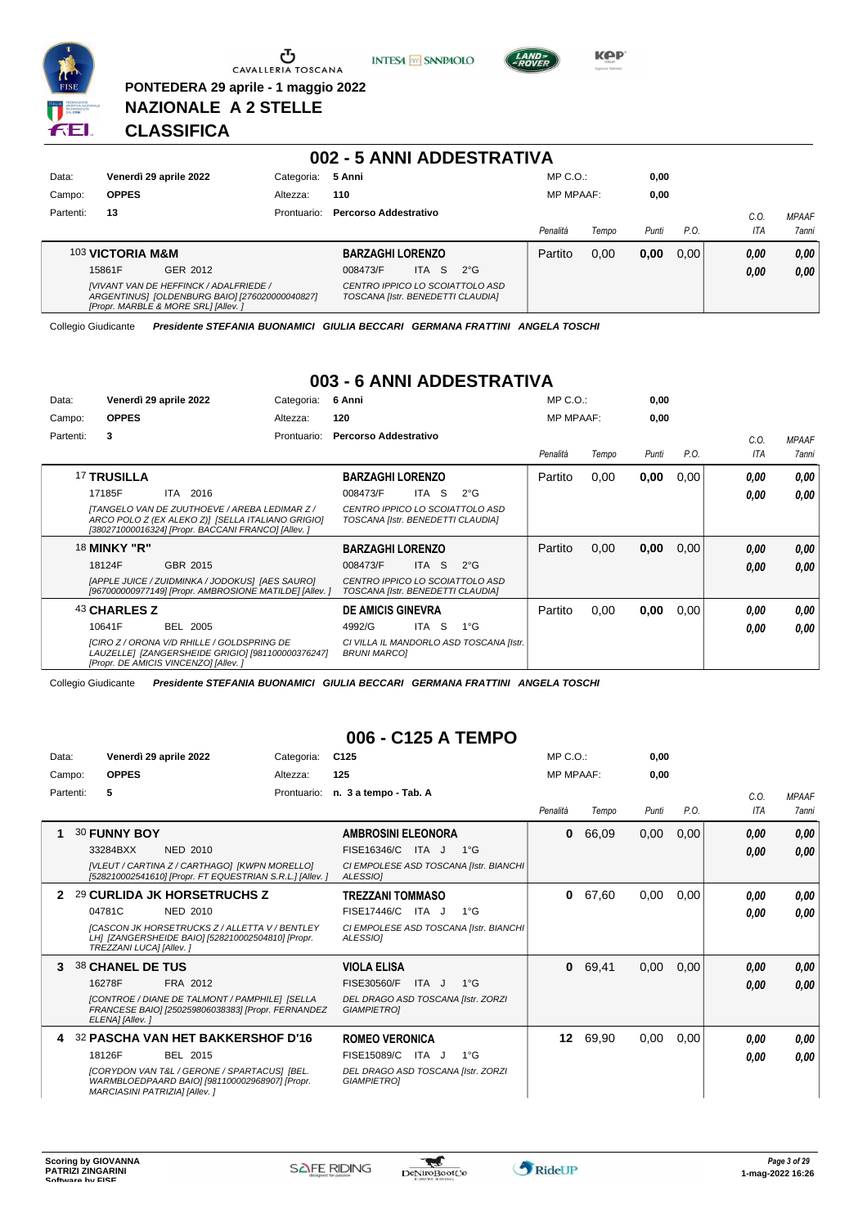

**PONTEDERA 29 aprile - 1 maggio 2022**

**NAZIONALE A 2 STELLE**

**INTESA** M SANPAOLO



**KPP** 

### **CLASSIFICA**

| 002 - 5 ANNI ADDESTRATIVA |                                                                                                                                                    |  |             |                         |           |                                                                      |                  |       |       |      |            |              |
|---------------------------|----------------------------------------------------------------------------------------------------------------------------------------------------|--|-------------|-------------------------|-----------|----------------------------------------------------------------------|------------------|-------|-------|------|------------|--------------|
| Data:                     | Venerdì 29 aprile 2022                                                                                                                             |  | Categoria:  | 5 Anni                  |           |                                                                      | $MP C. O.$ :     |       | 0,00  |      |            |              |
| Campo:                    | <b>OPPES</b><br>Altezza:                                                                                                                           |  |             | 110                     |           |                                                                      | <b>MP MPAAF:</b> |       | 0,00  |      |            |              |
| Partenti:                 | 13                                                                                                                                                 |  | Prontuario: | Percorso Addestrativo   |           |                                                                      |                  |       |       |      | C.O.       | <b>MPAAF</b> |
|                           |                                                                                                                                                    |  |             |                         |           |                                                                      | Penalità         | Tempo | Punti | P.O. | <b>ITA</b> | <b>7anni</b> |
|                           | 103 VICTORIA M&M                                                                                                                                   |  |             | <b>BARZAGHI LORENZO</b> |           |                                                                      | Partito          | 0.00  | 0,00  | 0.00 | 0.00       | 0,00         |
|                           | 15861F<br>GER 2012                                                                                                                                 |  |             | 008473/F                | S.<br>ITA | $2^{\circ}G$                                                         |                  |       |       |      | 0,00       | 0,00         |
|                           | <b>IVIVANT VAN DE HEFFINCK / ADALFRIEDE /</b><br>ARGENTINUS] [OLDENBURG BAIO] [276020000040827]<br><b>IPropr. MARBLE &amp; MORE SRLI IAlley. 1</b> |  |             |                         |           | CENTRO IPPICO LO SCOIATTOLO ASD<br>TOSCANA [Istr. BENEDETTI CLAUDIA] |                  |       |       |      |            |              |

Collegio Giudicante *Presidente STEFANIA BUONAMICI GIULIA BECCARI GERMANA FRATTINI ANGELA TOSCHI*

### **003 - 6 ANNI ADDESTRATIVA**

| Data:     | Venerdì 29 aprile 2022                                                                                                                                   | Categoria:  | 6 Anni                                                               |           |                                         | $MP C. O.$ :     |       | 0,00  |      |            |              |
|-----------|----------------------------------------------------------------------------------------------------------------------------------------------------------|-------------|----------------------------------------------------------------------|-----------|-----------------------------------------|------------------|-------|-------|------|------------|--------------|
| Campo:    | <b>OPPES</b>                                                                                                                                             | Altezza:    | 120                                                                  |           |                                         | <b>MP MPAAF:</b> |       | 0,00  |      |            |              |
| Partenti: | 3                                                                                                                                                        | Prontuario: | Percorso Addestrativo                                                |           |                                         |                  |       |       |      | C.0.       | <b>MPAAF</b> |
|           |                                                                                                                                                          |             |                                                                      |           |                                         | Penalità         | Tempo | Punti | P.O. | <b>ITA</b> | 7anni        |
|           | <b>17 TRUSILLA</b>                                                                                                                                       |             | <b>BARZAGHI LORENZO</b>                                              |           |                                         | Partito          | 0,00  | 0,00  | 0,00 | 0.00       | 0,00         |
|           | ITA 2016<br>17185F                                                                                                                                       |             | 008473/F                                                             | -S<br>ITA | $2^{\circ}G$                            |                  |       |       |      | 0.00       | 0,00         |
|           | [TANGELO VAN DE ZUUTHOEVE / AREBA LEDIMAR Z /<br>ARCO POLO Z (EX ALEKO Z)] [SELLA ITALIANO GRIGIO]<br>[380271000016324] [Propr. BACCANI FRANCO] [Allev.] |             | CENTRO IPPICO LO SCOIATTOLO ASD<br>TOSCANA [Istr. BENEDETTI CLAUDIA] |           |                                         |                  |       |       |      |            |              |
|           | <b>18 MINKY "R"</b>                                                                                                                                      |             | <b>BARZAGHI LORENZO</b>                                              |           |                                         | Partito          | 0,00  | 0,00  | 0,00 | 0,00       | 0.00         |
|           | 18124F<br>GBR 2015                                                                                                                                       |             | 008473/F                                                             | ITA S     | $2^{\circ}$ G                           |                  |       |       |      | 0.00       | 0.00         |
|           | [APPLE JUICE / ZUIDMINKA / JODOKUS] [AES SAURO]<br>[967000000977149] [Propr. AMBROSIONE MATILDE] [Allev. ]                                               |             | CENTRO IPPICO LO SCOIATTOLO ASD<br>TOSCANA [Istr. BENEDETTI CLAUDIA] |           |                                         |                  |       |       |      |            |              |
|           | 43 CHARLES Z                                                                                                                                             |             | <b>DE AMICIS GINEVRA</b>                                             |           |                                         | Partito          | 0,00  | 0,00  | 0,00 | 0.00       | 0,00         |
|           | 10641F<br>BEL 2005                                                                                                                                       |             | 4992/G                                                               | ITA<br>-S | $1^{\circ}$ G                           |                  |       |       |      | 0.00       | 0.00         |
|           | [CIRO Z / ORONA V/D RHILLE / GOLDSPRING DE<br>LAUZELLE] [ZANGERSHEIDE GRIGIO] [981100000376247]<br>[Propr. DE AMICIS VINCENZO] [Allev.]                  |             | <b>BRUNI MARCOI</b>                                                  |           | CI VILLA IL MANDORLO ASD TOSCANA [Istr. |                  |       |       |      |            |              |

Collegio Giudicante *Presidente STEFANIA BUONAMICI GIULIA BECCARI GERMANA FRATTINI ANGELA TOSCHI*

#### **006 - C125 A TEMPO**

| Data:  |           | Venerdì 29 aprile 2022                                                                                                           | Categoria:  | C <sub>125</sub>                                          | MP C. O.         |          | 0,00  |      |      |              |
|--------|-----------|----------------------------------------------------------------------------------------------------------------------------------|-------------|-----------------------------------------------------------|------------------|----------|-------|------|------|--------------|
| Campo: |           | <b>OPPES</b>                                                                                                                     | Altezza:    | 125                                                       | <b>MP MPAAF:</b> |          | 0.00  |      |      |              |
|        | Partenti: | 5                                                                                                                                | Prontuario: | n. 3 a tempo - Tab. A                                     |                  |          |       |      | C.0. | <b>MPAAF</b> |
|        |           |                                                                                                                                  |             |                                                           | Penalità         | Tempo    | Punti | P.O. | ITA  | <b>7anni</b> |
|        |           | 30 FUNNY BOY                                                                                                                     |             | <b>AMBROSINI ELEONORA</b>                                 | 0                | 66,09    | 0,00  | 0,00 | 0,00 | 0,00         |
|        |           | <b>NED 2010</b><br>33284BXX                                                                                                      |             | FISE16346/C<br>ITA J<br>$1^{\circ}G$                      |                  |          |       |      | 0,00 | 0,00         |
|        |           | [VLEUT / CARTINA Z / CARTHAGO] [KWPN MORELLO]<br>[528210002541610] [Propr. FT EQUESTRIAN S.R.L.] [Allev.]                        |             | CI EMPOLESE ASD TOSCANA [Istr. BIANCHI<br>ALESSIOI        |                  |          |       |      |      |              |
| 2      |           | 29 CURLIDA JK HORSETRUCHS Z                                                                                                      |             | <b>TREZZANI TOMMASO</b>                                   | 0                | 67,60    | 0,00  | 0,00 | 0.00 | 0,00         |
|        |           | 04781C<br><b>NED 2010</b>                                                                                                        |             | FISE17446/C<br>ITA J<br>$1^{\circ}$ G                     |                  |          |       |      | 0.00 | 0.00         |
|        |           | ICASCON JK HORSETRUCKS Z / ALLETTA V / BENTLEY<br>LH1 [ZANGERSHEIDE BAIO] [528210002504810] [Propr.<br>TREZZANI LUCA] [Allev.]   |             | CI EMPOLESE ASD TOSCANA [Istr. BIANCHI<br><b>ALESSIOI</b> |                  |          |       |      |      |              |
| 3      |           | <b>38 CHANEL DE TUS</b>                                                                                                          |             | <b>VIOLA ELISA</b>                                        | $\bf{0}$         | 69,41    | 0,00  | 0,00 | 0.00 | 0,00         |
|        |           | 16278F<br>FRA 2012                                                                                                               |             | FISE30560/F<br>ITA J<br>$1^{\circ}G$                      |                  |          |       |      | 0.00 | 0,00         |
|        |           | [CONTROE / DIANE DE TALMONT / PAMPHILE] [SELLA<br>FRANCESE BAIO] [250259806038383] [Propr. FERNANDEZ<br>ELENA] [Allev.]          |             | DEL DRAGO ASD TOSCANA [Istr. ZORZI<br><b>GIAMPIETROI</b>  |                  |          |       |      |      |              |
|        |           |                                                                                                                                  |             |                                                           |                  |          |       |      |      |              |
| 4      |           | 32 PASCHA VAN HET BAKKERSHOF D'16                                                                                                |             | <b>ROMEO VERONICA</b>                                     |                  | 12 69,90 | 0,00  | 0,00 | 0.00 | 0,00         |
|        |           | 18126F<br>BEL 2015                                                                                                               |             | FISE15089/C ITA J<br>$1^{\circ}$ G                        |                  |          |       |      | 0.00 | 0.00         |
|        |           | [CORYDON VAN T&L / GERONE / SPARTACUS] [BEL.<br>WARMBLOEDPAARD BAIO] [981100002968907] [Propr.<br>MARCIASINI PATRIZIA] [Allev. ] |             | DEL DRAGO ASD TOSCANA [Istr. ZORZI<br><b>GIAMPIETROI</b>  |                  |          |       |      |      |              |

 $\mathcal{L}$ 

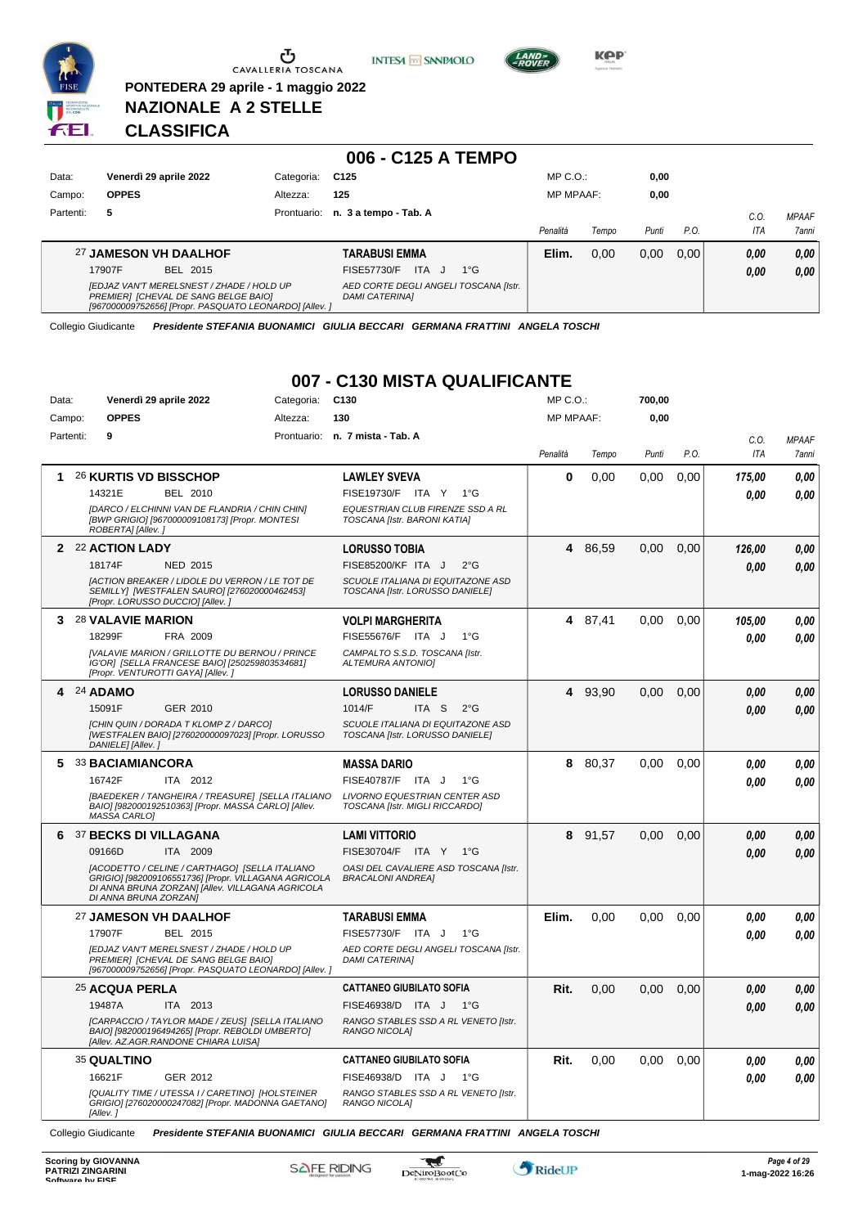

**PONTEDERA 29 aprile - 1 maggio 2022 NAZIONALE A 2 STELLE**





**Kep** 

**CLASSIFICA**

|           |                                                                                                                                             |             | 006 - C125 A TEMPO                                             |                  |       |       |      |            |              |
|-----------|---------------------------------------------------------------------------------------------------------------------------------------------|-------------|----------------------------------------------------------------|------------------|-------|-------|------|------------|--------------|
| Data:     | Venerdì 29 aprile 2022                                                                                                                      | Categoria:  | C125                                                           | $MP C. O.$ :     |       | 0,00  |      |            |              |
| Campo:    | <b>OPPES</b>                                                                                                                                | Altezza:    | 125                                                            | <b>MP MPAAF:</b> |       | 0,00  |      |            |              |
| Partenti: | 5                                                                                                                                           | Prontuario: | n. 3 a tempo - Tab. A                                          |                  |       |       |      | C.0        | <b>MPAAF</b> |
|           |                                                                                                                                             |             |                                                                | Penalità         | Tempo | Punti | P.O. | <b>ITA</b> | 7anni        |
|           | 27 JAMESON VH DAALHOF                                                                                                                       |             | <b>TARABUSI EMMA</b>                                           | Elim.            | 0.00  | 0,00  | 0.00 | 0,00       | 0,00         |
|           | BEL 2015<br>17907F                                                                                                                          |             | FISE57730/F<br>ITA<br>$1^{\circ}G$                             |                  |       |       |      | 0,00       | 0,00         |
|           | [EDJAZ VAN'T MERELSNEST / ZHADE / HOLD UP<br>PREMIER] [CHEVAL DE SANG BELGE BAIO]<br>[967000009752656] [Propr. PASQUATO LEONARDO] [Allev. ] |             | AED CORTE DEGLI ANGELI TOSCANA [Istr.<br><b>DAMI CATERINAI</b> |                  |       |       |      |            |              |

Collegio Giudicante *Presidente STEFANIA BUONAMICI GIULIA BECCARI GERMANA FRATTINI ANGELA TOSCHI*

### **007 - C130 MISTA QUALIFICANTE**

|           | Data: | Venerdì 29 aprile 2022                                                                                                                                                              | Categoria: | C <sub>130</sub>                                                       | MP C. O.         |         | 700,00 |      |            |              |
|-----------|-------|-------------------------------------------------------------------------------------------------------------------------------------------------------------------------------------|------------|------------------------------------------------------------------------|------------------|---------|--------|------|------------|--------------|
| Campo:    |       | <b>OPPES</b>                                                                                                                                                                        | Altezza:   | 130                                                                    | <b>MP MPAAF:</b> |         | 0,00   |      |            |              |
| Partenti: |       | 9                                                                                                                                                                                   |            | Prontuario: n. 7 mista - Tab. A                                        |                  |         |        |      | C.O.       | <b>MPAAF</b> |
|           |       |                                                                                                                                                                                     |            |                                                                        | Penalità         | Tempo   | Punti  | P.O. | <b>ITA</b> | 7anni        |
| 1         |       | 26 KURTIS VD BISSCHOP                                                                                                                                                               |            | <b>LAWLEY SVEVA</b>                                                    | 0                | 0.00    | 0.00   | 0.00 | 175,00     | 0.00         |
|           |       | 14321E<br>BEL 2010                                                                                                                                                                  |            | FISE19730/F ITA Y<br>$1^{\circ}G$                                      |                  |         |        |      | 0.00       | 0,00         |
|           |       | [DARCO / ELCHINNI VAN DE FLANDRIA / CHIN CHIN]<br>[BWP GRIGIO] [967000009108173] [Propr. MONTESI<br>ROBERTA] [Allev.]                                                               |            | EQUESTRIAN CLUB FIRENZE SSD A RL<br>TOSCANA [Istr. BARONI KATIA]       |                  |         |        |      |            |              |
|           |       | 2 22 ACTION LADY                                                                                                                                                                    |            | <b>LORUSSO TOBIA</b>                                                   | 4                | 86,59   | 0.00   | 0.00 | 126,00     | 0,00         |
|           |       | 18174F<br><b>NED 2015</b>                                                                                                                                                           |            | FISE85200/KF ITA J<br>$2^{\circ}$ G                                    |                  |         |        |      | 0.00       | 0.00         |
|           |       | [ACTION BREAKER / LIDOLE DU VERRON / LE TOT DE<br>SEMILLY] [WESTFALEN SAURO] [276020000462453]<br>[Propr. LORUSSO DUCCIO] [Allev.]                                                  |            | SCUOLE ITALIANA DI EQUITAZONE ASD<br>TOSCANA [Istr. LORUSSO DANIELE]   |                  |         |        |      |            |              |
| 3         |       | <b>28 VALAVIE MARION</b>                                                                                                                                                            |            | <b>VOLPI MARGHERITA</b>                                                |                  | 4 87,41 | 0.00   | 0.00 | 105,00     | 0,00         |
|           |       | 18299F<br>FRA 2009                                                                                                                                                                  |            | FISE55676/F ITA J<br>$1^{\circ}G$                                      |                  |         |        |      | 0.00       | 0.00         |
|           |       | [VALAVIE MARION / GRILLOTTE DU BERNOU / PRINCE<br>IG'OR] [SELLA FRANCESE BAIO] [250259803534681]<br>[Propr. VENTUROTTI GAYA] [Allev.]                                               |            | CAMPALTO S.S.D. TOSCANA [Istr.<br><b>ALTEMURA ANTONIOI</b>             |                  |         |        |      |            |              |
| 4         |       | 24 ADAMO                                                                                                                                                                            |            | <b>LORUSSO DANIELE</b>                                                 | 4                | 93,90   | 0,00   | 0,00 | 0,00       | 0,00         |
|           |       | 15091F<br>GER 2010                                                                                                                                                                  |            | 1014/F<br>ITA <sub>S</sub><br>$2^{\circ}$ G                            |                  |         |        |      | 0,00       | 0.00         |
|           |       | [CHIN QUIN / DORADA T KLOMP Z / DARCO]<br>[WESTFALEN BAIO] [276020000097023] [Propr. LORUSSO<br>DANIELE] [Allev.]                                                                   |            | SCUOLE ITALIANA DI EQUITAZONE ASD<br>TOSCANA [Istr. LORUSSO DANIELE]   |                  |         |        |      |            |              |
| 5         |       | 33 BACIAMIANCORA                                                                                                                                                                    |            | <b>MASSA DARIO</b>                                                     | 8                | 80,37   | 0,00   | 0,00 | 0,00       | 0,00         |
|           |       | 16742F<br>ITA 2012                                                                                                                                                                  |            | FISE40787/F ITA J<br>$1^{\circ}G$                                      |                  |         |        |      | 0.00       | 0.00         |
|           |       | [BAEDEKER / TANGHEIRA / TREASURE] [SELLA ITALIANO<br>BAIO] [982000192510363] [Propr. MASSA CARLO] [Allev.<br>MASSA CARLO]                                                           |            | <b>LIVORNO EQUESTRIAN CENTER ASD</b><br>TOSCANA [Istr. MIGLI RICCARDO] |                  |         |        |      |            |              |
| 6         |       | 37 BECKS DI VILLAGANA                                                                                                                                                               |            | <b>LAMI VITTORIO</b>                                                   |                  | 8 91,57 | 0,00   | 0,00 | 0,00       | 0,00         |
|           |       | ITA 2009<br>09166D                                                                                                                                                                  |            | FISE30704/F ITA Y 1°G                                                  |                  |         |        |      | 0.00       | 0.00         |
|           |       | [ACODETTO / CELINE / CARTHAGO] [SELLA ITALIANO<br>GRIGIO] [982009106551736] [Propr. VILLAGANA AGRICOLA<br>DI ANNA BRUNA ZORZAN] [Allev. VILLAGANA AGRICOLA<br>DI ANNA BRUNA ZORZANI |            | OASI DEL CAVALIERE ASD TOSCANA [Istr.<br><b>BRACALONI ANDREAI</b>      |                  |         |        |      |            |              |
|           |       | 27 JAMESON VH DAALHOF                                                                                                                                                               |            | <b>TARABUSI EMMA</b>                                                   | Elim.            | 0,00    | 0.00   | 0.00 | 0.00       | 0,00         |
|           |       | 17907F<br>BEL 2015                                                                                                                                                                  |            | FISE57730/F ITA J<br>$1^{\circ}G$                                      |                  |         |        |      | 0.00       | 0.00         |
|           |       | [EDJAZ VAN'T MERELSNEST / ZHADE / HOLD UP<br>PREMIERI [CHEVAL DE SANG BELGE BAIO]<br>[967000009752656] [Propr. PASQUATO LEONARDO] [Allev. ]                                         |            | AED CORTE DEGLI ANGELI TOSCANA [Istr.<br><b>DAMI CATERINAI</b>         |                  |         |        |      |            |              |
|           |       | 25 ACQUA PERLA                                                                                                                                                                      |            | <b>CATTANEO GIUBILATO SOFIA</b>                                        | Rit.             | 0,00    | 0,00   | 0,00 | 0,00       | 0.00         |
|           |       | ITA 2013<br>19487A                                                                                                                                                                  |            | FISE46938/D ITA J 1°G                                                  |                  |         |        |      | 0.00       | 0.00         |
|           |       | [CARPACCIO / TAYLOR MADE / ZEUS] [SELLA ITALIANO<br>BAIO] [982000196494265] [Propr. REBOLDI UMBERTO]<br>[Allev. AZ.AGR.RANDONE CHIARA LUISA]                                        |            | RANGO STABLES SSD A RL VENETO [Istr.<br><b>RANGO NICOLAI</b>           |                  |         |        |      |            |              |
|           |       | 35 QUALTINO                                                                                                                                                                         |            | <b>CATTANEO GIUBILATO SOFIA</b>                                        | Rit.             | 0,00    | 0,00   | 0,00 | 0.00       | 0.00         |
|           |       | 16621F<br>GER 2012                                                                                                                                                                  |            | FISE46938/D ITA J<br>1°G                                               |                  |         |        |      | 0.00       | 0.00         |
|           |       | [QUALITY TIME / UTESSA I / CARETINO] [HOLSTEINER<br>GRIGIO] [276020000247082] [Propr. MADONNA GAETANO]<br>[Allev.]                                                                  |            | RANGO STABLES SSD A RL VENETO [Istr.<br>RANGO NICOLA]                  |                  |         |        |      |            |              |

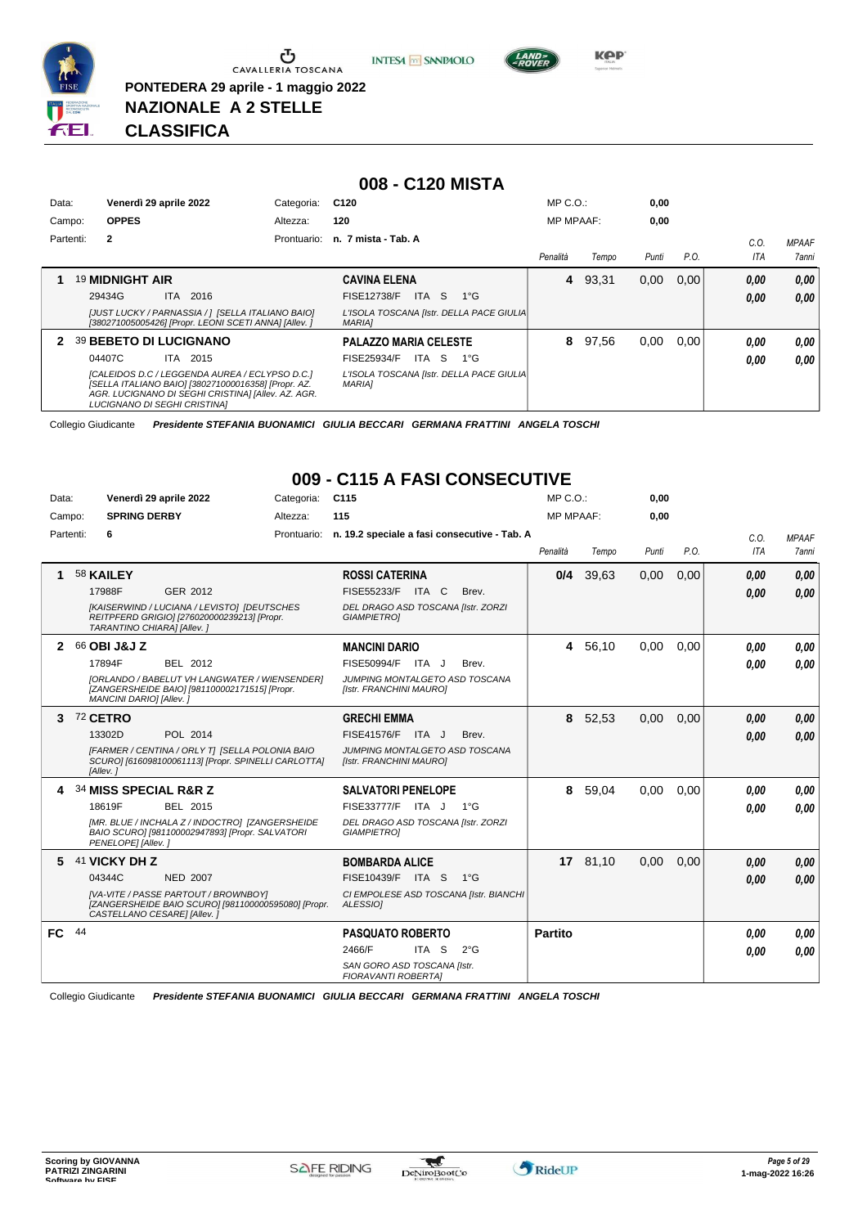

**PONTEDERA 29 aprile - 1 maggio 2022**

**NAZIONALE A 2 STELLE**





*Presidente STEFANIA BUONAMICI GIULIA BECCARI GERMANA FRATTINI ANGELA TOSCHI* **CLASSIFICA**

|           |                               |      |                                                                                                                                                             |             | 008 - C120 MISTA                                           |              |                  |       |       |      |            |              |
|-----------|-------------------------------|------|-------------------------------------------------------------------------------------------------------------------------------------------------------------|-------------|------------------------------------------------------------|--------------|------------------|-------|-------|------|------------|--------------|
| Data:     | Venerdì 29 aprile 2022        |      |                                                                                                                                                             | Categoria:  | C <sub>120</sub>                                           |              | $MP C. O.$ :     |       | 0,00  |      |            |              |
| Campo:    | <b>OPPES</b>                  |      |                                                                                                                                                             | Altezza:    | 120                                                        |              | <b>MP MPAAF:</b> |       | 0,00  |      |            |              |
| Partenti: | $\mathbf{2}$                  |      |                                                                                                                                                             | Prontuario: | n. 7 mista - Tab. A                                        |              |                  |       |       |      | C.O.       | <b>MPAAF</b> |
|           |                               |      |                                                                                                                                                             |             |                                                            |              | Penalità         | Tempo | Punti | P.O. | <b>ITA</b> | 7anni        |
|           | 19 MIDNIGHT AIR               |      |                                                                                                                                                             |             | <b>CAVINA ELENA</b>                                        |              | 4                | 93,31 | 0,00  | 0.00 | 0,00       | 0,00         |
|           | 29434G                        | ITA. | 2016                                                                                                                                                        |             | <b>FISE12738/F</b><br>ITA S                                | $1^{\circ}G$ |                  |       |       |      | 0.00       | 0.00         |
|           |                               |      | [JUST LUCKY / PARNASSIA / ] [SELLA ITALIANO BAIO]<br>[380271005005426] [Propr. LEONI SCETI ANNA] [Allev. ]                                                  |             | L'ISOLA TOSCANA [Istr. DELLA PACE GIULIA]<br><b>MARIAI</b> |              |                  |       |       |      |            |              |
| 2         | <b>39 BEBETO DI LUCIGNANO</b> |      |                                                                                                                                                             |             | <b>PALAZZO MARIA CELESTE</b>                               |              | 8                | 97,56 | 0,00  | 0,00 | 0.00       | 0,00         |
|           | 04407C                        |      | ITA 2015                                                                                                                                                    |             | ITA S<br><b>FISE25934/F</b>                                | $1^{\circ}G$ |                  |       |       |      | 0.00       | 0.00         |
|           | LUCIGNANO DI SEGHI CRISTINA]  |      | [CALEIDOS D.C / LEGGENDA AUREA / ECLYPSO D.C.]<br>[SELLA ITALIANO BAIO] [380271000016358] [Propr. AZ.<br>AGR. LUCIGNANO DI SEGHI CRISTINA] [Allev. AZ. AGR. |             | L'ISOLA TOSCANA [Istr. DELLA PACE GIULIA<br>MARIA]         |              |                  |       |       |      |            |              |

Collegio Giudicante *Presidente STEFANIA BUONAMICI GIULIA BECCARI GERMANA FRATTINI ANGELA TOSCHI*

### **009 - C115 A FASI CONSECUTIVE**

| Data:     |    |                            | Venerdì 29 aprile 2022                                                                                                      | Categoria:  | C <sub>115</sub>                                          |       |              | MP C. O.         |             | 0.00  |      |            |              |
|-----------|----|----------------------------|-----------------------------------------------------------------------------------------------------------------------------|-------------|-----------------------------------------------------------|-------|--------------|------------------|-------------|-------|------|------------|--------------|
| Campo:    |    | <b>SPRING DERBY</b>        |                                                                                                                             | Altezza:    | 115                                                       |       |              | <b>MP MPAAF:</b> |             | 0.00  |      |            |              |
| Partenti: |    | 6                          |                                                                                                                             | Prontuario: | n. 19.2 speciale a fasi consecutive - Tab. A              |       |              |                  |             |       |      | C.O.       | <b>MPAAF</b> |
|           |    |                            |                                                                                                                             |             |                                                           |       |              | Penalità         | Tempo       | Punti | P.O. | <b>ITA</b> | <b>7anni</b> |
|           |    |                            |                                                                                                                             |             |                                                           |       |              |                  |             |       |      |            |              |
| 1         |    | 58 KAILEY                  |                                                                                                                             |             | <b>ROSSI CATERINA</b>                                     |       |              |                  | $0/4$ 39,63 | 0,00  | 0,00 | 0.00       | 0,00         |
|           |    | 17988F                     | GER 2012                                                                                                                    |             | FISE55233/F ITA C                                         |       | Brev.        |                  |             |       |      | 0,00       | 0,00         |
|           |    | TARANTINO CHIARA] [Allev.] | [KAISERWIND / LUCIANA / LEVISTO] [DEUTSCHES<br>REITPFERD GRIGIO] [276020000239213] [Propr.                                  |             | DEL DRAGO ASD TOSCANA [Istr. ZORZI<br><b>GIAMPIETRO]</b>  |       |              |                  |             |       |      |            |              |
| 2         |    | 66 OBI J&J Z               |                                                                                                                             |             | <b>MANCINI DARIO</b>                                      |       |              |                  | 4 56.10     | 0.00  | 0.00 | 0.00       | 0.00         |
|           |    | 17894F                     | BEL 2012                                                                                                                    |             | FISE50994/F                                               | ITA J | Brev.        |                  |             |       |      | 0.00       | 0.00         |
|           |    | MANCINI DARIO] [Allev.]    | <b>IORLANDO / BABELUT VH LANGWATER / WIENSENDERI</b><br>[ZANGERSHEIDE BAIO] [981100002171515] [Propr.                       |             | JUMPING MONTALGETO ASD TOSCANA<br>[Istr. FRANCHINI MAURO] |       |              |                  |             |       |      |            |              |
| 3         |    | 72 CETRO                   |                                                                                                                             |             | <b>GRECHI EMMA</b>                                        |       |              | 8                | 52,53       | 0,00  | 0.00 | 0,00       | 0.00         |
|           |    | 13302D                     | POL 2014                                                                                                                    |             | <b>FISE41576/F</b>                                        | ITA J | Brev.        |                  |             |       |      | 0.00       | 0.00         |
|           |    |                            | [FARMER / CENTINA / ORLY T] [SELLA POLONIA BAIO                                                                             |             | JUMPING MONTALGETO ASD TOSCANA                            |       |              |                  |             |       |      |            |              |
|           |    | [Allev.]                   | SCURO] [616098100061113] [Propr. SPINELLI CARLOTTA]                                                                         |             | [Istr. FRANCHINI MAURO]                                   |       |              |                  |             |       |      |            |              |
|           |    |                            | 34 MISS SPECIAL R&R Z                                                                                                       |             | <b>SALVATORI PENELOPE</b>                                 |       |              | 8                | 59,04       | 0.00  | 0.00 | 0.00       | 0.00         |
|           |    | 18619F                     | BEL 2015                                                                                                                    |             | <b>FISE33777/F</b>                                        | ITA J | − 1°G        |                  |             |       |      | 0.00       | 0.00         |
|           |    |                            | [MR. BLUE / INCHALA Z / INDOCTRO] [ZANGERSHEIDE<br>BAIO SCURO] [981100002947893] [Propr. SALVATORI                          |             | DEL DRAGO ASD TOSCANA [Istr. ZORZI<br><b>GIAMPIETROI</b>  |       |              |                  |             |       |      |            |              |
|           |    | PENELOPE] [Allev.]         |                                                                                                                             |             |                                                           |       |              |                  |             |       |      |            |              |
| 5         |    | 41 VICKY DH Z              |                                                                                                                             |             | <b>BOMBARDA ALICE</b>                                     |       |              |                  | 17 81,10    | 0.00  | 0,00 | 0.00       | 0.00         |
|           |    | 04344C                     | <b>NED 2007</b>                                                                                                             |             | FISE10439/F ITA S 1°G                                     |       |              |                  |             |       |      | 0.00       | 0.00         |
|           |    |                            | [VA-VITE / PASSE PARTOUT / BROWNBOY]<br>[ZANGERSHEIDE BAIO SCURO] [981100000595080] [Propr.<br>CASTELLANO CESARE] [Allev. ] |             | CI EMPOLESE ASD TOSCANA [Istr. BIANCHI<br>ALESSIOI        |       |              |                  |             |       |      |            |              |
| FC        | 44 |                            |                                                                                                                             |             | <b>PASQUATO ROBERTO</b>                                   |       |              | <b>Partito</b>   |             |       |      | 0.00       | 0.00         |
|           |    |                            |                                                                                                                             |             | 2466/F                                                    | ITA S | $2^{\circ}G$ |                  |             |       |      | 0.00       | 0.00         |
|           |    |                            |                                                                                                                             |             | SAN GORO ASD TOSCANA [Istr.<br>FIORAVANTI ROBERTA]        |       |              |                  |             |       |      |            |              |

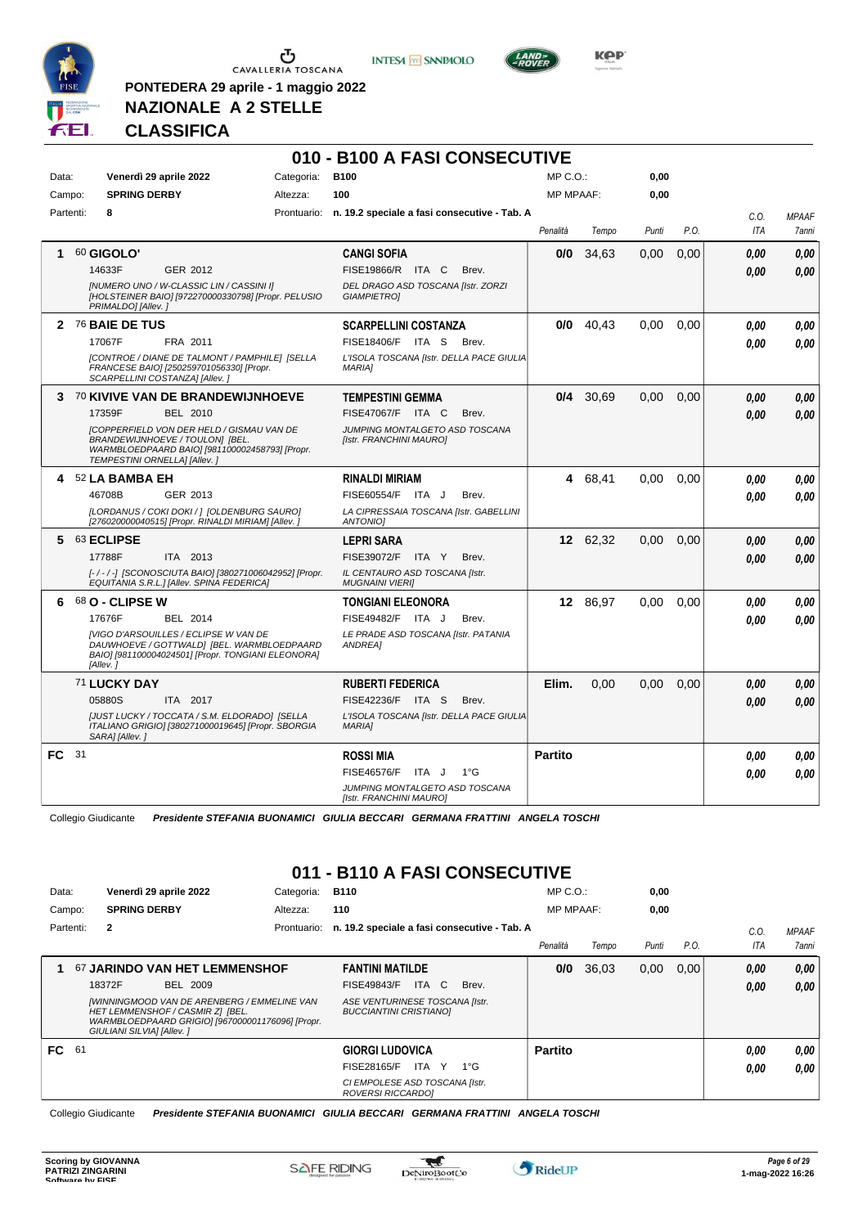

**PONTEDERA 29 aprile - 1 maggio 2022**

**NAZIONALE A 2 STELLE**

**INTESA** M SANPAOLO



**Kep** 

**CLASSIFICA**

### **010 - B100 A FASI CONSECUTIVE**

|           |    |                     |                                                                                                                                                                       |            | <u>UTU - BTUU A FASI GONSEGUTIVE</u>                      |                  |             |       |      |      |              |
|-----------|----|---------------------|-----------------------------------------------------------------------------------------------------------------------------------------------------------------------|------------|-----------------------------------------------------------|------------------|-------------|-------|------|------|--------------|
| Data:     |    |                     | Venerdì 29 aprile 2022                                                                                                                                                | Categoria: | <b>B100</b>                                               | $MP C. O.$ :     |             | 0,00  |      |      |              |
| Campo:    |    | <b>SPRING DERBY</b> |                                                                                                                                                                       | Altezza:   | 100                                                       | <b>MP MPAAF:</b> |             | 0,00  |      |      |              |
| Partenti: |    | 8                   |                                                                                                                                                                       |            | Prontuario: n. 19.2 speciale a fasi consecutive - Tab. A  |                  |             |       |      | C.O. | <b>MPAAF</b> |
|           |    |                     |                                                                                                                                                                       |            |                                                           | Penalità         | Tempo       | Punti | P.O. | ITA  | 7anni        |
| 1         |    | 60 GIGOLO'          |                                                                                                                                                                       |            | <b>CANGI SOFIA</b>                                        | 0/0              | 34.63       | 0.00  | 0.00 | 0.00 | 0,00         |
|           |    | 14633F              | GER 2012                                                                                                                                                              |            | <b>FISE19866/R ITA C</b><br>Brev.                         |                  |             |       |      | 0,00 | 0.00         |
|           |    | PRIMALDO] [Allev.]  | [NUMERO UNO / W-CLASSIC LIN / CASSINI I]<br>[HOLSTEINER BAIO] [972270000330798] [Propr. PELUSIO                                                                       |            | DEL DRAGO ASD TOSCANA [Istr. ZORZI<br><b>GIAMPIETROI</b>  |                  |             |       |      |      |              |
|           |    | 2 76 BAIE DE TUS    |                                                                                                                                                                       |            | <b>SCARPELLINI COSTANZA</b>                               |                  | $0/0$ 40,43 | 0,00  | 0,00 | 0.00 | 0.00         |
|           |    | 17067F              | FRA 2011                                                                                                                                                              |            | <b>FISE18406/F ITA S</b><br>Brev.                         |                  |             |       |      | 0.00 | 0.00         |
|           |    |                     | [CONTROE / DIANE DE TALMONT / PAMPHILE] [SELLA<br>FRANCESE BAIO] [250259701056330] [Propr.<br>SCARPELLINI COSTANZA] [Allev. ]                                         |            | L'ISOLA TOSCANA [Istr. DELLA PACE GIULIA<br><b>MARIA]</b> |                  |             |       |      |      |              |
| 3         |    |                     | 70 KIVIVE VAN DE BRANDEWIJNHOEVE                                                                                                                                      |            | <b>TEMPESTINI GEMMA</b>                                   | 0/4              | 30,69       | 0,00  | 0.00 | 0,00 | 0,00         |
|           |    | 17359F              | <b>BEL 2010</b>                                                                                                                                                       |            | FISE47067/F ITA C<br>Brev.                                |                  |             |       |      | 0.00 | 0.00         |
|           |    |                     | <b>ICOPPERFIELD VON DER HELD / GISMAU VAN DE</b><br>BRANDEWIJNHOEVE / TOULON] [BEL.<br>WARMBLOEDPAARD BAIO] [981100002458793] [Propr.<br>TEMPESTINI ORNELLA] [Allev.] |            | JUMPING MONTALGETO ASD TOSCANA<br>[Istr. FRANCHINI MAURO] |                  |             |       |      |      |              |
|           |    | 4 52 LA BAMBA EH    |                                                                                                                                                                       |            | <b>RINALDI MIRIAM</b>                                     |                  | 4 68,41     | 0.00  | 0.00 | 0.00 | 0,00         |
|           |    | 46708B              | GER 2013                                                                                                                                                              |            | FISE60554/F ITA J<br>Brev.                                |                  |             |       |      | 0.00 | 0.00         |
|           |    |                     | [LORDANUS / COKI DOKI / ] [OLDENBURG SAURO]<br>[276020000040515] [Propr. RINALDI MIRIAM] [Allev.]                                                                     |            | LA CIPRESSAIA TOSCANA [Istr. GABELLINI<br><b>ANTONIOI</b> |                  |             |       |      |      |              |
| 5         |    | 63 ECLIPSE          |                                                                                                                                                                       |            | <b>LEPRI SARA</b>                                         |                  | 12 62,32    | 0,00  | 0,00 | 0,00 | 0,00         |
|           |    | 17788F              | ITA 2013                                                                                                                                                              |            | FISE39072/F ITA Y<br>Brev.                                |                  |             |       |      | 0,00 | 0.00         |
|           |    |                     | [-/-/-] [SCONOSCIUTA BAIO] [380271006042952] [Propr.<br>EQUITANIA S.R.L.] [Allev. SPINA FEDERICA]                                                                     |            | IL CENTAURO ASD TOSCANA [Istr.<br><b>MUGNAINI VIERII</b>  |                  |             |       |      |      |              |
| 6         |    | 68 O - CLIPSE W     |                                                                                                                                                                       |            | <b>TONGIANI ELEONORA</b>                                  |                  | 12 86,97    | 0.00  | 0.00 | 0.00 | 0.00         |
|           |    | 17676F              | BEL 2014                                                                                                                                                              |            | FISE49482/F ITA J<br>Brev.                                |                  |             |       |      | 0.00 | 0.00         |
|           |    | [Allev.]            | <b>IVIGO D'ARSOUILLES / ECLIPSE W VAN DE</b><br>DAUWHOEVE / GOTTWALD] [BEL. WARMBLOEDPAARD<br>BAIO] [981100004024501] [Propr. TONGIANI ELEONORA]                      |            | LE PRADE ASD TOSCANA [Istr. PATANIA<br>ANDREA]            |                  |             |       |      |      |              |
|           |    | 71 LUCKY DAY        |                                                                                                                                                                       |            | <b>RUBERTI FEDERICA</b>                                   | Elim.            | 0.00        | 0.00  | 0.00 | 0.00 | 0,00         |
|           |    | 05880S              | ITA 2017                                                                                                                                                              |            | FISE42236/F ITA S<br>Brev.                                |                  |             |       |      | 0.00 | 0.00         |
|           |    | SARA] [Allev.]      | [JUST LUCKY / TOCCATA / S.M. ELDORADO] [SELLA<br>ITALIANO GRIGIO] [380271000019645] [Propr. SBORGIA                                                                   |            | L'ISOLA TOSCANA [Istr. DELLA PACE GIULIA<br><b>MARIA1</b> |                  |             |       |      |      |              |
| FC.       | 31 |                     |                                                                                                                                                                       |            | <b>ROSSI MIA</b>                                          | <b>Partito</b>   |             |       |      | 0,00 | 0,00         |
|           |    |                     |                                                                                                                                                                       |            | FISE46576/F ITA J<br>$1^{\circ}G$                         |                  |             |       |      | 0.00 | 0.00         |
|           |    |                     |                                                                                                                                                                       |            | JUMPING MONTALGETO ASD TOSCANA<br>[Istr. FRANCHINI MAURO] |                  |             |       |      |      |              |

Collegio Giudicante *Presidente STEFANIA BUONAMICI GIULIA BECCARI GERMANA FRATTINI ANGELA TOSCHI*

### **011 - B110 A FASI CONSECUTIVE**

| Data:  |           | Venerdì 29 aprile 2022                                                                                                                                           | Categoria:  | <b>B110</b>                                                     | $MP C. O.$ :     |       | 0,00  |      |      |              |
|--------|-----------|------------------------------------------------------------------------------------------------------------------------------------------------------------------|-------------|-----------------------------------------------------------------|------------------|-------|-------|------|------|--------------|
| Campo: |           | <b>SPRING DERBY</b>                                                                                                                                              | Altezza:    | 110                                                             | <b>MP MPAAF:</b> |       | 0,00  |      |      |              |
|        | Partenti: | $\overline{2}$                                                                                                                                                   | Prontuario: | n. 19.2 speciale a fasi consecutive - Tab. A                    |                  |       |       |      | C.0  | <b>MPAAF</b> |
|        |           |                                                                                                                                                                  |             |                                                                 | Penalità         | Tempo | Punti | P.O. | ITA  | 7anni        |
|        |           | 67 JARINDO VAN HET LEMMENSHOF                                                                                                                                    |             | <b>FANTINI MATILDE</b>                                          | 0/0              | 36,03 | 0,00  | 0,00 | 0,00 | 0,00         |
|        |           | 18372F<br><b>BEL 2009</b>                                                                                                                                        |             | <b>ITA</b><br><b>FISE49843/F</b><br>C.<br>Brev.                 |                  |       |       |      | 0,00 | 0.00         |
|        |           | [WINNINGMOOD VAN DE ARENBERG / EMMELINE VAN<br>HET LEMMENSHOF / CASMIR ZI [BEL.<br>WARMBLOEDPAARD GRIGIO] [967000001176096] [Propr.<br>GIULIANI SILVIAI [Allev.] |             | ASE VENTURINESE TOSCANA [Istr.<br><b>BUCCIANTINI CRISTIANOI</b> |                  |       |       |      |      |              |
| FC.    | -61       |                                                                                                                                                                  |             | <b>GIORGI LUDOVICA</b>                                          | <b>Partito</b>   |       |       |      | 0,00 | 0,00         |
|        |           |                                                                                                                                                                  |             | FISE28165/F<br>ITA Y<br>$1^{\circ}G$                            |                  |       |       |      | 0,00 | 0.00         |
|        |           |                                                                                                                                                                  |             | CI EMPOLESE ASD TOSCANA [Istr.<br>ROVERSI RICCARDO]             |                  |       |       |      |      |              |

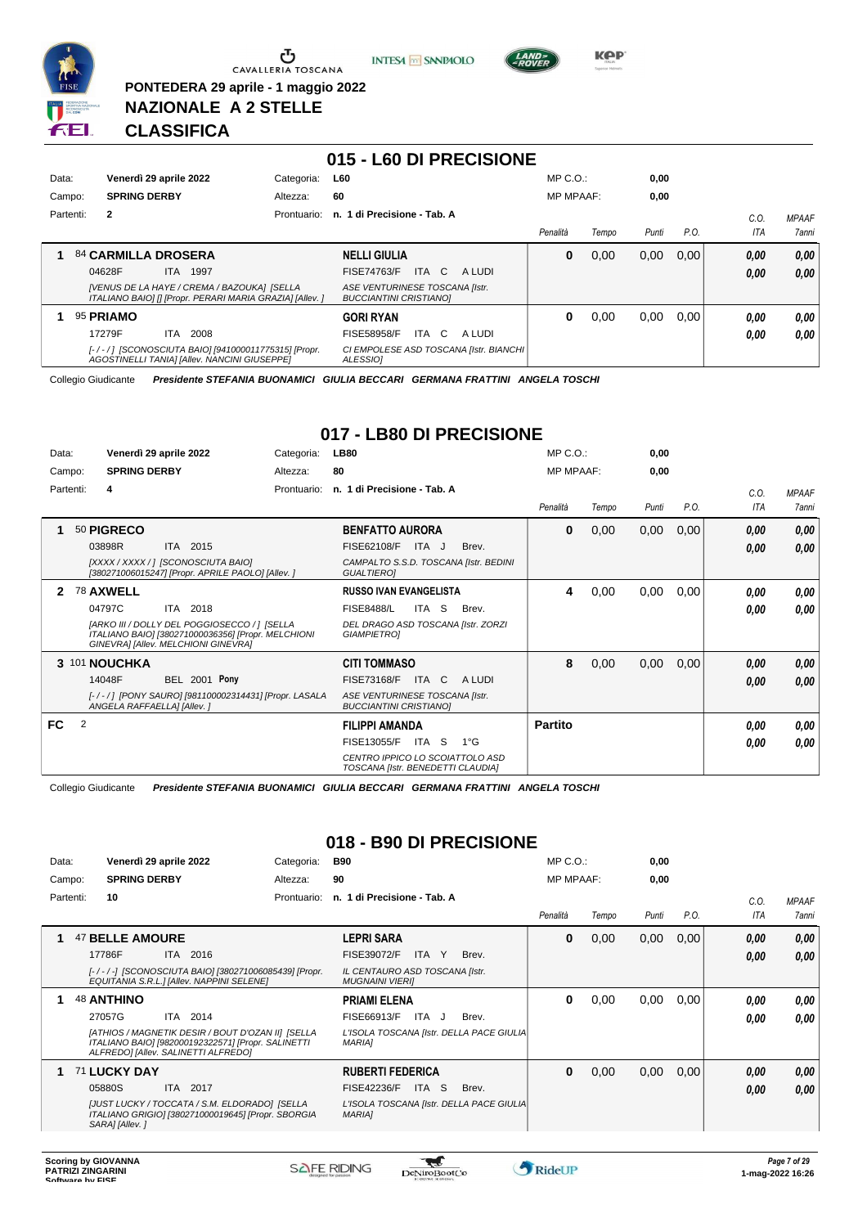

**PONTEDERA 29 aprile - 1 maggio 2022**

**NAZIONALE A 2 STELLE**

**INTESA** M SANPAOLO



**Kep** 

**CLASSIFICA**

### **015 - L60 DI PRECISIONE**

| Data: |           |                     | Venerdì 29 aprile 2022                       | Categoria:                                               | <b>L60</b>                                                      | $MP C. O.$ :     |       | 0,00  |      |      |              |
|-------|-----------|---------------------|----------------------------------------------|----------------------------------------------------------|-----------------------------------------------------------------|------------------|-------|-------|------|------|--------------|
|       | Campo:    | <b>SPRING DERBY</b> |                                              | Altezza:                                                 | 60                                                              | <b>MP MPAAF:</b> |       | 0,00  |      |      |              |
|       | Partenti: | $\mathbf{2}$        |                                              | Prontuario:                                              | n. 1 di Precisione - Tab. A                                     |                  |       |       |      | C.0  | <b>MPAAF</b> |
|       |           |                     |                                              |                                                          |                                                                 | Penalità         | Tempo | Punti | P.O. | ITA  | 7anni        |
|       |           |                     | <b>84 CARMILLA DROSERA</b>                   |                                                          | <b>NELLI GIULIA</b>                                             | 0                | 0,00  | 0,00  | 0.00 | 0,00 | 0,00         |
|       |           | 04628F              | 1997<br>ITA                                  |                                                          | <b>ITA</b><br><b>FISE74763/F</b><br>C.<br>A LUDI                |                  |       |       |      | 0,00 | 0,00         |
|       |           |                     | [VENUS DE LA HAYE / CREMA / BAZOUKA] [SELLA  | ITALIANO BAIO] [] [Propr. PERARI MARIA GRAZIA] [Allev. ] | ASE VENTURINESE TOSCANA [Istr.<br><b>BUCCIANTINI CRISTIANOI</b> |                  |       |       |      |      |              |
|       |           | 95 PRIAMO           |                                              |                                                          | <b>GORI RYAN</b>                                                | 0                | 0.00  | 0,00  | 0.00 | 0,00 | 0,00         |
|       |           | 17279F              | ITA.<br>2008                                 |                                                          | FISE58958/F<br>ITA<br>C.<br>A LUDI                              |                  |       |       |      | 0,00 | 0,00         |
|       |           |                     | AGOSTINELLI TANIA] [Allev. NANCINI GIUSEPPE] | [-/-/] [SCONOSCIUTA BAIO] [941000011775315] [Propr.      | CI EMPOLESE ASD TOSCANA [Istr. BIANCHI]<br><b>ALESSIOI</b>      |                  |       |       |      |      |              |

Collegio Giudicante *Presidente STEFANIA BUONAMICI GIULIA BECCARI GERMANA FRATTINI ANGELA TOSCHI*

## **017 - LB80 DI PRECISIONE**

| Data: |           |                                                       | Venerdì 29 aprile 2022                                                                                                                                | Categoria:  | <b>LB80</b>                                                                                                                           | $MP C. O.$ :     |       | 0,00  |      |                    |                              |
|-------|-----------|-------------------------------------------------------|-------------------------------------------------------------------------------------------------------------------------------------------------------|-------------|---------------------------------------------------------------------------------------------------------------------------------------|------------------|-------|-------|------|--------------------|------------------------------|
|       | Campo:    | <b>SPRING DERBY</b>                                   |                                                                                                                                                       | Altezza:    | 80                                                                                                                                    | <b>MP MPAAF:</b> |       | 0,00  |      |                    |                              |
|       | Partenti: | 4                                                     |                                                                                                                                                       | Prontuario: | n. 1 di Precisione - Tab. A                                                                                                           | Penalità         | Tempo | Punti | P.O. | C.O.<br><b>ITA</b> | <b>MPAAF</b><br><b>7anni</b> |
|       |           | 50 PIGRECO<br>03898R                                  | ITA 2015<br>[XXXX / XXXX / ] [SCONOSCIUTA BAIO]<br>[380271006015247] [Propr. APRILE PAOLO] [Allev. ]                                                  |             | <b>BENFATTO AURORA</b><br>FISE62108/F<br>ITA J<br>Brev.<br>CAMPALTO S.S.D. TOSCANA [Istr. BEDINI<br><b>GUALTIEROI</b>                 | $\mathbf{0}$     | 0,00  | 0,00  | 0,00 | 0,00<br>0.00       | 0,00<br>0,00                 |
| 2     |           | 78 AXWELL<br>04797C                                   | ITA 2018<br>[ARKO III / DOLLY DEL POGGIOSECCO / ] [SELLA<br>ITALIANO BAIO] [380271000036356] [Propr. MELCHIONI<br>GINEVRA] [Allev. MELCHIONI GINEVRA] |             | <b>RUSSO IVAN EVANGELISTA</b><br><b>FISE8488/L</b><br>-S<br>ITA<br>Brev.<br>DEL DRAGO ASD TOSCANA [Istr. ZORZI<br><b>GIAMPIETROI</b>  | 4                | 0,00  | 0,00  | 0,00 | 0.00<br>0,00       | 0,00<br>0,00                 |
|       |           | 3 101 NOUCHKA<br>14048F<br>ANGELA RAFFAELLA] [Allev.] | <b>BEL 2001 Pony</b><br>[-/-/] [PONY SAURO] [981100002314431] [Propr. LASALA                                                                          |             | <b>CITI TOMMASO</b><br><b>FISE73168/F</b><br>ITA<br>C.<br>A LUDI<br>ASE VENTURINESE TOSCANA [Istr.<br><b>BUCCIANTINI CRISTIANO1</b>   | 8                | 0,00  | 0,00  | 0,00 | 0,00<br>0.00       | 0,00<br>0.00                 |
| FC.   | 2         |                                                       |                                                                                                                                                       |             | <b>FILIPPI AMANDA</b><br>FISE13055/F<br>ITA S<br>$1^{\circ}G$<br>CENTRO IPPICO LO SCOIATTOLO ASD<br>TOSCANA [Istr. BENEDETTI CLAUDIA] | <b>Partito</b>   |       |       |      | 0.00<br>0.00       | 0,00<br>0.00                 |

Collegio Giudicante *Presidente STEFANIA BUONAMICI GIULIA BECCARI GERMANA FRATTINI ANGELA TOSCHI*

### **018 - B90 DI PRECISIONE**

| Data:     | Venerdì 29 aprile 2022                                                                                                                         | Categoria:  | <b>B90</b>                                                 | $MP C. O.$ :     |       | 0,00  |      |      |                     |
|-----------|------------------------------------------------------------------------------------------------------------------------------------------------|-------------|------------------------------------------------------------|------------------|-------|-------|------|------|---------------------|
| Campo:    | <b>SPRING DERBY</b>                                                                                                                            | Altezza:    | 90                                                         | <b>MP MPAAF:</b> |       | 0,00  |      |      |                     |
| Partenti: | 10                                                                                                                                             | Prontuario: | n. 1 di Precisione - Tab. A                                |                  |       |       |      | C.0. | <b>MPAAF</b>        |
|           |                                                                                                                                                |             |                                                            | Penalità         | Tempo | Punti | P.O. | ITA  | <i><b>7anni</b></i> |
|           | 47 BELLE AMOURE                                                                                                                                |             | <b>LEPRI SARA</b>                                          | 0                | 0,00  | 0,00  | 0,00 | 0.00 | 0,00                |
|           | 2016<br>17786F<br>ITA I                                                                                                                        |             | FISE39072/F<br>ITA.<br>Y<br>Brev.                          |                  |       |       |      | 0,00 | 0.00                |
|           | [-/-/-] [SCONOSCIUTA BAIO] [380271006085439] [Propr.<br>EQUITANIA S.R.L.] [Allev. NAPPINI SELENE]                                              |             | IL CENTAURO ASD TOSCANA [Istr.<br><b>MUGNAINI VIERII</b>   |                  |       |       |      |      |                     |
|           | <b>48 ANTHINO</b>                                                                                                                              |             | <b>PRIAMI ELENA</b>                                        | 0                | 0,00  | 0,00  | 0,00 | 0.00 | 0.00                |
|           | ITA 2014<br>27057G                                                                                                                             |             | FISE66913/F<br>ITA J<br>Brev.                              |                  |       |       |      | 0.00 | 0.00                |
|           | [ATHIOS / MAGNETIK DESIR / BOUT D'OZAN II] [SELLA<br>ITALIANO BAIO] [982000192322571] [Propr. SALINETTI<br>ALFREDO] [Allev. SALINETTI ALFREDO] |             | L'ISOLA TOSCANA [Istr. DELLA PACE GIULIA<br><b>MARIAI</b>  |                  |       |       |      |      |                     |
| 1         | 71 LUCKY DAY                                                                                                                                   |             | <b>RUBERTI FEDERICA</b>                                    | 0                | 0,00  | 0,00  | 0,00 | 0,00 | 0.00                |
|           | ITA 2017<br>05880S                                                                                                                             |             | <b>FISE42236/F</b><br>ITA S<br>Brev.                       |                  |       |       |      | 0,00 | 0.00                |
|           | [JUST LUCKY / TOCCATA / S.M. ELDORADO] [SELLA<br>ITALIANO GRIGIOI [380271000019645] [Propr. SBORGIA<br>SARA] [Allev.]                          |             | L'ISOLA TOSCANA [Istr. DELLA PACE GIULIA]<br><b>MARIAI</b> |                  |       |       |      |      |                     |

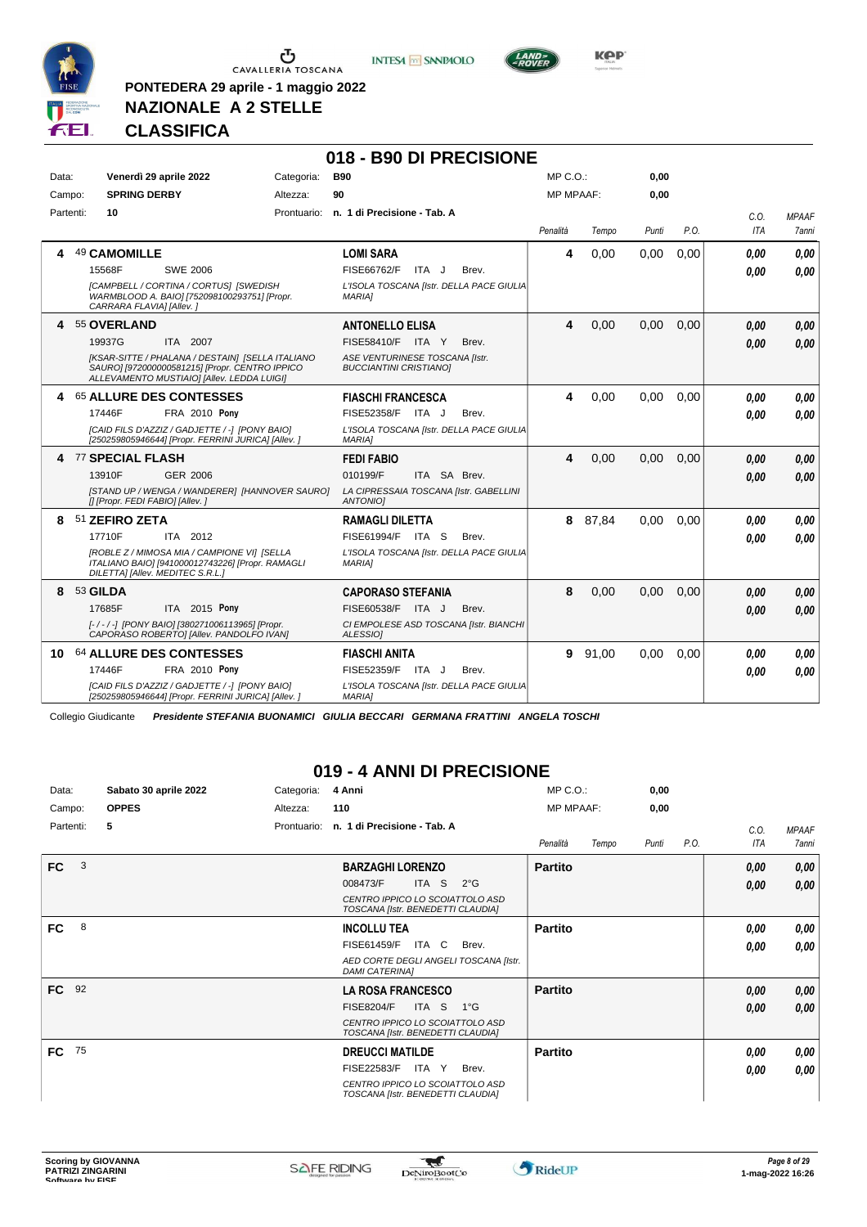



**018 - B90 DI PRECISIONE**



**Kep** 

**PONTEDERA 29 aprile - 1 maggio 2022 NAZIONALE A 2 STELLE**

### **CLASSIFICA**

| Data:     | Venerdì 29 aprile 2022                                                                                                                                                               | Categoria: | <b>B90</b>                                                                                  |              |                                                   | MP C.O.:         |       | 0,00  |      |                    |                              |
|-----------|--------------------------------------------------------------------------------------------------------------------------------------------------------------------------------------|------------|---------------------------------------------------------------------------------------------|--------------|---------------------------------------------------|------------------|-------|-------|------|--------------------|------------------------------|
| Campo:    | <b>SPRING DERBY</b>                                                                                                                                                                  | Altezza:   | 90                                                                                          |              |                                                   | <b>MP MPAAF:</b> |       | 0.00  |      |                    |                              |
| Partenti: | 10                                                                                                                                                                                   |            | Prontuario: n. 1 di Precisione - Tab. A                                                     |              |                                                   | Penalità         | Tempo | Punti | P.O. | C.O.<br><b>ITA</b> | <b>MPAAF</b><br><b>7anni</b> |
| 4         | <b>49 CAMOMILLE</b><br>15568F<br><b>SWE 2006</b><br>[CAMPBELL / CORTINA / CORTUS] [SWEDISH                                                                                           |            | <b>LOMI SARA</b><br>FISE66762/F                                                             | ITA J        | Brev.<br>L'ISOLA TOSCANA [Istr. DELLA PACE GIULIA | 4                | 0,00  | 0,00  | 0,00 | 0,00<br>0.00       | 0.00<br>0.00                 |
| 4         | WARMBLOOD A. BAIO] [752098100293751] [Propr.<br>CARRARA FLAVIA] [Allev. ]<br>55 OVERLAND                                                                                             |            | <b>MARIA1</b><br><b>ANTONELLO ELISA</b>                                                     |              |                                                   | 4                | 0,00  | 0.00  | 0.00 | 0,00               | 0,00                         |
|           | 19937G<br>ITA 2007<br>[KSAR-SITTE / PHALANA / DESTAIN] [SELLA ITALIANO<br>SAURO] [972000000581215] [Propr. CENTRO IPPICO<br>ALLEVAMENTO MUSTIAIO] [Allev. LEDDA LUIGI]               |            | <b>FISE58410/F ITA Y</b><br>ASE VENTURINESE TOSCANA [Istr.<br><b>BUCCIANTINI CRISTIANOI</b> |              | Brev.                                             |                  |       |       |      | 0.00               | 0.00                         |
|           | 4 65 ALLURE DES CONTESSES<br>17446F<br>FRA 2010 Pony<br>[CAID FILS D'AZZIZ / GADJETTE / -1 [PONY BAIO]<br>[250259805946644] [Propr. FERRINI JURICA] [Allev. ]                        |            | <b>FIASCHI FRANCESCA</b><br>FISE52358/F ITA J<br><b>MARIA1</b>                              |              | Brev.<br>L'ISOLA TOSCANA [Istr. DELLA PACE GIULIA | 4                | 0,00  | 0,00  | 0.00 | 0.00<br>0.00       | 0.00<br>0.00                 |
|           | 4 77 SPECIAL FLASH<br>13910F<br>GER 2006<br>[STAND UP / WENGA / WANDERER] [HANNOVER SAURO]<br>[] [Propr. FEDI FABIO] [Allev.]                                                        |            | <b>FEDI FABIO</b><br>010199/F<br>LA CIPRESSAIA TOSCANA [Istr. GABELLINI<br><b>ANTONIOI</b>  | ITA SA Brev. |                                                   | 4                | 0,00  | 0.00  | 0.00 | 0.00<br>0.00       | 0,00<br>0,00                 |
|           | 8 51 ZEFIRO ZETA<br>17710F<br>ITA 2012<br><b>IROBLE Z / MIMOSA MIA / CAMPIONE VII ISELLA</b><br>ITALIANO BAIO] [941000012743226] [Propr. RAMAGLI<br>DILETTA] [Allev. MEDITEC S.R.L.] |            | <b>RAMAGLI DILETTA</b><br>FISE61994/F ITA S<br><b>MARIA1</b>                                |              | Brev.<br>L'ISOLA TOSCANA [Istr. DELLA PACE GIULIA | 8                | 87,84 | 0.00  | 0.00 | 0,00<br>0.00       | 0,00<br>0.00                 |
| 8         | 53 GILDA<br>17685F<br>ITA 2015 Pony<br>[-/-/-] [PONY BAIO] [380271006113965] [Propr.<br>CAPORASO ROBERTO] [Allev. PANDOLFO IVAN]                                                     |            | <b>CAPORASO STEFANIA</b><br>FISE60538/F ITA J<br>ALESSIO1                                   |              | Brev.<br>CI EMPOLESE ASD TOSCANA [Istr. BIANCHI   | 8                | 0,00  | 0,00  | 0.00 | 0,00<br>0.00       | 0,00<br>0.00                 |
|           | 10 64 ALLURE DES CONTESSES<br>17446F<br>FRA 2010 Pony<br>[CAID FILS D'AZZIZ / GADJETTE / -1 [PONY BAIO]<br>[250259805946644] [Propr. FERRINI JURICA] [Allev. ]                       |            | <b>FIASCHI ANITA</b><br>FISE52359/F<br><b>MARIAI</b>                                        | ITA J        | Brev.<br>L'ISOLA TOSCANA [Istr. DELLA PACE GIULIA | 9                | 91,00 | 0,00  | 0,00 | 0,00<br>0.00       | 0,00<br>0.00                 |

Collegio Giudicante *Presidente STEFANIA BUONAMICI GIULIA BECCARI GERMANA FRATTINI ANGELA TOSCHI*

#### **019 - 4 ANNI DI PRECISIONE**

| Data:          | Sabato 30 aprile 2022 | Categoria: | 4 Anni                                                                                                                                 | $MP C. O.$ :     |       | 0,00  |      |              |                       |
|----------------|-----------------------|------------|----------------------------------------------------------------------------------------------------------------------------------------|------------------|-------|-------|------|--------------|-----------------------|
| Campo:         | <b>OPPES</b>          | Altezza:   | 110                                                                                                                                    | <b>MP MPAAF:</b> |       | 0,00  |      |              |                       |
| Partenti:      | 5                     |            | Prontuario: n. 1 di Precisione - Tab. A                                                                                                | Penalità         | Tempo | Punti | P.O. | C.O.<br>ITA  | <b>MPAAF</b><br>7anni |
| <b>FC</b><br>3 |                       |            | <b>BARZAGHI LORENZO</b>                                                                                                                | <b>Partito</b>   |       |       |      | 0,00         | 0,00                  |
|                |                       |            | 008473/F<br>ITA S<br>$2^{\circ}$ G<br>CENTRO IPPICO LO SCOIATTOLO ASD<br>TOSCANA [Istr. BENEDETTI CLAUDIA]                             |                  |       |       |      | 0,00         | 0,00                  |
| FC<br>8        |                       |            | <b>INCOLLU TEA</b><br><b>FISE61459/F</b><br>ITA C<br>Brev.<br>AED CORTE DEGLI ANGELI TOSCANA [Istr.<br><b>DAMI CATERINA]</b>           | <b>Partito</b>   |       |       |      | 0,00<br>0,00 | 0,00<br>0,00          |
| FC 92          |                       |            | <b>LA ROSA FRANCESCO</b><br><b>FISE8204/F</b><br>ITA S<br>1°G<br>CENTRO IPPICO LO SCOIATTOLO ASD<br>TOSCANA [Istr. BENEDETTI CLAUDIA]  | <b>Partito</b>   |       |       |      | 0,00<br>0,00 | 0,00<br>0,00          |
| FC 75          |                       |            | <b>DREUCCI MATILDE</b><br><b>FISE22583/F</b><br>ITA Y<br>Brev.<br>CENTRO IPPICO LO SCOIATTOLO ASD<br>TOSCANA [Istr. BENEDETTI CLAUDIA] | <b>Partito</b>   |       |       |      | 0.00<br>0,00 | 0,00<br>0.00          |

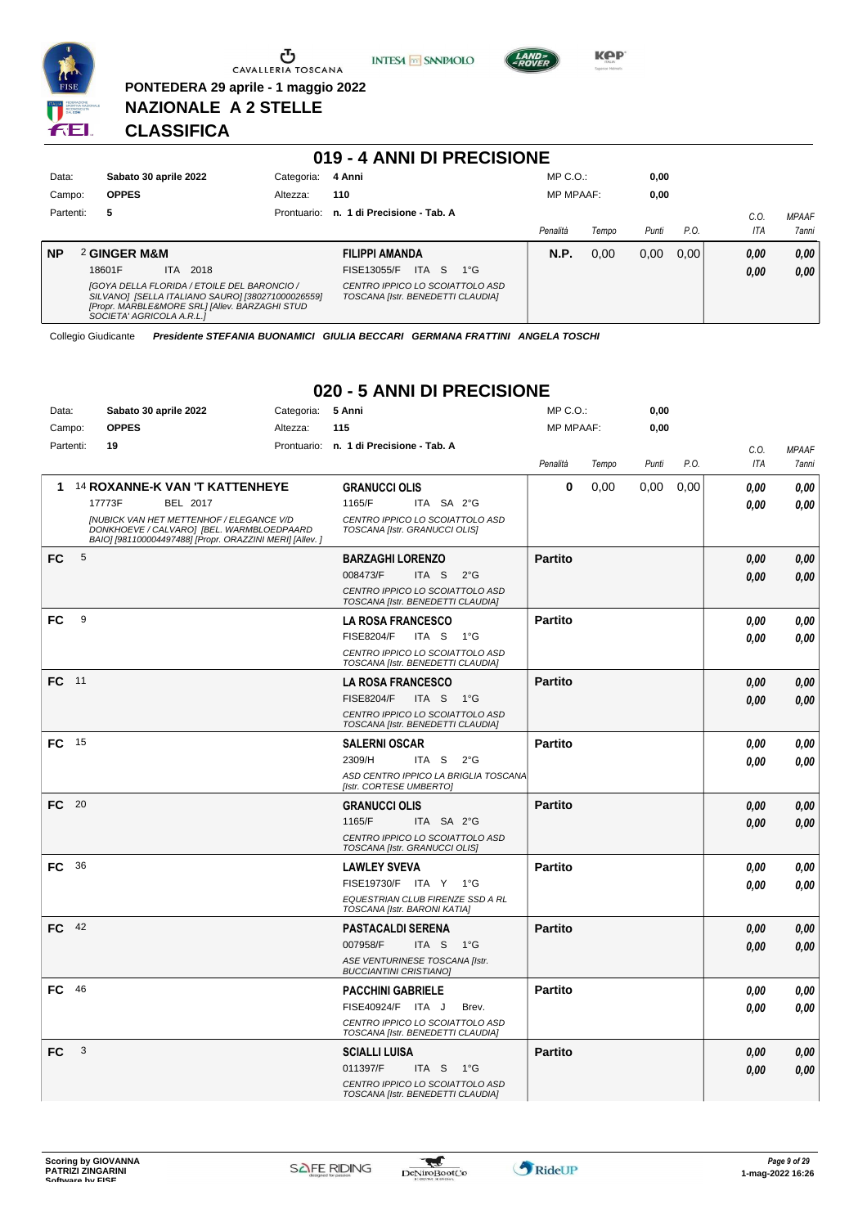

**PONTEDERA 29 aprile - 1 maggio 2022**

**NAZIONALE A 2 STELLE**

**INTESA** M SANPAOLO



**Kep** 

**CLASSIFICA**

|           |                                                                                                                                                                                        |             | 019 - 4 ANNI DI PRECISIONE                                           |                  |       |       |      |      |              |
|-----------|----------------------------------------------------------------------------------------------------------------------------------------------------------------------------------------|-------------|----------------------------------------------------------------------|------------------|-------|-------|------|------|--------------|
| Data:     | Sabato 30 aprile 2022                                                                                                                                                                  | Categoria:  | 4 Anni                                                               | $MP C. O.$ :     |       | 0,00  |      |      |              |
| Campo:    | <b>OPPES</b>                                                                                                                                                                           | Altezza:    | 110                                                                  | <b>MP MPAAF:</b> |       | 0,00  |      |      |              |
| Partenti: | 5                                                                                                                                                                                      | Prontuario: | n. 1 di Precisione - Tab. A                                          |                  |       |       |      | C.O. | <b>MPAAF</b> |
|           |                                                                                                                                                                                        |             |                                                                      | Penalità         | Tempo | Punti | P.O. | ITA  | <b>7anni</b> |
| <b>NP</b> | 2 GINGER M&M                                                                                                                                                                           |             | <b>FILIPPI AMANDA</b>                                                | <b>N.P.</b>      | 0.00  | 0.00  | 0.00 | 0,00 | 0,00         |
|           | 2018<br>18601F<br><b>ITA</b>                                                                                                                                                           |             | ITA S<br>FISE13055/F<br>$1^{\circ}G$                                 |                  |       |       |      | 0,00 | 0,00         |
|           | <b>[GOYA DELLA FLORIDA / ETOILE DEL BARONCIO /</b><br>SILVANO] [SELLA ITALIANO SAURO] [380271000026559]<br>[Propr. MARBLE&MORE SRL] [Allev. BARZAGHI STUD<br>SOCIETA' AGRICOLA A.R.L.1 |             | CENTRO IPPICO LO SCOIATTOLO ASD<br>TOSCANA [Istr. BENEDETTI CLAUDIA] |                  |       |       |      |      |              |

Collegio Giudicante *Presidente STEFANIA BUONAMICI GIULIA BECCARI GERMANA FRATTINI ANGELA TOSCHI*

### **020 - 5 ANNI DI PRECISIONE**

| Data:  |           | Sabato 30 aprile 2022                                                                                                                                    | Categoria: | 5 Anni                                                               | MP C.O.:         |       | 0,00  |      |      |                     |
|--------|-----------|----------------------------------------------------------------------------------------------------------------------------------------------------------|------------|----------------------------------------------------------------------|------------------|-------|-------|------|------|---------------------|
| Campo: |           | <b>OPPES</b>                                                                                                                                             | Altezza:   | 115                                                                  | <b>MP MPAAF:</b> |       | 0,00  |      |      |                     |
|        | Partenti: | 19                                                                                                                                                       |            | Prontuario: n. 1 di Precisione - Tab. A                              |                  |       |       |      | C.O. | <b>MPAAF</b>        |
|        |           |                                                                                                                                                          |            |                                                                      | Penalità         | Tempo | Punti | P.O. | ITA  | <i><b>7anni</b></i> |
| 1      |           | 14 ROXANNE-K VAN 'T KATTENHEYE                                                                                                                           |            | <b>GRANUCCI OLIS</b>                                                 | $\bf{0}$         | 0,00  | 0,00  | 0,00 | 0.00 | 0,00                |
|        |           | 17773F<br><b>BEL 2017</b>                                                                                                                                |            | 1165/F<br>ITA SA 2°G                                                 |                  |       |       |      | 0.00 | 0.00                |
|        |           | <b>INUBICK VAN HET METTENHOF / ELEGANCE V/D</b><br>DONKHOEVE / CALVARO] [BEL. WARMBLOEDPAARD<br>BAIO] [981100004497488] [Propr. ORAZZINI MERI] [Allev. ] |            | CENTRO IPPICO LO SCOIATTOLO ASD<br>TOSCANA [Istr. GRANUCCI OLIS]     |                  |       |       |      |      |                     |
| FC     | 5         |                                                                                                                                                          |            | <b>BARZAGHI LORENZO</b>                                              | <b>Partito</b>   |       |       |      | 0,00 | 0,00                |
|        |           |                                                                                                                                                          |            | 008473/F<br>ITA S<br>$2^{\circ}$ G                                   |                  |       |       |      | 0.00 | 0.00                |
|        |           |                                                                                                                                                          |            | CENTRO IPPICO LO SCOIATTOLO ASD<br>TOSCANA [Istr. BENEDETTI CLAUDIA] |                  |       |       |      |      |                     |
| FC     | 9         |                                                                                                                                                          |            | <b>LA ROSA FRANCESCO</b>                                             | <b>Partito</b>   |       |       |      | 0.00 | 0,00                |
|        |           |                                                                                                                                                          |            | <b>FISE8204/F</b><br>ITA S 1°G                                       |                  |       |       |      | 0.00 | 0.00                |
|        |           |                                                                                                                                                          |            | CENTRO IPPICO LO SCOIATTOLO ASD<br>TOSCANA [Istr. BENEDETTI CLAUDIA] |                  |       |       |      |      |                     |
| FC 11  |           |                                                                                                                                                          |            | <b>LA ROSA FRANCESCO</b>                                             | <b>Partito</b>   |       |       |      | 0,00 | 0,00                |
|        |           |                                                                                                                                                          |            | <b>FISE8204/F</b><br>ITA S<br>$1^{\circ}G$                           |                  |       |       |      | 0.00 | 0.00                |
|        |           |                                                                                                                                                          |            | CENTRO IPPICO LO SCOIATTOLO ASD<br>TOSCANA [Istr. BENEDETTI CLAUDIA] |                  |       |       |      |      |                     |
| FC     | -15       |                                                                                                                                                          |            | <b>SALERNI OSCAR</b>                                                 | <b>Partito</b>   |       |       |      | 0.00 | 0.00                |
|        |           |                                                                                                                                                          |            | 2309/H<br>ITA S<br>$2^{\circ}G$                                      |                  |       |       |      | 0.00 | 0.00                |
|        |           |                                                                                                                                                          |            | ASD CENTRO IPPICO LA BRIGLIA TOSCANA<br>[Istr. CORTESE UMBERTO]      |                  |       |       |      |      |                     |
| FC 20  |           |                                                                                                                                                          |            | <b>GRANUCCI OLIS</b>                                                 | <b>Partito</b>   |       |       |      | 0,00 | 0,00                |
|        |           |                                                                                                                                                          |            | 1165/F<br>ITA SA 2°G                                                 |                  |       |       |      | 0.00 | 0.00                |
|        |           |                                                                                                                                                          |            | CENTRO IPPICO LO SCOIATTOLO ASD<br>TOSCANA [Istr. GRANUCCI OLIS]     |                  |       |       |      |      |                     |
| FC     | 36        |                                                                                                                                                          |            | <b>LAWLEY SVEVA</b>                                                  | <b>Partito</b>   |       |       |      | 0,00 | 0,00                |
|        |           |                                                                                                                                                          |            | FISE19730/F ITA Y 1°G                                                |                  |       |       |      | 0.00 | 0,00                |
|        |           |                                                                                                                                                          |            | EQUESTRIAN CLUB FIRENZE SSD A RL<br>TOSCANA [Istr. BARONI KATIA]     |                  |       |       |      |      |                     |
| FC.    | 42        |                                                                                                                                                          |            | <b>PASTACALDI SERENA</b>                                             | <b>Partito</b>   |       |       |      | 0,00 | 0.00                |
|        |           |                                                                                                                                                          |            | 007958/F<br>ITA S<br>$1^{\circ}G$                                    |                  |       |       |      | 0.00 | 0.00                |
|        |           |                                                                                                                                                          |            | ASE VENTURINESE TOSCANA [Istr.<br><b>BUCCIANTINI CRISTIANO]</b>      |                  |       |       |      |      |                     |
| FC     | 46        |                                                                                                                                                          |            | <b>PACCHINI GABRIELE</b>                                             | <b>Partito</b>   |       |       |      | 0.00 | 0,00                |
|        |           |                                                                                                                                                          |            | FISE40924/F ITA J<br>Brev.                                           |                  |       |       |      | 0.00 | 0,00                |
|        |           |                                                                                                                                                          |            | CENTRO IPPICO LO SCOIATTOLO ASD<br>TOSCANA [Istr. BENEDETTI CLAUDIA] |                  |       |       |      |      |                     |
| FC.    | 3         |                                                                                                                                                          |            | <b>SCIALLI LUISA</b>                                                 | <b>Partito</b>   |       |       |      | 0,00 | 0,00                |
|        |           |                                                                                                                                                          |            | 011397/F<br>ITA S 1°G                                                |                  |       |       |      | 0.00 | 0,00                |
|        |           |                                                                                                                                                          |            | CENTRO IPPICO LO SCOIATTOLO ASD<br>TOSCANA [Istr. BENEDETTI CLAUDIA] |                  |       |       |      |      |                     |

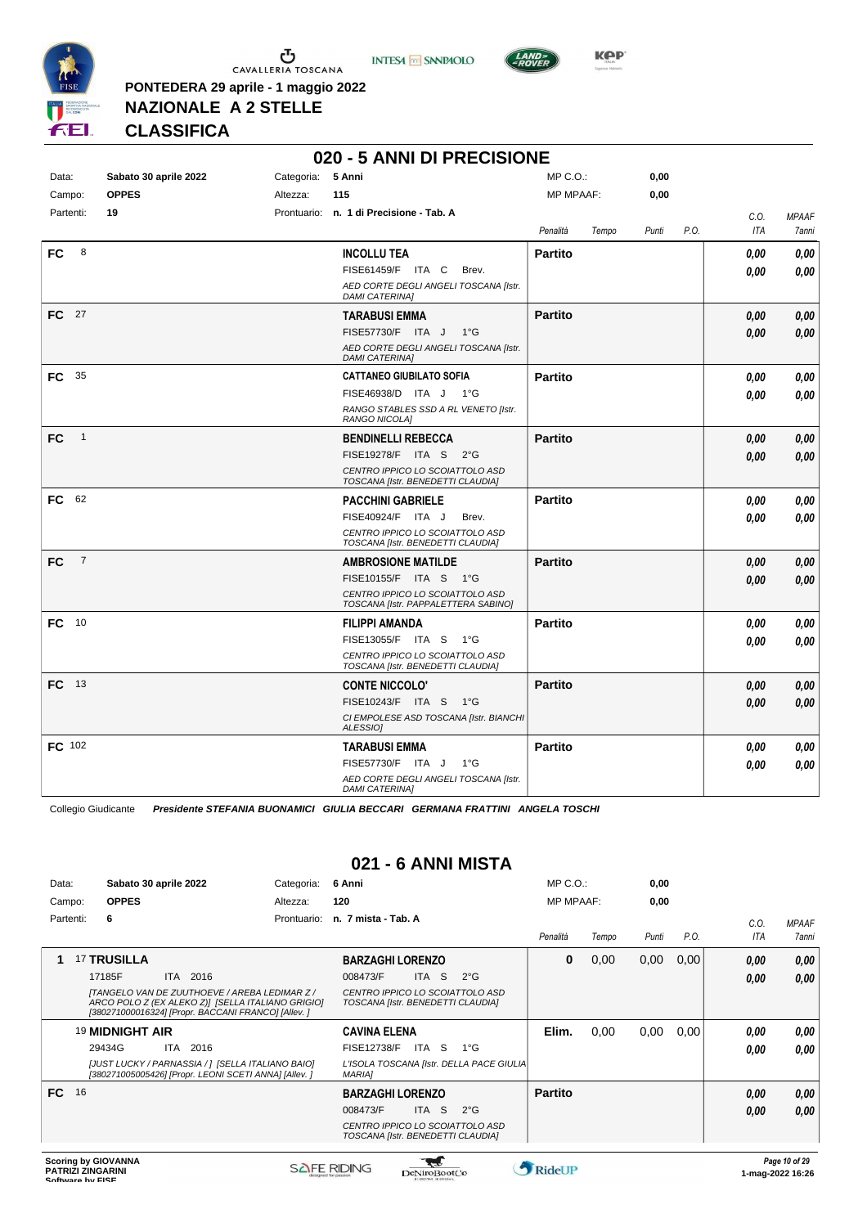





**PONTEDERA 29 aprile - 1 maggio 2022 NAZIONALE A 2 STELLE**

**CLASSIFICA**

#### **020 - 5 ANNI DI PRECISIONE**

| Data:     |                | Sabato 30 aprile 2022<br><b>OPPES</b> | Categoria: 5 Anni | 115                                                                    | $MP C. O.$ :     |       | 0,00  |      |      |              |
|-----------|----------------|---------------------------------------|-------------------|------------------------------------------------------------------------|------------------|-------|-------|------|------|--------------|
| Campo:    |                |                                       | Altezza:          |                                                                        | <b>MP MPAAF:</b> |       | 0,00  |      |      |              |
| Partenti: |                | 19                                    |                   | Prontuario: n. 1 di Precisione - Tab. A                                |                  |       |       |      | C.O. | <b>MPAAF</b> |
|           |                |                                       |                   |                                                                        | Penalità         | Tempo | Punti | P.O. | ITA  | 7anni        |
| FC.       | 8              |                                       |                   | <b>INCOLLU TEA</b>                                                     | <b>Partito</b>   |       |       |      | 0,00 | 0,00         |
|           |                |                                       |                   | FISE61459/F ITA C<br>Brev.                                             |                  |       |       |      | 0.00 | 0.00         |
|           |                |                                       |                   | AED CORTE DEGLI ANGELI TOSCANA [Istr.<br><b>DAMI CATERINAI</b>         |                  |       |       |      |      |              |
| FC 27     |                |                                       |                   | <b>TARABUSI EMMA</b>                                                   | <b>Partito</b>   |       |       |      | 0,00 | 0,00         |
|           |                |                                       |                   | FISE57730/F ITA J<br>$1^{\circ}G$                                      |                  |       |       |      | 0,00 | 0,00         |
|           |                |                                       |                   | AED CORTE DEGLI ANGELI TOSCANA [Istr.<br><b>DAMI CATERINAI</b>         |                  |       |       |      |      |              |
| FC .      | -35            |                                       |                   | <b>CATTANEO GIUBILATO SOFIA</b>                                        | <b>Partito</b>   |       |       |      | 0,00 | 0,00         |
|           |                |                                       |                   | FISE46938/D ITA J 1°G                                                  |                  |       |       |      | 0.00 | 0,00         |
|           |                |                                       |                   | RANGO STABLES SSD A RL VENETO [Istr.<br>RANGO NICOLAI                  |                  |       |       |      |      |              |
| FC        | $\overline{1}$ |                                       |                   | <b>BENDINELLI REBECCA</b>                                              | <b>Partito</b>   |       |       |      | 0,00 | 0,00         |
|           |                |                                       |                   | FISE19278/F ITA S 2°G                                                  |                  |       |       |      | 0.00 | 0,00         |
|           |                |                                       |                   | CENTRO IPPICO LO SCOIATTOLO ASD<br>TOSCANA [Istr. BENEDETTI CLAUDIA]   |                  |       |       |      |      |              |
| FC 62     |                |                                       |                   | <b>PACCHINI GABRIELE</b>                                               | <b>Partito</b>   |       |       |      | 0.00 | 0.00         |
|           |                |                                       |                   | FISE40924/F ITA J<br>Brev.                                             |                  |       |       |      | 0.00 | 0.00         |
|           |                |                                       |                   | CENTRO IPPICO LO SCOIATTOLO ASD<br>TOSCANA [Istr. BENEDETTI CLAUDIA]   |                  |       |       |      |      |              |
| FC.       | $\overline{7}$ |                                       |                   | <b>AMBROSIONE MATILDE</b>                                              | <b>Partito</b>   |       |       |      | 0,00 | 0,00         |
|           |                |                                       |                   | FISE10155/F ITA S 1°G                                                  |                  |       |       |      | 0,00 | 0,00         |
|           |                |                                       |                   | CENTRO IPPICO LO SCOIATTOLO ASD<br>TOSCANA [Istr. PAPPALETTERA SABINO] |                  |       |       |      |      |              |
| FC        | 10             |                                       |                   | <b>FILIPPI AMANDA</b>                                                  | <b>Partito</b>   |       |       |      | 0,00 | 0,00         |
|           |                |                                       |                   | FISE13055/F ITA S 1°G                                                  |                  |       |       |      | 0,00 | 0,00         |
|           |                |                                       |                   | CENTRO IPPICO LO SCOIATTOLO ASD<br>TOSCANA [Istr. BENEDETTI CLAUDIA]   |                  |       |       |      |      |              |
| FC 13     |                |                                       |                   | <b>CONTE NICCOLO'</b>                                                  | <b>Partito</b>   |       |       |      | 0,00 | 0,00         |
|           |                |                                       |                   | FISE10243/F ITA S 1°G                                                  |                  |       |       |      | 0,00 | 0,00         |
|           |                |                                       |                   | CI EMPOLESE ASD TOSCANA [Istr. BIANCHI<br>ALESSIOI                     |                  |       |       |      |      |              |
| FC 102    |                |                                       |                   | TARABUSI EMMA                                                          | <b>Partito</b>   |       |       |      | 0,00 | 0,00         |
|           |                |                                       |                   | FISE57730/F ITA J<br>1°G                                               |                  |       |       |      | 0.00 | 0.00         |
|           |                |                                       |                   | AED CORTE DEGLI ANGELI TOSCANA [Istr.<br><b>DAMI CATERINA]</b>         |                  |       |       |      |      |              |

Collegio Giudicante *Presidente STEFANIA BUONAMICI GIULIA BECCARI GERMANA FRATTINI ANGELA TOSCHI*

### **021 - 6 ANNI MISTA**

| Data:     |    |                    | Sabato 30 aprile 2022                                                                                                                                     | Categoria:  | 6 Anni                                                               |        |                                          | $MP C. O.$ :     |       | 0,00  |      |      |              |
|-----------|----|--------------------|-----------------------------------------------------------------------------------------------------------------------------------------------------------|-------------|----------------------------------------------------------------------|--------|------------------------------------------|------------------|-------|-------|------|------|--------------|
| Campo:    |    | <b>OPPES</b>       |                                                                                                                                                           | Altezza:    | 120                                                                  |        |                                          | <b>MP MPAAF:</b> |       | 0,00  |      |      |              |
| Partenti: |    | 6                  |                                                                                                                                                           | Prontuario: | n. 7 mista - Tab. A                                                  |        |                                          |                  |       |       |      | C.O. | <b>MPAAF</b> |
|           |    |                    |                                                                                                                                                           |             |                                                                      |        |                                          | Penalità         | Tempo | Punti | P.O. | ITA  | 7anni        |
|           |    | <b>17 TRUSILLA</b> |                                                                                                                                                           |             | <b>BARZAGHI LORENZO</b>                                              |        |                                          | 0                | 0,00  | 0,00  | 0,00 | 0,00 | 0,00         |
|           |    | 17185F             | 2016<br>ITA.                                                                                                                                              |             | 008473/F                                                             | ITA S  | $2^{\circ}G$                             |                  |       |       |      | 0,00 | 0,00         |
|           |    |                    | [TANGELO VAN DE ZUUTHOEVE / AREBA LEDIMAR Z /<br>ARCO POLO Z (EX ALEKO Z)] [SELLA ITALIANO GRIGIO]<br>[380271000016324] [Propr. BACCANI FRANCO] [Allev. ] |             | CENTRO IPPICO LO SCOIATTOLO ASD<br>TOSCANA [Istr. BENEDETTI CLAUDIA] |        |                                          |                  |       |       |      |      |              |
|           |    | 19 MIDNIGHT AIR    |                                                                                                                                                           |             | <b>CAVINA ELENA</b>                                                  |        |                                          | Elim.            | 0,00  | 0,00  | 0,00 | 0.00 | 0.00         |
|           |    | 29434G             | ITA 2016                                                                                                                                                  |             | <b>FISE12738/F</b>                                                   | ITA S  | $1^{\circ}G$                             |                  |       |       |      | 0,00 | 0.00         |
|           |    |                    | [JUST LUCKY / PARNASSIA / 1 [SELLA ITALIANO BAIO]<br>[380271005005426] [Propr. LEONI SCETI ANNA] [Allev. ]                                                |             | <b>MARIAI</b>                                                        |        | L'ISOLA TOSCANA [Istr. DELLA PACE GIULIA |                  |       |       |      |      |              |
| FC.       | 16 |                    |                                                                                                                                                           |             | <b>BARZAGHI LORENZO</b>                                              |        |                                          | <b>Partito</b>   |       |       |      | 0,00 | 0.00         |
|           |    |                    |                                                                                                                                                           |             | 008473/F                                                             | ITA S  | $2^{\circ}$ G                            |                  |       |       |      | 0,00 | 0,00         |
|           |    |                    |                                                                                                                                                           |             | CENTRO IPPICO LO SCOIATTOLO ASD<br>TOSCANA [Istr. BENEDETTI CLAUDIA] |        |                                          |                  |       |       |      |      |              |
|           |    |                    |                                                                                                                                                           |             |                                                                      | $\sim$ |                                          |                  |       |       |      |      |              |

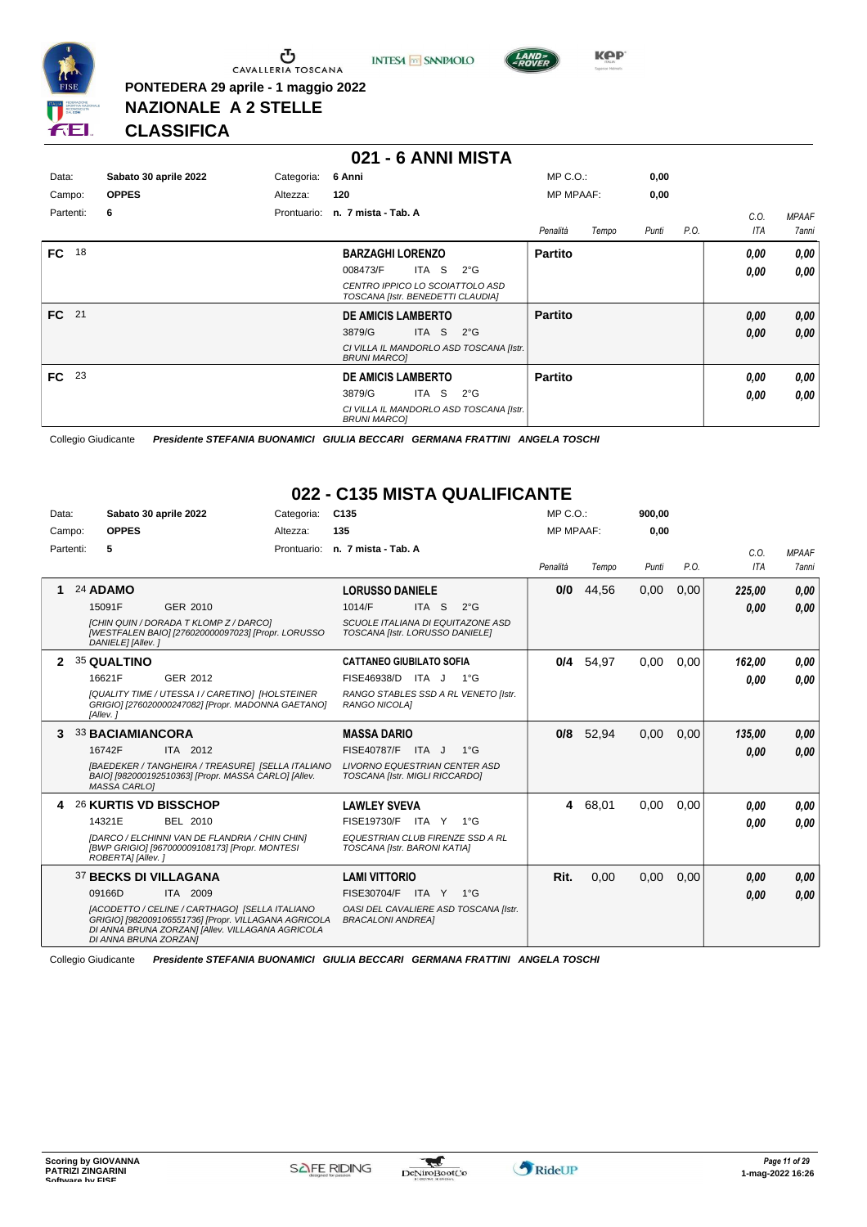

**PONTEDERA 29 aprile - 1 maggio 2022**





**KOP** 

**0,00 0,00**

*C.O.*

*MPAAF*

**NAZIONALE A 2 STELLE CLASSIFICA**

#### **021 - 6 ANNI MISTA**<br>Categoria: 6 Anni Data: Sabato 30 aprile 2022 **6 Categoria: 6 Anni** Prontuario: **n. 7 mista - Tab. A** Campo: **OPPES** Partenti: **6** Altezza: **120** MP C.O.: MP MPAAF:

|       |    |                                                                      | Punti<br>Penalità<br>Tempo<br>P.O. | ITA  | 7anni |
|-------|----|----------------------------------------------------------------------|------------------------------------|------|-------|
| FC.   | 18 | <b>BARZAGHI LORENZO</b>                                              | <b>Partito</b>                     | 0,00 | 0,00  |
|       |    | ITA S $2^{\circ}$ G<br>008473/F                                      |                                    | 0.00 | 0,00  |
|       |    | CENTRO IPPICO LO SCOIATTOLO ASD<br>TOSCANA [Istr. BENEDETTI CLAUDIA] |                                    |      |       |
| FC 21 |    | <b>DE AMICIS LAMBERTO</b>                                            | <b>Partito</b>                     | 0,00 | 0,00  |
|       |    | 3879/G<br>ITA S $2^{\circ}G$                                         |                                    | 0,00 | 0,00  |
|       |    | CI VILLA IL MANDORLO ASD TOSCANA [Istr.<br><b>BRUNI MARCOI</b>       |                                    |      |       |
| FC 23 |    | <b>DE AMICIS LAMBERTO</b>                                            | <b>Partito</b>                     | 0,00 | 0,00  |
|       |    | ITA S $2^{\circ}$ G<br>3879/G                                        |                                    | 0,00 | 0,00  |
|       |    | CI VILLA IL MANDORLO ASD TOSCANA [Istr.<br><b>BRUNI MARCOI</b>       |                                    |      |       |

Collegio Giudicante *Presidente STEFANIA BUONAMICI GIULIA BECCARI GERMANA FRATTINI ANGELA TOSCHI*

## **022 - C135 MISTA QUALIFICANTE**

| Data:          |           | Sabato 30 aprile 2022   |                                                                                                                                                            | Categoria:  | C <sub>135</sub>                |                                       | $MP C. O.$ :     |       | 900,00 |      |        |              |
|----------------|-----------|-------------------------|------------------------------------------------------------------------------------------------------------------------------------------------------------|-------------|---------------------------------|---------------------------------------|------------------|-------|--------|------|--------|--------------|
|                | Campo:    | <b>OPPES</b>            |                                                                                                                                                            | Altezza:    | 135                             |                                       | <b>MP MPAAF:</b> |       | 0,00   |      |        |              |
|                | Partenti: | 5                       |                                                                                                                                                            | Prontuario: | n. 7 mista - Tab. A             |                                       |                  |       |        |      | C.O.   | <b>MPAAF</b> |
|                |           |                         |                                                                                                                                                            |             |                                 |                                       | Penalità         | Tempo | Punti  | P.O. | ITA    | 7anni        |
|                |           | 24 ADAMO                |                                                                                                                                                            |             | <b>LORUSSO DANIELE</b>          |                                       | 0/0              | 44,56 | 0,00   | 0,00 | 225,00 | 0,00         |
|                |           | 15091F                  | GER 2010                                                                                                                                                   |             | 1014/F                          | ITA S<br>$2^{\circ}$ G                |                  |       |        |      | 0.00   | 0,00         |
|                |           | DANIELE] [Allev. ]      | [CHIN QUIN / DORADA T KLOMP Z / DARCO]<br>[WESTFALEN BAIO] [276020000097023] [Propr. LORUSSO                                                               |             | TOSCANA [Istr. LORUSSO DANIELE] | SCUOLE ITALIANA DI EQUITAZONE ASD     |                  |       |        |      |        |              |
| $\overline{2}$ |           | 35 QUALTINO             |                                                                                                                                                            |             | <b>CATTANEO GIUBILATO SOFIA</b> |                                       | 0/4              | 54.97 | 0,00   | 0,00 | 162,00 | 0.00         |
|                |           | 16621F                  | GER 2012                                                                                                                                                   |             | FISE46938/D ITA J               | 1°G                                   |                  |       |        |      | 0,00   | 0.00         |
|                |           | [Allev.]                | [QUALITY TIME / UTESSA I / CARETINO] [HOLSTEINER<br>GRIGIO] [276020000247082] [Propr. MADONNA GAETANO]                                                     |             | RANGO NICOLAI                   | RANGO STABLES SSD A RL VENETO [Istr.  |                  |       |        |      |        |              |
| 3              |           | <b>33 BACIAMIANCORA</b> |                                                                                                                                                            |             | <b>MASSA DARIO</b>              |                                       | 0/8              | 52.94 | 0.00   | 0,00 | 135.00 | 0,00         |
|                |           | 16742F                  | ITA 2012                                                                                                                                                   |             | <b>FISE40787/F</b>              | ITA J<br>$1^{\circ}G$                 |                  |       |        |      | 0,00   | 0,00         |
|                |           | MASSA CARLO]            | [BAEDEKER / TANGHEIRA / TREASURE] [SELLA ITALIANO<br>BAIO] [982000192510363] [Propr. MASSA CARLO] [Allev.                                                  |             | TOSCANA [Istr. MIGLI RICCARDO]  | <b>LIVORNO EQUESTRIAN CENTER ASD</b>  |                  |       |        |      |        |              |
|                |           |                         | 26 KURTIS VD BISSCHOP                                                                                                                                      |             | <b>LAWLEY SVEVA</b>             |                                       | 4                | 68,01 | 0,00   | 0,00 | 0.00   | 0,00         |
|                |           | 14321E                  | BEL 2010                                                                                                                                                   |             | <b>FISE19730/F</b>              | ITA Y<br>$1^{\circ}G$                 |                  |       |        |      | 0.00   | 0.00         |
|                |           | ROBERTA] [Allev.]       | [DARCO / ELCHINNI VAN DE FLANDRIA / CHIN CHIN]<br>[BWP GRIGIO] [967000009108173] [Propr. MONTESI                                                           |             | TOSCANA [Istr. BARONI KATIA]    | EQUESTRIAN CLUB FIRENZE SSD A RL      |                  |       |        |      |        |              |
|                |           |                         | 37 BECKS DI VILLAGANA                                                                                                                                      |             | <b>LAMI VITTORIO</b>            |                                       | Rit.             | 0,00  | 0,00   | 0,00 | 0,00   | 0,00         |
|                |           | 09166D                  | ITA 2009                                                                                                                                                   |             | FISE30704/F                     | ITA Y<br>1°G                          |                  |       |        |      | 0.00   | 0,00         |
|                |           | DI ANNA BRUNA ZORZAN]   | [ACODETTO / CELINE / CARTHAGO] [SELLA ITALIANO<br>GRIGIO] [982009106551736] [Propr. VILLAGANA AGRICOLA<br>DI ANNA BRUNA ZORZANI [Allev. VILLAGANA AGRICOLA |             | <b>BRACALONI ANDREA]</b>        | OASI DEL CAVALIERE ASD TOSCANA [Istr. |                  |       |        |      |        |              |

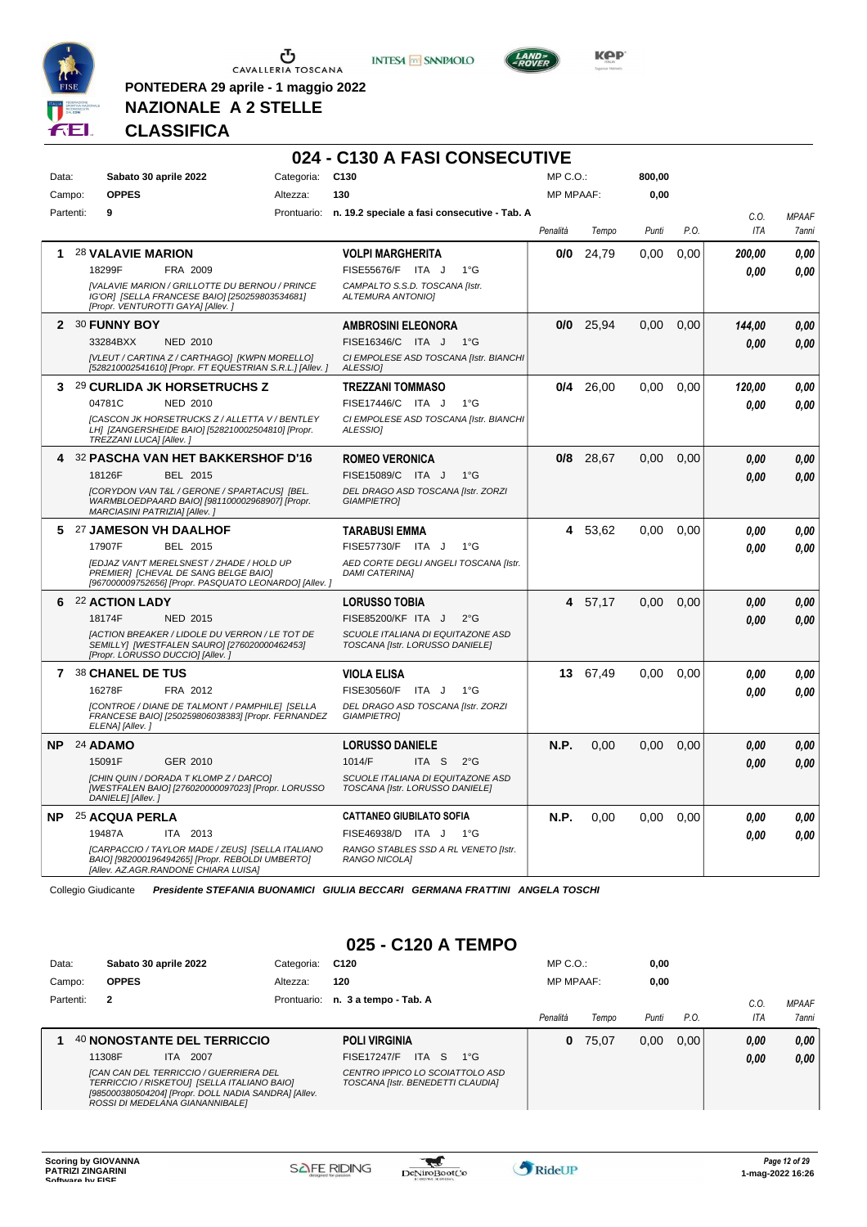

**PONTEDERA 29 aprile - 1 maggio 2022**

**NAZIONALE A 2 STELLE**

**INTESA** M SANPAOLO



**Kep** 

**CLASSIFICA**

|              |                       |                                                                                                                                                    |             | 024 - C130 A FASI CONSECUTIVE                                        |                  |       |        |      |                |                      |
|--------------|-----------------------|----------------------------------------------------------------------------------------------------------------------------------------------------|-------------|----------------------------------------------------------------------|------------------|-------|--------|------|----------------|----------------------|
| Data:        |                       | Sabato 30 aprile 2022                                                                                                                              | Categoria:  | C <sub>130</sub>                                                     | MP C. O.         |       | 800,00 |      |                |                      |
| Campo:       | <b>OPPES</b>          |                                                                                                                                                    | Altezza:    | 130                                                                  | <b>MP MPAAF:</b> |       | 0,00   |      |                |                      |
| Partenti:    | 9                     |                                                                                                                                                    | Prontuario: | n. 19.2 speciale a fasi consecutive - Tab. A                         | Penalità         | Tempo | Punti  | P.O. | C.O.<br>ITA    | <b>MPAAF</b><br>7ann |
| 1            | 18299F                | <b>28 VALAVIE MARION</b><br>FRA 2009                                                                                                               |             | <b>VOLPI MARGHERITA</b><br>FISE55676/F ITA J<br>$1^{\circ}$ G        | 0/0              | 24,79 | 0,00   | 0,00 | 200,00<br>0.00 | 0.00<br>0.00         |
|              |                       | [VALAVIE MARION / GRILLOTTE DU BERNOU / PRINCE<br>IG'OR] [SELLA FRANCESE BAIO] [250259803534681]<br>[Propr. VENTUROTTI GAYA] [Allev.]              |             | CAMPALTO S.S.D. TOSCANA [Istr.<br>ALTEMURA ANTONIO]                  |                  |       |        |      |                |                      |
| $\mathbf{2}$ | 30 FUNNY BOY          |                                                                                                                                                    |             | <b>AMBROSINI ELEONORA</b>                                            | 0/0              | 25,94 | 0,00   | 0,00 | 144,00         | 0.00                 |
|              | 33284BXX              | <b>NED 2010</b>                                                                                                                                    |             | FISE16346/C ITA J 1°G                                                |                  |       |        |      | 0.00           | 0.00                 |
|              |                       | [VLEUT / CARTINA Z / CARTHAGO] [KWPN MORELLO]<br>[528210002541610] [Propr. FT EQUESTRIAN S.R.L.] [Allev.]                                          |             | CI EMPOLESE ASD TOSCANA [Istr. BIANCHI<br>ALESSIO]                   |                  |       |        |      |                |                      |
|              |                       | 3 29 CURLIDA JK HORSETRUCHS Z                                                                                                                      |             | <b>TREZZANI TOMMASO</b>                                              | 0/4              | 26,00 | 0.00   | 0,00 | 120,00         | 0.00                 |
|              | 04781C                | <b>NED 2010</b>                                                                                                                                    |             | FISE17446/C ITA J<br>$1^{\circ}$ G                                   |                  |       |        |      | 0.00           | 0.00                 |
|              |                       | [CASCON JK HORSETRUCKS Z / ALLETTA V / BENTLEY<br>LH] [ZANGERSHEIDE BAIO] [528210002504810] [Propr.<br>TREZZANI LUCA] [Allev.]                     |             | CI EMPOLESE ASD TOSCANA [Istr. BIANCHI<br>ALESSIOI                   |                  |       |        |      |                |                      |
|              |                       | 4 32 PASCHA VAN HET BAKKERSHOF D'16                                                                                                                |             | <b>ROMEO VERONICA</b>                                                | 0/8              | 28,67 | 0,00   | 0,00 | 0.00           | 0.00                 |
|              | 18126F                | BEL 2015                                                                                                                                           |             | FISE15089/C ITA J<br>$1^{\circ}G$                                    |                  |       |        |      | 0.00           | 0.00                 |
|              |                       | [CORYDON VAN T&L / GERONE / SPARTACUS] [BEL.<br>WARMBLOEDPAARD BAIO] [981100002968907] [Propr.<br>MARCIASINI PATRIZIA] [Allev.]                    |             | DEL DRAGO ASD TOSCANA [Istr. ZORZI<br><b>GIAMPIETROI</b>             |                  |       |        |      |                |                      |
|              |                       | 5 27 JAMESON VH DAALHOF                                                                                                                            |             | TARABUSI EMMA                                                        | 4                | 53,62 | 0,00   | 0,00 | 0,00           | 0.00                 |
|              | 17907F                | BEL 2015                                                                                                                                           |             | FISE57730/F ITA J<br>$1^{\circ}G$                                    |                  |       |        |      | 0.00           | 0.00                 |
|              |                       | <b>[EDJAZ VAN'T MERELSNEST / ZHADE / HOLD UP</b><br>PREMIER] [CHEVAL DE SANG BELGE BAIO]<br>[967000009752656] [Propr. PASQUATO LEONARDO] [Allev. ] |             | AED CORTE DEGLI ANGELI TOSCANA [Istr.<br><b>DAMI CATERINAI</b>       |                  |       |        |      |                |                      |
|              | 6 22 ACTION LADY      |                                                                                                                                                    |             | <b>LORUSSO TOBIA</b>                                                 | 4                | 57,17 | 0,00   | 0,00 | 0.00           | 0.00                 |
|              | 18174F                | <b>NED 2015</b>                                                                                                                                    |             | FISE85200/KF ITA J<br>$2^{\circ}$ G                                  |                  |       |        |      | 0.00           | 0.00                 |
|              |                       | [ACTION BREAKER / LIDOLE DU VERRON / LE TOT DE<br>SEMILLY] [WESTFALEN SAURO] [276020000462453]<br>[Propr. LORUSSO DUCCIO] [Allev.]                 |             | SCUOLE ITALIANA DI EQUITAZONE ASD<br>TOSCANA [Istr. LORUSSO DANIELE] |                  |       |        |      |                |                      |
|              | 7 38 CHANEL DE TUS    |                                                                                                                                                    |             | <b>VIOLA ELISA</b>                                                   | 13               | 67,49 | 0,00   | 0,00 | 0.00           | 0.00                 |
|              | 16278F                | FRA 2012                                                                                                                                           |             | FISE30560/F<br>ITA J<br>$1^{\circ}G$                                 |                  |       |        |      | 0.00           | 0.00                 |
|              | ELENA] [Allev.]       | [CONTROE / DIANE DE TALMONT / PAMPHILE] [SELLA<br>FRANCESE BAIO] [250259806038383] [Propr. FERNANDEZ                                               |             | DEL DRAGO ASD TOSCANA [Istr. ZORZI<br><b>GIAMPIETRO]</b>             |                  |       |        |      |                |                      |
|              | NP 24 ADAMO           |                                                                                                                                                    |             | <b>LORUSSO DANIELE</b>                                               | N.P.             | 0,00  | 0,00   | 0,00 | 0,00           | 0.00                 |
|              | 15091F                | <b>GER 2010</b>                                                                                                                                    |             | 1014/F<br>ITA S 2°G                                                  |                  |       |        |      | 0.00           | 0.00                 |
|              | DANIELE] [Allev.]     | [CHIN QUIN / DORADA T KLOMP Z / DARCO]<br>[WESTFALEN BAIO] [276020000097023] [Propr. LORUSSO                                                       |             | SCUOLE ITALIANA DI EQUITAZONE ASD<br>TOSCANA [Istr. LORUSSO DANIELE] |                  |       |        |      |                |                      |
| NP.          | <b>25 ACQUA PERLA</b> |                                                                                                                                                    |             | <b>CATTANEO GIUBILATO SOFIA</b>                                      | <b>N.P.</b>      | 0,00  | 0,00   | 0,00 | 0,00           | 0.00                 |
|              | 19487A                | ITA 2013                                                                                                                                           |             | FISE46938/D ITA J<br>1°G                                             |                  |       |        |      | 0.00           | 0.00                 |
|              |                       | [CARPACCIO / TAYLOR MADE / ZEUS] [SELLA ITALIANO<br>BAIO] [982000196494265] [Propr. REBOLDI UMBERTO]<br>[Allev. AZ.AGR.RANDONE CHIARA LUISA]       |             | RANGO STABLES SSD A RL VENETO [Istr.<br>RANGO NICOLA]                |                  |       |        |      |                |                      |

Collegio Giudicante *Presidente STEFANIA BUONAMICI GIULIA BECCARI GERMANA FRATTINI ANGELA TOSCHI*

## **025 - C120 A TEMPO**

| Data:     | Sabato 30 aprile 2022                                                                                                                                                            | Categoria:  | C120                                                                 | $MP C. O.$ :     |       | 0,00  |      |             |                              |
|-----------|----------------------------------------------------------------------------------------------------------------------------------------------------------------------------------|-------------|----------------------------------------------------------------------|------------------|-------|-------|------|-------------|------------------------------|
| Campo:    | <b>OPPES</b>                                                                                                                                                                     | Altezza:    | 120                                                                  | <b>MP MPAAF:</b> |       | 0,00  |      |             |                              |
| Partenti: | $\overline{2}$                                                                                                                                                                   | Prontuario: | n. 3 a tempo - Tab. A                                                | Penalità         | Tempo | Punti | P.O. | C.O.<br>ITA | <b>MPAAF</b><br><b>7anni</b> |
|           |                                                                                                                                                                                  |             |                                                                      |                  |       |       |      |             |                              |
|           | 40 NONOSTANTE DEL TERRICCIO                                                                                                                                                      |             | <b>POLI VIRGINIA</b>                                                 | 0                | 75.07 | 0,00  | 0.00 | 0.00        | 0,00                         |
|           | 11308F<br>2007<br>ITA.                                                                                                                                                           |             | ITA S<br><b>FISE17247/F</b><br>$1^{\circ}G$                          |                  |       |       |      | 0,00        | 0,00                         |
|           | [CAN CAN DEL TERRICCIO / GUERRIERA DEL<br>TERRICCIO / RISKETOU] [SELLA ITALIANO BAIO]<br>[985000380504204] [Propr. DOLL NADIA SANDRA] [Allev.<br>ROSSI DI MEDELANA GIANANNIBALE] |             | CENTRO IPPICO LO SCOIATTOLO ASD<br>TOSCANA [Istr. BENEDETTI CLAUDIA] |                  |       |       |      |             |                              |



*0,00*

*0,00*

*0,00*

*0,00*

*0,00*

*0,00*

*0,00*

*0,00*

*0,00*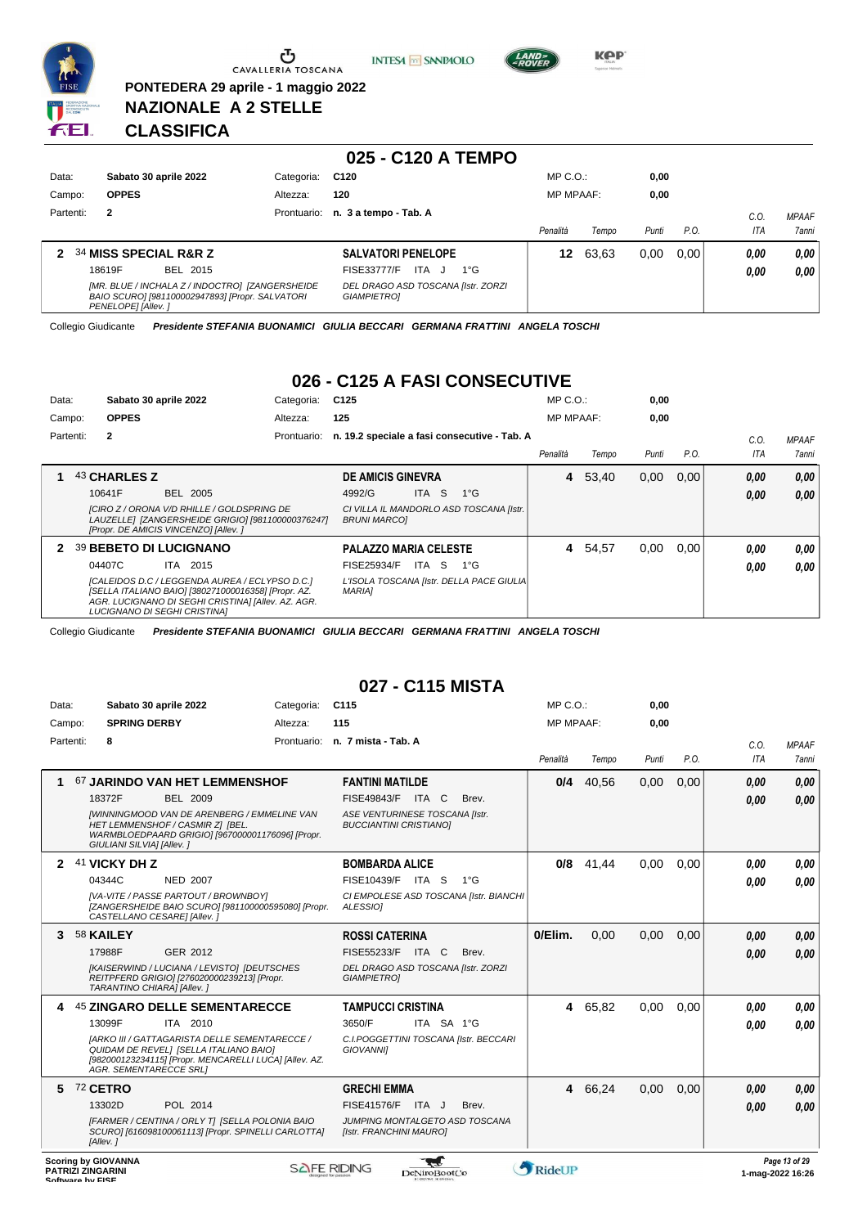

**PONTEDERA 29 aprile - 1 maggio 2022**





**Kep** 

**NAZIONALE A 2 STELLE CLASSIFICA**

|           |                                                                                                                          |             | 025 - C120 A TEMPO                                       |                  |       |       |      |      |              |
|-----------|--------------------------------------------------------------------------------------------------------------------------|-------------|----------------------------------------------------------|------------------|-------|-------|------|------|--------------|
| Data:     | Sabato 30 aprile 2022                                                                                                    | Categoria:  | C120                                                     | $MP C. O.$ :     |       | 0,00  |      |      |              |
| Campo:    | <b>OPPES</b>                                                                                                             | Altezza:    | 120                                                      | <b>MP MPAAF:</b> |       | 0,00  |      |      |              |
| Partenti: | $\overline{2}$                                                                                                           | Prontuario: | n. 3 a tempo - Tab. A                                    |                  |       |       |      | C.0  | <b>MPAAF</b> |
|           |                                                                                                                          |             |                                                          | Penalità         | Tempo | Punti | P.O. | ITA  | <b>7anni</b> |
|           | 34 MISS SPECIAL R&R Z                                                                                                    |             | <b>SALVATORI PENELOPE</b>                                | 12               | 63,63 | 0.00  | 0.00 | 0.00 | 0,00         |
|           | BEL 2015<br>18619F                                                                                                       |             | <b>ITA</b><br>FISE33777/F<br>$1^{\circ}G$<br>ل -         |                  |       |       |      | 0.00 | 0,00         |
|           | [MR. BLUE / INCHALA Z / INDOCTRO] [ZANGERSHEIDE<br>BAIO SCURO] [981100002947893] [Propr. SALVATORI<br>PENELOPE] [Allev.] |             | DEL DRAGO ASD TOSCANA [Istr. ZORZI<br><b>GIAMPIETROI</b> |                  |       |       |      |      |              |

Collegio Giudicante *Presidente STEFANIA BUONAMICI GIULIA BECCARI GERMANA FRATTINI ANGELA TOSCHI*

### **026 - C125 A FASI CONSECUTIVE**

| Data:  |           |              | Sabato 30 aprile 2022                                                                                                                                                                       | Categoria:  | C125                                                           |       |              | $MP C. O.$ :     |       | 0,00  |      |            |              |
|--------|-----------|--------------|---------------------------------------------------------------------------------------------------------------------------------------------------------------------------------------------|-------------|----------------------------------------------------------------|-------|--------------|------------------|-------|-------|------|------------|--------------|
| Campo: |           | <b>OPPES</b> |                                                                                                                                                                                             | Altezza:    | 125                                                            |       |              | <b>MP MPAAF:</b> |       | 0,00  |      |            |              |
|        | Partenti: | $\mathbf{2}$ |                                                                                                                                                                                             | Prontuario: | n. 19.2 speciale a fasi consecutive - Tab. A                   |       |              |                  |       |       |      | C.O.       | <b>MPAAF</b> |
|        |           |              |                                                                                                                                                                                             |             |                                                                |       |              | Penalità         | Tempo | Punti | P.O. | <b>ITA</b> | <b>7anni</b> |
|        |           | 43 CHARLES Z |                                                                                                                                                                                             |             | <b>DE AMICIS GINEVRA</b>                                       |       |              | 4                | 53.40 | 0.00  | 0.00 | 0.00       | 0.00         |
|        |           | 10641F       | <b>BEL 2005</b>                                                                                                                                                                             |             | 4992/G                                                         | ITA S | $1^{\circ}G$ |                  |       |       |      | 0.00       | 0.00         |
|        |           |              | [CIRO Z / ORONA V/D RHILLE / GOLDSPRING DE<br>LAUZELLE] [ZANGERSHEIDE GRIGIO] [981100000376247]<br>[Propr. DE AMICIS VINCENZO] [Allev.]                                                     |             | CI VILLA IL MANDORLO ASD TOSCANA [Istr.<br><b>BRUNI MARCOI</b> |       |              |                  |       |       |      |            |              |
| 2      |           |              | <b>39 BEBETO DI LUCIGNANO</b>                                                                                                                                                               |             | <b>PALAZZO MARIA CELESTE</b>                                   |       |              | 4                | 54.57 | 0.00  | 0.00 | 0.00       | 0.00         |
|        |           | 04407C       | ITA 2015                                                                                                                                                                                    |             | FISE25934/F                                                    | ITA S | 1°G          |                  |       |       |      | 0.00       | 0.00         |
|        |           |              | [CALEIDOS D.C / LEGGENDA AUREA / ECLYPSO D.C.]<br>[SELLA ITALIANO BAIO] [380271000016358] [Propr. AZ.<br>AGR. LUCIGNANO DI SEGHI CRISTINA] [Allev. AZ. AGR.<br>LUCIGNANO DI SEGHI CRISTINA] |             | L'ISOLA TOSCANA [Istr. DELLA PACE GIULIA]<br><b>MARIA1</b>     |       |              |                  |       |       |      |            |              |

Collegio Giudicante *Presidente STEFANIA BUONAMICI GIULIA BECCARI GERMANA FRATTINI ANGELA TOSCHI*

### **027 - C115 MISTA**

| Data: |                                       | Sabato 30 aprile 2022         |                                                                                                                                                   | Categoria:  | C <sub>115</sub>                                                |              | MP C. O.         |         | 0,00  |      |            |                                   |
|-------|---------------------------------------|-------------------------------|---------------------------------------------------------------------------------------------------------------------------------------------------|-------------|-----------------------------------------------------------------|--------------|------------------|---------|-------|------|------------|-----------------------------------|
|       | Campo:                                | <b>SPRING DERBY</b>           |                                                                                                                                                   | Altezza:    | 115                                                             |              | <b>MP MPAAF:</b> |         | 0,00  |      |            |                                   |
|       | Partenti:                             | 8                             |                                                                                                                                                   | Prontuario: | n. 7 mista - Tab. A                                             |              |                  |         |       |      | C.O.       | <b>MPAAF</b>                      |
|       |                                       |                               |                                                                                                                                                   |             |                                                                 |              | Penalità         | Tempo   | Punti | P.O. | <b>ITA</b> | <b>7anni</b>                      |
| 1     |                                       |                               | 67 JARINDO VAN HET LEMMENSHOF                                                                                                                     |             | <b>FANTINI MATILDE</b>                                          |              | 0/4              | 40,56   | 0,00  | 0,00 | 0,00       | 0.00                              |
|       |                                       | 18372F                        | BEL 2009                                                                                                                                          |             | FISE49843/F ITA C                                               | Brev.        |                  |         |       |      | 0.00       | 0,00                              |
|       |                                       | GIULIANI SILVIA] [Allev.]     | <b>IWINNINGMOOD VAN DE ARENBERG / EMMELINE VAN</b><br>HET LEMMENSHOF / CASMIR ZI [BEL.<br>WARMBLOEDPAARD GRIGIO] [967000001176096] [Propr.        |             | ASE VENTURINESE TOSCANA [Istr.<br><b>BUCCIANTINI CRISTIANOI</b> |              |                  |         |       |      |            |                                   |
| 2     |                                       | 41 VICKY DH Z                 |                                                                                                                                                   |             | <b>BOMBARDA ALICE</b>                                           |              | 0/8              | 41.44   | 0,00  | 0.00 | 0.00       | 0.00                              |
|       |                                       | 04344C                        | <b>NED 2007</b>                                                                                                                                   |             | FISE10439/F ITA S                                               | $1^{\circ}G$ |                  |         |       |      | 0.00       | 0.00                              |
|       |                                       |                               | [VA-VITE / PASSE PARTOUT / BROWNBOY]<br>[ZANGERSHEIDE BAIO SCURO] [981100000595080] [Propr.<br>CASTELLANO CESARE] [Allev. ]                       |             | CI EMPOLESE ASD TOSCANA [Istr. BIANCHI<br>ALESSIOI              |              |                  |         |       |      |            |                                   |
| 3     |                                       | 58 KAILEY                     |                                                                                                                                                   |             | <b>ROSSI CATERINA</b>                                           |              | 0/Elim.          | 0.00    | 0,00  | 0,00 | 0.00       | 0,00                              |
|       |                                       | 17988F                        | GER 2012                                                                                                                                          |             | FISE55233/F ITA C                                               | Brev.        |                  |         |       |      | 0.00       | 0.00                              |
|       |                                       | TARANTINO CHIARA] [Allev.]    | [KAISERWIND / LUCIANA / LEVISTO] [DEUTSCHES<br>REITPFERD GRIGIO] [276020000239213] [Propr.                                                        |             | DEL DRAGO ASD TOSCANA [Istr. ZORZI<br><b>GIAMPIETROI</b>        |              |                  |         |       |      |            |                                   |
|       |                                       |                               | <b>45 ZINGARO DELLE SEMENTARECCE</b>                                                                                                              |             | <b>TAMPUCCI CRISTINA</b>                                        |              |                  | 4 65,82 | 0,00  | 0,00 | 0.00       | 0.00                              |
|       |                                       | 13099F                        | ITA 2010                                                                                                                                          |             | ITA SA 1°G<br>3650/F                                            |              |                  |         |       |      | 0.00       | 0.00                              |
|       |                                       | <b>AGR. SEMENTARECCE SRLI</b> | [ARKO III / GATTAGARISTA DELLE SEMENTARECCE /<br>QUIDAM DE REVELI [SELLA ITALIANO BAIO]<br>[982000123234115] [Propr. MENCARELLI LUCA] [Allev. AZ. |             | C.I.POGGETTINI TOSCANA [Istr. BECCARI<br><b>GIOVANNII</b>       |              |                  |         |       |      |            |                                   |
| 5     |                                       | <b>72 CETRO</b>               |                                                                                                                                                   |             | <b>GRECHI EMMA</b>                                              |              |                  | 4 66,24 | 0,00  | 0,00 | 0.00       | 0,00                              |
|       |                                       | 13302D                        | POL 2014                                                                                                                                          |             | FISE41576/F ITA J                                               | Brev.        |                  |         |       |      | 0.00       | 0.00                              |
|       |                                       | [Allev.]                      | [FARMER / CENTINA / ORLY T] [SELLA POLONIA BAIO<br>SCURO] [616098100061113] [Propr. SPINELLI CARLOTTA]                                            |             | JUMPING MONTALGETO ASD TOSCANA<br>[Istr. FRANCHINI MAURO]       |              |                  |         |       |      |            |                                   |
|       | PATRIZI ZINGARINI<br>Coffware by EICE | <b>Scoring by GIOVANNA</b>    |                                                                                                                                                   |             | <b>SAFE RIDING</b><br>DeNiroBoot('o                             |              | <b>RideUP</b>    |         |       |      |            | Page 13 of 29<br>1-mag-2022 16:26 |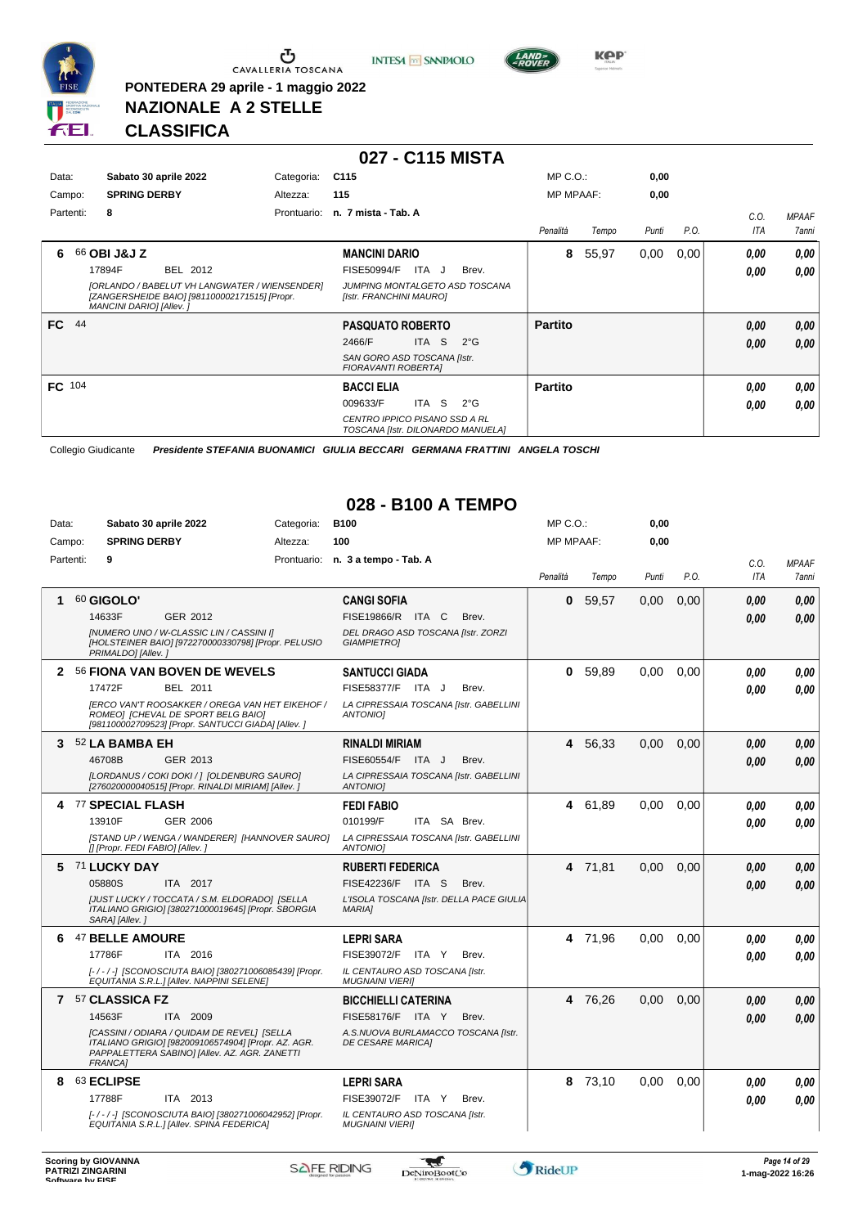

**PONTEDERA 29 aprile - 1 maggio 2022**

**NAZIONALE A 2 STELLE**





**Kep** 

## **CLASSIFICA**

|             |                                                                                                                           |             | 027 - C115 MISTA                                                   |                  |       |       |      |            |              |
|-------------|---------------------------------------------------------------------------------------------------------------------------|-------------|--------------------------------------------------------------------|------------------|-------|-------|------|------------|--------------|
| Data:       | Sabato 30 aprile 2022                                                                                                     | Categoria:  | C <sub>115</sub>                                                   | $MP C. O.$ :     |       | 0,00  |      |            |              |
| Campo:      | <b>SPRING DERBY</b>                                                                                                       | Altezza:    | 115                                                                | <b>MP MPAAF:</b> |       | 0,00  |      |            |              |
| Partenti:   | 8                                                                                                                         | Prontuario: | n. 7 mista - Tab. A                                                |                  |       |       |      | C.O.       | <b>MPAAF</b> |
|             |                                                                                                                           |             |                                                                    | Penalità         | Tempo | Punti | P.O. | <b>ITA</b> | <b>7anni</b> |
| 6           | 66 OBI J&J Z                                                                                                              |             | <b>MANCINI DARIO</b>                                               | 8                | 55,97 | 0,00  | 0,00 | 0.00       | 0,00         |
|             | 17894F<br>BEL 2012                                                                                                        |             | ITA J<br>Brev.<br><b>FISE50994/F</b>                               |                  |       |       |      | 0.00       | 0.00         |
|             | [ORLANDO / BABELUT VH LANGWATER / WIENSENDER]<br>[ZANGERSHEIDE BAIO] [981100002171515] [Propr.<br>MANCINI DARIO] [Allev.] |             | JUMPING MONTALGETO ASD TOSCANA<br>[Istr. FRANCHINI MAURO]          |                  |       |       |      |            |              |
| FC.<br>- 44 |                                                                                                                           |             | <b>PASQUATO ROBERTO</b>                                            | <b>Partito</b>   |       |       |      | 0.00       | 0,00         |
|             |                                                                                                                           |             | 2466/F<br>ITA S<br>$2^{\circ}$ G                                   |                  |       |       |      | 0.00       | 0.00         |
|             |                                                                                                                           |             | SAN GORO ASD TOSCANA [Istr.<br>FIORAVANTI ROBERTAI                 |                  |       |       |      |            |              |
| FC 104      |                                                                                                                           |             | <b>BACCI ELIA</b>                                                  | <b>Partito</b>   |       |       |      | 0.00       | 0,00         |
|             |                                                                                                                           |             | S<br>ITA<br>$2^{\circ}$ G<br>009633/F                              |                  |       |       |      | 0.00       | 0.00         |
|             |                                                                                                                           |             | CENTRO IPPICO PISANO SSD A RL<br>TOSCANA [Istr. DILONARDO MANUELA] |                  |       |       |      |            |              |

Collegio Giudicante *Presidente STEFANIA BUONAMICI GIULIA BECCARI GERMANA FRATTINI ANGELA TOSCHI*

#### **028 - B100 A TEMPO**

| Data:     |                                 | Sabato 30 aprile 2022                                                                                                                               | Categoria: | <b>B100</b>                                                     | $MP C. O.$ :     |           | 0,00  |      |            |              |
|-----------|---------------------------------|-----------------------------------------------------------------------------------------------------------------------------------------------------|------------|-----------------------------------------------------------------|------------------|-----------|-------|------|------------|--------------|
| Campo:    | <b>SPRING DERBY</b>             |                                                                                                                                                     | Altezza:   | 100                                                             | <b>MP MPAAF:</b> |           | 0,00  |      |            |              |
| Partenti: | 9                               |                                                                                                                                                     |            | Prontuario: n. 3 a tempo - Tab. A                               |                  |           |       |      | C.O.       | <b>MPAAF</b> |
|           |                                 |                                                                                                                                                     |            |                                                                 | Penalità         | Tempo     | Punti | P.O. | <b>ITA</b> | 7anni        |
|           | 60 GIGOLO'                      |                                                                                                                                                     |            | <b>CANGI SOFIA</b>                                              | $\bf{0}$         | 59,57     | 0,00  | 0,00 | 0,00       | 0,00         |
|           | 14633F                          | GER 2012                                                                                                                                            |            | <b>FISE19866/R ITA C</b><br>Brev.                               |                  |           |       |      | 0.00       | 0.00         |
|           | PRIMALDO] [Allev.]              | [NUMERO UNO / W-CLASSIC LIN / CASSINI I]<br>[HOLSTEINER BAIO] [972270000330798] [Propr. PELUSIO                                                     |            | DEL DRAGO ASD TOSCANA [Istr. ZORZI<br><b>GIAMPIETRO]</b>        |                  |           |       |      |            |              |
|           |                                 | 56 FIONA VAN BOVEN DE WEVELS                                                                                                                        |            | <b>SANTUCCI GIADA</b>                                           |                  | 0, 59, 89 | 0,00  | 0,00 | 0.00       | 0,00         |
|           | 17472F                          | BEL 2011                                                                                                                                            |            | FISE58377/F ITA J<br>Brev.                                      |                  |           |       |      | 0.00       | 0.00         |
|           |                                 | [ERCO VAN'T ROOSAKKER / OREGA VAN HET EIKEHOF /<br>ROMEO] [CHEVAL DE SPORT BELG BAIO]<br>[981100002709523] [Propr. SANTUCCI GIADA] [Allev. ]        |            | LA CIPRESSAIA TOSCANA [Istr. GABELLINI<br><b>ANTONIOI</b>       |                  |           |       |      |            |              |
| 3         | 52 LA BAMBA EH                  |                                                                                                                                                     |            | <b>RINALDI MIRIAM</b>                                           |                  | 4 56,33   | 0,00  | 0,00 | 0.00       | 0.00         |
|           | 46708B                          | GER 2013                                                                                                                                            |            | FISE60554/F<br>ITA J<br>Brev.                                   |                  |           |       |      | 0.00       | 0.00         |
|           |                                 | [LORDANUS / COKI DOKI / ] [OLDENBURG SAURO]<br>[276020000040515] [Propr. RINALDI MIRIAM] [Allev.]                                                   |            | LA CIPRESSAIA TOSCANA [Istr. GABELLINI<br><b>ANTONIOI</b>       |                  |           |       |      |            |              |
|           | <b>77 SPECIAL FLASH</b>         |                                                                                                                                                     |            | <b>FEDI FABIO</b>                                               |                  | 4 61.89   | 0.00  | 0.00 | 0.00       | 0.00         |
|           | 13910F                          | GER 2006                                                                                                                                            |            | 010199/F<br>ITA SA Brev.                                        |                  |           |       |      | 0.00       | 0.00         |
|           | [] [Propr. FEDI FABIO] [Allev.] | [STAND UP / WENGA / WANDERER] [HANNOVER SAURO]                                                                                                      |            | LA CIPRESSAIA TOSCANA [Istr. GABELLINI<br><b>ANTONIOI</b>       |                  |           |       |      |            |              |
| 5.        | <b>71 LUCKY DAY</b>             |                                                                                                                                                     |            | <b>RUBERTI FEDERICA</b>                                         |                  | 4 71,81   | 0.00  | 0.00 | 0.00       | 0.00         |
|           | 05880S                          | ITA 2017                                                                                                                                            |            | FISE42236/F ITA S<br>Brev.                                      |                  |           |       |      | 0.00       | 0,00         |
|           | SARA] [Allev.]                  | [JUST LUCKY / TOCCATA / S.M. ELDORADO] [SELLA<br>ITALIANO GRIGIO] [380271000019645] [Propr. SBORGIA                                                 |            | L'ISOLA TOSCANA [Istr. DELLA PACE GIULIA<br><b>MARIA1</b>       |                  |           |       |      |            |              |
| 6         | <b>47 BELLE AMOURE</b>          |                                                                                                                                                     |            | <b>LEPRI SARA</b>                                               |                  | 4 71,96   | 0.00  | 0.00 | 0.00       | 0.00         |
|           | 17786F                          | ITA 2016                                                                                                                                            |            | FISE39072/F ITA Y<br>Brev.                                      |                  |           |       |      | 0.00       | 0.00         |
|           |                                 | [-/-/-] [SCONOSCIUTA BAIO] [380271006085439] [Propr.<br>EQUITANIA S.R.L.] [Allev. NAPPINI SELENE]                                                   |            | IL CENTAURO ASD TOSCANA [Istr.<br><b>MUGNAINI VIERI]</b>        |                  |           |       |      |            |              |
|           | 7 57 CLASSICA FZ                |                                                                                                                                                     |            | <b>BICCHIELLI CATERINA</b>                                      |                  | 4 76,26   | 0.00  | 0.00 | 0.00       | 0.00         |
|           | 14563F                          | ITA 2009                                                                                                                                            |            | <b>FISE58176/F ITA Y</b><br>Brev.                               |                  |           |       |      | 0.00       | 0,00         |
|           | <b>FRANCA1</b>                  | [CASSINI / ODIARA / QUIDAM DE REVEL] [SELLA<br>ITALIANO GRIGIO] [982009106574904] [Propr. AZ. AGR.<br>PAPPALETTERA SABINO] [Allev. AZ. AGR. ZANETTI |            | A.S.NUOVA BURLAMACCO TOSCANA [Istr.<br><b>DE CESARE MARICA]</b> |                  |           |       |      |            |              |
| 8         | 63 ECLIPSE                      |                                                                                                                                                     |            | <b>LEPRI SARA</b>                                               | 8                | 73,10     | 0,00  | 0,00 | 0.00       | 0,00         |
|           | 17788F                          | ITA 2013                                                                                                                                            |            | FISE39072/F ITA Y<br>Brev.                                      |                  |           |       |      | 0.00       | 0.00         |
|           |                                 | [-/-/-] [SCONOSCIUTA BAIO] [380271006042952] [Propr.<br>EQUITANIA S.R.L.] [Allev. SPINA FEDERICA]                                                   |            | IL CENTAURO ASD TOSCANA [Istr.<br><b>MUGNAINI VIERI]</b>        |                  |           |       |      |            |              |

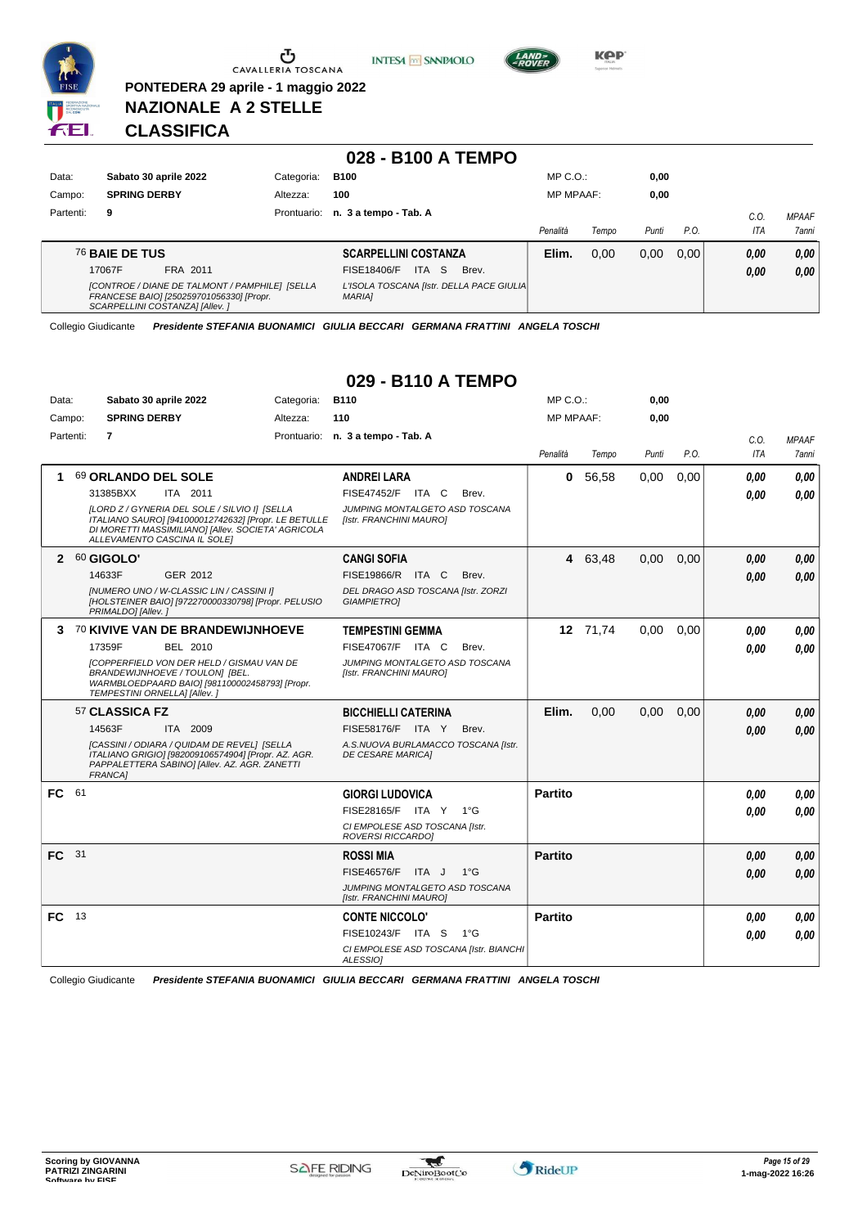

**PONTEDERA 29 aprile - 1 maggio 2022**

**INTESA** M SANPAOLO



**NAZIONALE A 2 STELLE CLASSIFICA**

|           |                                                                                                                               |             | 028 - B100 A TEMPO                                         |                  |       |       |      |      |              |
|-----------|-------------------------------------------------------------------------------------------------------------------------------|-------------|------------------------------------------------------------|------------------|-------|-------|------|------|--------------|
| Data:     | Sabato 30 aprile 2022                                                                                                         | Categoria:  | <b>B100</b>                                                | $MP C. O.$ :     |       | 0,00  |      |      |              |
| Campo:    | <b>SPRING DERBY</b>                                                                                                           | Altezza:    | 100                                                        | <b>MP MPAAF:</b> |       | 0,00  |      |      |              |
| Partenti: | 9                                                                                                                             | Prontuario: | n. 3 a tempo - Tab. A                                      |                  |       |       |      | C.O. | <b>MPAAF</b> |
|           |                                                                                                                               |             |                                                            | Penalità         | Tempo | Punti | P.O. | ITA  | <b>7anni</b> |
|           | 76 BAIE DE TUS                                                                                                                |             | <b>SCARPELLINI COSTANZA</b>                                | Elim.            | 0,00  | 0,00  | 0.00 | 0,00 | 0,00         |
|           | 17067F<br>FRA 2011                                                                                                            |             | FISE18406/F<br>ITA S<br>Brev.                              |                  |       |       |      | 0,00 | 0,00         |
|           | [CONTROE / DIANE DE TALMONT / PAMPHILE] [SELLA<br>FRANCESE BAIO] [250259701056330] [Propr.<br>SCARPELLINI COSTANZA] [Allev. ] |             | L'ISOLA TOSCANA [Istr. DELLA PACE GIULIA]<br><b>MARIAI</b> |                  |       |       |      |      |              |

Collegio Giudicante *Presidente STEFANIA BUONAMICI GIULIA BECCARI GERMANA FRATTINI ANGELA TOSCHI*

### **029 - B110 A TEMPO**

| Data:        |    | Sabato 30 aprile 2022                                                                                                                                                 | Categoria:                                                                                                 | <b>B110</b>                                                     | $MP C. O.$ :     |          | 0,00  |      |      |              |
|--------------|----|-----------------------------------------------------------------------------------------------------------------------------------------------------------------------|------------------------------------------------------------------------------------------------------------|-----------------------------------------------------------------|------------------|----------|-------|------|------|--------------|
| Campo:       |    | <b>SPRING DERBY</b>                                                                                                                                                   | Altezza:                                                                                                   | 110                                                             | <b>MP MPAAF:</b> |          | 0,00  |      |      |              |
| Partenti:    |    | 7                                                                                                                                                                     |                                                                                                            | Prontuario: n. 3 a tempo - Tab. A                               |                  |          |       |      | C.O. | <b>MPAAF</b> |
|              |    |                                                                                                                                                                       |                                                                                                            |                                                                 | Penalità         | Tempo    | Punti | P.O. | ITA  | 7anni        |
| 1            |    | 69 ORLANDO DEL SOLE                                                                                                                                                   |                                                                                                            | <b>ANDREI LARA</b>                                              | 0                | 56,58    | 0,00  | 0,00 | 0.00 | 0.00         |
|              |    | 31385BXX<br>ITA 2011                                                                                                                                                  |                                                                                                            | <b>FISE47452/F ITA C</b><br>Brev.                               |                  |          |       |      | 0.00 | 0,00         |
|              |    | [LORD Z / GYNERIA DEL SOLE / SILVIO I] [SELLA<br>ALLEVAMENTO CASCINA IL SOLEI                                                                                         | ITALIANO SAURO] [941000012742632] [Propr. LE BETULLE<br>DI MORETTI MASSIMILIANO] [Allev. SOCIETA' AGRICOLA | JUMPING MONTALGETO ASD TOSCANA<br>[Istr. FRANCHINI MAURO]       |                  |          |       |      |      |              |
| $\mathbf{2}$ |    | 60 GIGOLO'                                                                                                                                                            |                                                                                                            | <b>CANGI SOFIA</b>                                              |                  | 4 63,48  | 0,00  | 0,00 | 0.00 | 0,00         |
|              |    | GER 2012<br>14633F                                                                                                                                                    |                                                                                                            | FISE19866/R ITA C<br>Brev.                                      |                  |          |       |      | 0.00 | 0.00         |
|              |    | [NUMERO UNO / W-CLASSIC LIN / CASSINI I]<br>PRIMALDO] [Allev.]                                                                                                        | [HOLSTEINER BAIO] [972270000330798] [Propr. PELUSIO                                                        | DEL DRAGO ASD TOSCANA [Istr. ZORZI<br><b>GIAMPIETROI</b>        |                  |          |       |      |      |              |
| З.           |    | 70 KIVIVE VAN DE BRANDEWIJNHOEVE                                                                                                                                      |                                                                                                            | <b>TEMPESTINI GEMMA</b>                                         |                  | 12 71,74 | 0,00  | 0,00 | 0.00 | 0.00         |
|              |    | 17359F<br><b>BEL 2010</b>                                                                                                                                             |                                                                                                            | <b>FISE47067/F ITA C</b><br>Brev.                               |                  |          |       |      | 0.00 | 0.00         |
|              |    | <b>[COPPERFIELD VON DER HELD / GISMAU VAN DE</b><br>BRANDEWIJNHOEVE / TOULON] [BEL.<br>WARMBLOEDPAARD BAIO] [981100002458793] [Propr.<br>TEMPESTINI ORNELLA] [Allev.] |                                                                                                            | JUMPING MONTALGETO ASD TOSCANA<br>[Istr. FRANCHINI MAURO]       |                  |          |       |      |      |              |
|              |    | 57 CLASSICA FZ                                                                                                                                                        |                                                                                                            | <b>BICCHIELLI CATERINA</b>                                      | Elim.            | 0,00     | 0,00  | 0,00 | 0.00 | 0,00         |
|              |    | 14563F<br>ITA 2009                                                                                                                                                    |                                                                                                            | FISE58176/F ITA Y<br>Brev.                                      |                  |          |       |      | 0.00 | 0.00         |
|              |    | [CASSINI / ODIARA / QUIDAM DE REVEL] [SELLA<br>ITALIANO GRIGIO] [982009106574904] [Propr. AZ. AGR.<br>PAPPALETTERA SABINO] [Allev. AZ. AGR. ZANETTI<br><b>FRANCA1</b> |                                                                                                            | A.S.NUOVA BURLAMACCO TOSCANA [Istr.<br><b>DE CESARE MARICA]</b> |                  |          |       |      |      |              |
| <b>FC</b>    | 61 |                                                                                                                                                                       |                                                                                                            | <b>GIORGI LUDOVICA</b>                                          | <b>Partito</b>   |          |       |      | 0.00 | 0.00         |
|              |    |                                                                                                                                                                       |                                                                                                            | FISE28165/F ITA Y<br>$1^{\circ}$ G                              |                  |          |       |      | 0.00 | 0.00         |
|              |    |                                                                                                                                                                       |                                                                                                            | CI EMPOLESE ASD TOSCANA [Istr.<br><b>ROVERSI RICCARDOI</b>      |                  |          |       |      |      |              |
| FC.          | 31 |                                                                                                                                                                       |                                                                                                            | <b>ROSSI MIA</b>                                                | <b>Partito</b>   |          |       |      | 0.00 | 0.00         |
|              |    |                                                                                                                                                                       |                                                                                                            | FISE46576/F<br>ITA J<br>$1^{\circ}$ G                           |                  |          |       |      | 0.00 | 0,00         |
|              |    |                                                                                                                                                                       |                                                                                                            | JUMPING MONTALGETO ASD TOSCANA<br>[Istr. FRANCHINI MAURO]       |                  |          |       |      |      |              |
| FC.          | 13 |                                                                                                                                                                       |                                                                                                            | <b>CONTE NICCOLO'</b>                                           | <b>Partito</b>   |          |       |      | 0,00 | 0.00         |
|              |    |                                                                                                                                                                       |                                                                                                            | FISE10243/F ITA S<br>$1^{\circ}G$                               |                  |          |       |      | 0.00 | 0.00         |
|              |    |                                                                                                                                                                       |                                                                                                            | CI EMPOLESE ASD TOSCANA [Istr. BIANCHI<br>ALESSIOI              |                  |          |       |      |      |              |

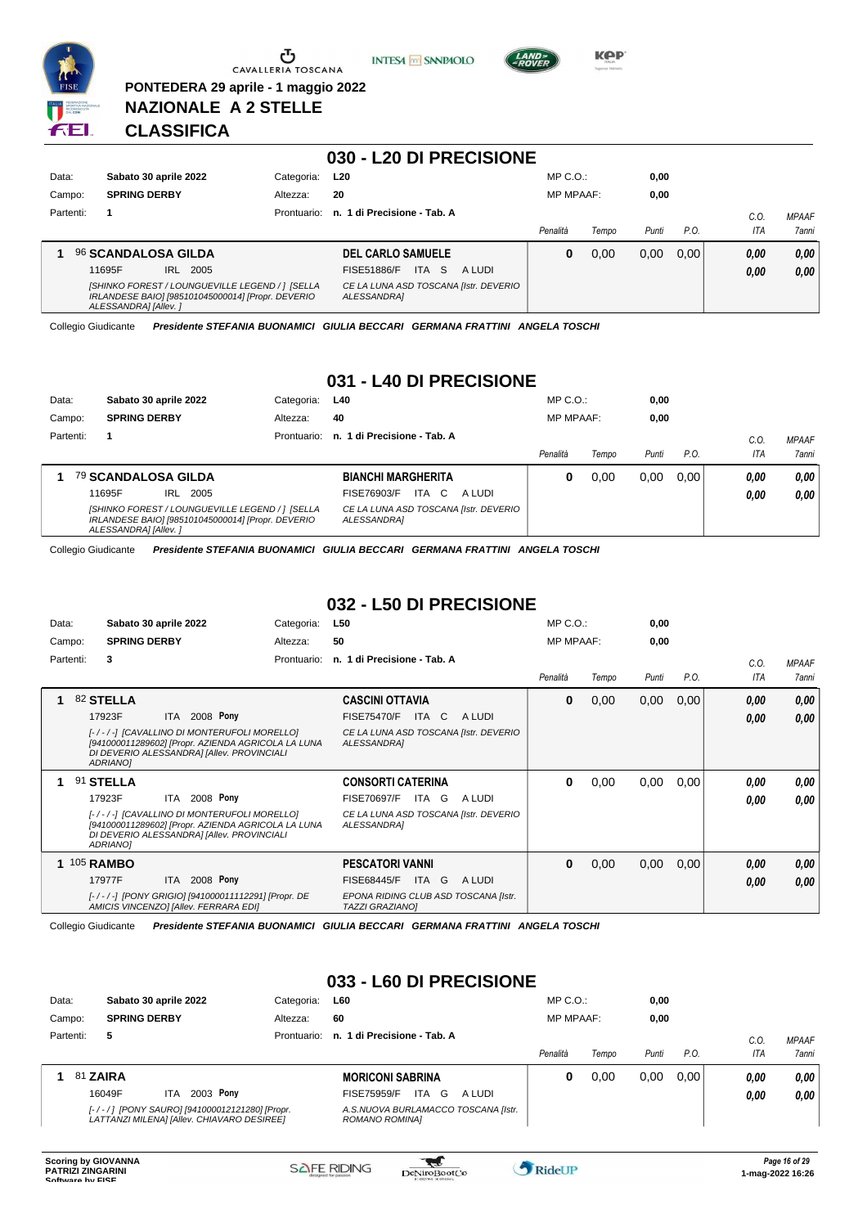

**PONTEDERA 29 aprile - 1 maggio 2022**

**NAZIONALE A 2 STELLE**





**KOP** 

### **CLASSIFICA**

|           |                                                                                                                              |             | 030 - L20 DI PRECISIONE                              |                  |       |       |      |            |              |
|-----------|------------------------------------------------------------------------------------------------------------------------------|-------------|------------------------------------------------------|------------------|-------|-------|------|------------|--------------|
| Data:     | Sabato 30 aprile 2022                                                                                                        | Categoria:  | L <sub>20</sub>                                      | $MP C. O.$ :     |       | 0,00  |      |            |              |
| Campo:    | <b>SPRING DERBY</b>                                                                                                          | Altezza:    | 20                                                   | <b>MP MPAAF:</b> |       | 0,00  |      |            |              |
| Partenti: | 1                                                                                                                            | Prontuario: | n. 1 di Precisione - Tab. A                          |                  |       |       |      | C.O.       | <b>MPAAF</b> |
|           |                                                                                                                              |             |                                                      | Penalità         | Tempo | Punti | P.O. | <b>ITA</b> | <b>7anni</b> |
|           | <b>96 SCANDALOSA GILDA</b>                                                                                                   |             | <b>DEL CARLO SAMUELE</b>                             | 0                | 0.00  | 0.00  | 0.00 | 0.00       | 0,00         |
|           | 2005<br>11695F<br>IRL                                                                                                        |             | ITA S<br>FISE51886/F<br>A LUDI                       |                  |       |       |      | 0.00       | 0,00         |
|           | [SHINKO FOREST / LOUNGUEVILLE LEGEND / 1 [SELLA<br>IRLANDESE BAIO] [985101045000014] [Propr. DEVERIO<br>ALESSANDRA] [Allev.] |             | CE LA LUNA ASD TOSCANA [Istr. DEVERIO<br>ALESSANDRA] |                  |       |       |      |            |              |

Collegio Giudicante *Presidente STEFANIA BUONAMICI GIULIA BECCARI GERMANA FRATTINI ANGELA TOSCHI*

#### **031 - L40 DI PRECISIONE**

| Data:     | Sabato 30 aprile 2022 |     |                                                                                                      | Categoria:  | L40                                                  |        | $MP C. O.$ :     |       | 0,00  |       |      |              |
|-----------|-----------------------|-----|------------------------------------------------------------------------------------------------------|-------------|------------------------------------------------------|--------|------------------|-------|-------|-------|------|--------------|
| Campo:    | <b>SPRING DERBY</b>   |     |                                                                                                      | Altezza:    | 40                                                   |        | <b>MP MPAAF:</b> |       | 0,00  |       |      |              |
| Partenti: |                       |     |                                                                                                      | Prontuario: | n. 1 di Precisione - Tab. A                          |        |                  |       |       |       | C.O  | <b>MPAAF</b> |
|           |                       |     |                                                                                                      |             |                                                      |        | Penalità         | Tempo | Punti | P.O.  | ITA  | <b>7anni</b> |
|           | 79 SCANDALOSA GILDA   |     |                                                                                                      |             | <b>BIANCHI MARGHERITA</b>                            |        | 0                | 0.00  | 0.00  | 0.001 | 0.00 | 0.00         |
|           | 11695F                | IRL | 2005                                                                                                 |             | ITA.<br>FISE76903/F<br>C.                            | A LUDI |                  |       |       |       | 0.00 | 0.00         |
|           | ALESSANDRA] [Allev.]  |     | [SHINKO FOREST / LOUNGUEVILLE LEGEND / 1 [SELLA<br>IRLANDESE BAIO] [985101045000014] [Propr. DEVERIO |             | CE LA LUNA ASD TOSCANA [Istr. DEVERIO<br>ALESSANDRA] |        |                  |       |       |       |      |              |

Collegio Giudicante *Presidente STEFANIA BUONAMICI GIULIA BECCARI GERMANA FRATTINI ANGELA TOSCHI*

### **032 - L50 DI PRECISIONE**

| Data:     | Sabato 30 aprile 2022                                                                                                                                      | Categoria:  | L50                                                         | $MP C. O.$ :     |       | 0,00  |      |            |              |
|-----------|------------------------------------------------------------------------------------------------------------------------------------------------------------|-------------|-------------------------------------------------------------|------------------|-------|-------|------|------------|--------------|
| Campo:    | <b>SPRING DERBY</b>                                                                                                                                        | Altezza:    | 50                                                          | <b>MP MPAAF:</b> |       | 0,00  |      |            |              |
| Partenti: | 3                                                                                                                                                          | Prontuario: | n. 1 di Precisione - Tab. A                                 |                  |       |       |      | C.O.       | <b>MPAAF</b> |
|           |                                                                                                                                                            |             |                                                             | Penalità         | Tempo | Punti | P.O. | <b>ITA</b> | 7anni        |
|           | 82 STELLA                                                                                                                                                  |             | <b>CASCINI OTTAVIA</b>                                      | $\bf{0}$         | 0,00  | 0,00  | 0,00 | 0.00       | 0,00         |
|           | ITA 2008 Pony<br>17923F                                                                                                                                    |             | ITA C<br><b>FISE75470/F</b><br>A LUDI                       |                  |       |       |      | 0.00       | 0.00         |
|           | [-/-/-] [CAVALLINO DI MONTERUFOLI MORELLO]<br>[941000011289602] [Propr. AZIENDA AGRICOLA LA LUNA<br>DI DEVERIO ALESSANDRA] [Allev. PROVINCIALI<br>ADRIANO] |             | CE LA LUNA ASD TOSCANA [Istr. DEVERIO<br><b>ALESSANDRAI</b> |                  |       |       |      |            |              |
|           | 91 STELLA                                                                                                                                                  |             | <b>CONSORTI CATERINA</b>                                    | 0                | 0,00  | 0,00  | 0.00 | 0.00       | 0,00         |
|           | 2008 Pony<br>17923F<br>ITA I                                                                                                                               |             | FISE70697/F<br>ITA G<br>A LUDI                              |                  |       |       |      | 0.00       | 0.00         |
|           | [-/-/-] [CAVALLINO DI MONTERUFOLI MORELLO]<br>[941000011289602] [Propr. AZIENDA AGRICOLA LA LUNA<br>DI DEVERIO ALESSANDRA] [Allev. PROVINCIALI<br>ADRIANO] |             | CE LA LUNA ASD TOSCANA [Istr. DEVERIO<br><b>ALESSANDRAI</b> |                  |       |       |      |            |              |
| 1         | <b>105 RAMBO</b>                                                                                                                                           |             | <b>PESCATORI VANNI</b>                                      | $\bf{0}$         | 0,00  | 0,00  | 0,00 | 0,00       | 0,00         |
|           | 2008 Pony<br>17977F<br>ITA I                                                                                                                               |             | ITA G<br>A LUDI<br><b>FISE68445/F</b>                       |                  |       |       |      | 0.00       | 0.00         |
|           | [-/-/-] [PONY GRIGIO] [941000011112291] [Propr. DE<br>AMICIS VINCENZOI [Allev. FERRARA EDI]                                                                |             | EPONA RIDING CLUB ASD TOSCANA [Istr.<br>TAZZI GRAZIANO]     |                  |       |       |      |            |              |

Collegio Giudicante *Presidente STEFANIA BUONAMICI GIULIA BECCARI GERMANA FRATTINI ANGELA TOSCHI*

#### **033 - L60 DI PRECISIONE**

| Data:     | Sabato 30 aprile 2022                                                                       | Categoria:  | L60                                                   | $MP C. O.$ :     |       | 0,00  |      |      |              |
|-----------|---------------------------------------------------------------------------------------------|-------------|-------------------------------------------------------|------------------|-------|-------|------|------|--------------|
| Campo:    | <b>SPRING DERBY</b>                                                                         | Altezza:    | 60                                                    | <b>MP MPAAF:</b> |       | 0,00  |      |      |              |
| Partenti: | 5                                                                                           | Prontuario: | n. 1 di Precisione - Tab. A                           |                  |       |       |      | C.C  | <b>MPAAF</b> |
|           |                                                                                             |             |                                                       | Penalità         | Tempo | Punti | P.O. | ITA  | 7anni        |
| 81 ZAIRA  |                                                                                             |             | <b>MORICONI SABRINA</b>                               | 0                | 0.00  | 0.00  | 0.00 | 0.00 | 0.00         |
|           | 2003 Pony<br>16049F<br><b>ITA</b>                                                           |             | <b>ITA</b><br>FISE75959/F<br>G<br>A LUDI              |                  |       |       |      | 0.00 | 0.00         |
|           | [-/-/] [PONY SAURO] [941000012121280] [Propr.<br>LATTANZI MILENA] [Allev. CHIAVARO DESIREE] |             | A.S.NUOVA BURLAMACCO TOSCANA [Istr.<br>ROMANO ROMINA] |                  |       |       |      |      |              |

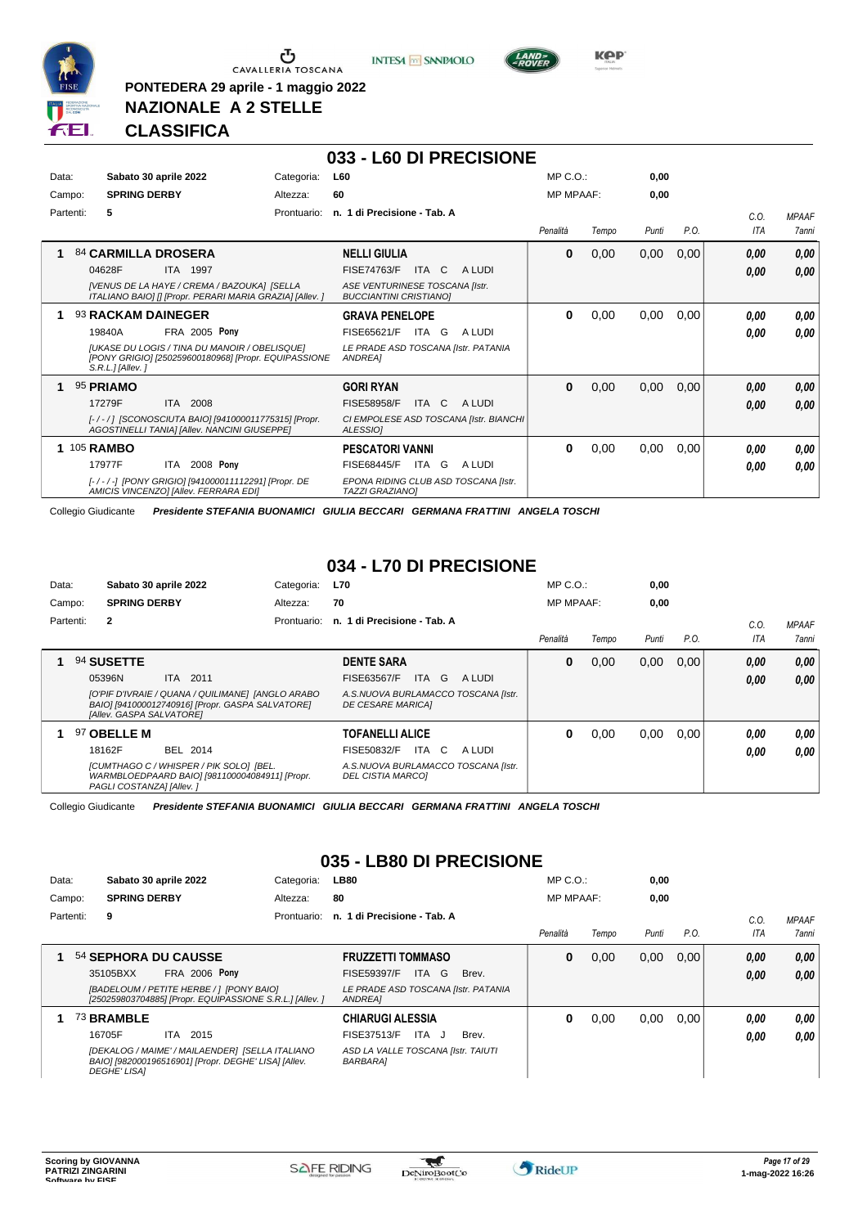

**PONTEDERA 29 aprile - 1 maggio 2022**





**KOP** 

**NAZIONALE A 2 STELLE CLASSIFICA**

#### **033 - L60 DI PRECISIONE**

| Data:     | Sabato 30 aprile 2022                                                                                                            | Categoria:  | <b>L60</b>                                                      | $MP C. Q$ .:     |       | 0,00  |      |      |              |
|-----------|----------------------------------------------------------------------------------------------------------------------------------|-------------|-----------------------------------------------------------------|------------------|-------|-------|------|------|--------------|
| Campo:    | <b>SPRING DERBY</b>                                                                                                              | Altezza:    | 60                                                              | <b>MP MPAAF:</b> |       | 0.00  |      |      |              |
| Partenti: | 5                                                                                                                                | Prontuario: | n. 1 di Precisione - Tab. A                                     |                  |       |       |      | C.O. | <b>MPAAF</b> |
|           |                                                                                                                                  |             |                                                                 | Penalità         | Tempo | Punti | P.O. | ITA  | 7anni        |
|           | 84 CARMILLA DROSERA                                                                                                              |             | <b>NELLI GIULIA</b>                                             | $\bf{0}$         | 0,00  | 0,00  | 0,00 | 0,00 | 0,00         |
|           | 04628F<br><b>ITA</b><br>1997                                                                                                     |             | <b>ITA</b><br><b>FISE74763/F</b><br>C<br>A LUDI                 |                  |       |       |      | 0,00 | 0,00         |
|           | <b>IVENUS DE LA HAYE / CREMA / BAZOUKAI ISELLA</b><br>ITALIANO BAIO] [] [Propr. PERARI MARIA GRAZIA] [Allev. ]                   |             | ASE VENTURINESE TOSCANA Ilstr.<br><b>BUCCIANTINI CRISTIANOI</b> |                  |       |       |      |      |              |
|           | 93 RACKAM DAINEGER                                                                                                               |             | <b>GRAVA PENELOPE</b>                                           | $\bf{0}$         | 0,00  | 0.00  | 0,00 | 0.00 | 0,00         |
|           | FRA 2005 Pony<br>19840A                                                                                                          |             | FISE65621/F<br>ITA<br>A LUDI<br>G                               |                  |       |       |      | 0.00 | 0.00         |
|           | <b>IUKASE DU LOGIS / TINA DU MANOIR / OBELISQUEI</b><br>[PONY GRIGIO] [250259600180968] [Propr. EQUIPASSIONE<br>S.R.L.JIAllev. J |             | LE PRADE ASD TOSCANA [Istr. PATANIA<br><b>ANDREA1</b>           |                  |       |       |      |      |              |
|           | 95 PRIAMO                                                                                                                        |             | <b>GORI RYAN</b>                                                | $\bf{0}$         | 0,00  | 0,00  | 0,00 | 0,00 | 0,00         |
|           | 17279F<br>2008<br><b>ITA</b>                                                                                                     |             | C<br><b>FISE58958/F</b><br><b>ITA</b><br>A LUDI                 |                  |       |       |      | 0,00 | 0,00         |
|           | [-/-/] [SCONOSCIUTA BAIO] [941000011775315] [Propr.<br>AGOSTINELLI TANIA] [Allev. NANCINI GIUSEPPE]                              |             | CI EMPOLESE ASD TOSCANA [Istr. BIANCHI<br><b>ALESSIOI</b>       |                  |       |       |      |      |              |
|           | 1 105 RAMBO                                                                                                                      |             | <b>PESCATORI VANNI</b>                                          | $\bf{0}$         | 0,00  | 0,00  | 0,00 | 0.00 | 0,00         |
|           | 2008 Pony<br>17977F<br>ITA                                                                                                       |             | FISE68445/F<br>ITA<br>G<br>A LUDI                               |                  |       |       |      | 0.00 | 0.00         |
|           | [-/-/-] [PONY GRIGIO] [941000011112291] [Propr. DE<br>AMICIS VINCENZOI [Allev. FERRARA EDI]                                      |             | EPONA RIDING CLUB ASD TOSCANA [Istr.<br>TAZZI GRAZIANO]         |                  |       |       |      |      |              |

Collegio Giudicante *Presidente STEFANIA BUONAMICI GIULIA BECCARI GERMANA FRATTINI ANGELA TOSCHI*

#### **034 - L70 DI PRECISIONE**

| Data:  |           |                          | Sabato 30 aprile 2022                                                                                 | Categoria:  | <b>L70</b>                                                      | $MP C. O.$ :     |       | 0,00  |      |      |              |
|--------|-----------|--------------------------|-------------------------------------------------------------------------------------------------------|-------------|-----------------------------------------------------------------|------------------|-------|-------|------|------|--------------|
| Campo: |           | <b>SPRING DERBY</b>      |                                                                                                       | Altezza:    | 70                                                              | <b>MP MPAAF:</b> |       | 0,00  |      |      |              |
|        | Partenti: | $\mathbf{2}$             |                                                                                                       | Prontuario: | n. 1 di Precisione - Tab. A                                     |                  |       |       |      | C.0  | <b>MPAAF</b> |
|        |           |                          |                                                                                                       |             |                                                                 | Penalità         | Tempo | Punti | P.O. | ITA  | 7anni        |
|        |           | 94 SUSETTE               |                                                                                                       |             | <b>DENTE SARA</b>                                               | 0                | 0,00  | 0,00  | 0.00 | 0,00 | 0.00         |
|        |           | 05396N                   | ITA 2011                                                                                              |             | FISE63567/F<br>ITA G<br>A LUDI                                  |                  |       |       |      | 0,00 | 0,00         |
|        |           | [Allev. GASPA SALVATORE] | [O'PIF D'IVRAIE / QUANA / QUILIMANE] [ANGLO ARABO<br>BAIO] [941000012740916] [Propr. GASPA SALVATORE] |             | A.S.NUOVA BURLAMACCO TOSCANA [Istr.<br><b>DE CESARE MARICAI</b> |                  |       |       |      |      |              |
|        |           | 97 OBELLE M              |                                                                                                       |             | <b>TOFANELLI ALICE</b>                                          | 0                | 0,00  | 0,00  | 0.00 | 0,00 | 0.00         |
|        |           | 18162F                   | BEL 2014                                                                                              |             | ITA C<br>FISE50832/F<br>A LUDI                                  |                  |       |       |      | 0,00 | 0.00         |
|        |           | PAGLI COSTANZA] [Allev.] | [CUMTHAGO C / WHISPER / PIK SOLO] [BEL.<br>WARMBLOEDPAARD BAIO] [981100004084911] [Propr.             |             | A.S.NUOVA BURLAMACCO TOSCANA [Istr.<br><b>DEL CISTIA MARCOI</b> |                  |       |       |      |      |              |

Collegio Giudicante *Presidente STEFANIA BUONAMICI GIULIA BECCARI GERMANA FRATTINI ANGELA TOSCHI*

#### **035 - LB80 DI PRECISIONE**

| Data:  |           |                     | Sabato 30 aprile 2022                                                                                   | Categoria:  | <b>LB80</b>                                           |       | $MP C. O.$ :     |       | 0,00  |      |      |              |
|--------|-----------|---------------------|---------------------------------------------------------------------------------------------------------|-------------|-------------------------------------------------------|-------|------------------|-------|-------|------|------|--------------|
| Campo: |           | <b>SPRING DERBY</b> |                                                                                                         | Altezza:    | 80                                                    |       | <b>MP MPAAF:</b> |       | 0,00  |      |      |              |
|        | Partenti: | 9                   |                                                                                                         | Prontuario: | n. 1 di Precisione - Tab. A                           |       |                  |       |       |      | C.0  | <b>MPAAF</b> |
|        |           |                     |                                                                                                         |             |                                                       |       | Penalità         | Tempo | Punti | P.O. | ITA  | 7anni        |
|        |           |                     | <b>54 SEPHORA DU CAUSSE</b>                                                                             |             | <b>FRUZZETTI TOMMASO</b>                              |       | 0                | 0,00  | 0,00  | 0.00 | 0,00 | 0,00         |
|        |           | 35105BXX            | <b>FRA 2006 Pony</b>                                                                                    |             | FISE59397/F<br>ITA G                                  | Brev. |                  |       |       |      | 0,00 | 0,00         |
|        |           |                     | [BADELOUM / PETITE HERBE / ] [PONY BAIO]<br>[250259803704885] [Propr. EQUIPASSIONE S.R.L.] [Alley, 1    |             | LE PRADE ASD TOSCANA [Istr. PATANIA<br><b>ANDREA1</b> |       |                  |       |       |      |      |              |
|        |           | 73 BRAMBLE          |                                                                                                         |             | <b>CHIARUGI ALESSIA</b>                               |       | 0                | 0,00  | 0,00  | 0.00 | 0,00 | 0,00         |
|        |           | 16705F              | 2015<br>ITA                                                                                             |             | FISE37513/F<br>ITA J                                  | Brev. |                  |       |       |      | 0,00 | 0,00         |
|        |           | <b>DEGHE' LISAI</b> | [DEKALOG / MAIME' / MAILAENDER] [SELLA ITALIANO<br>BAIO] [982000196516901] [Propr. DEGHE' LISA] [Allev. |             | ASD LA VALLE TOSCANA [Istr. TAIUTI<br><b>BARBARA1</b> |       |                  |       |       |      |      |              |

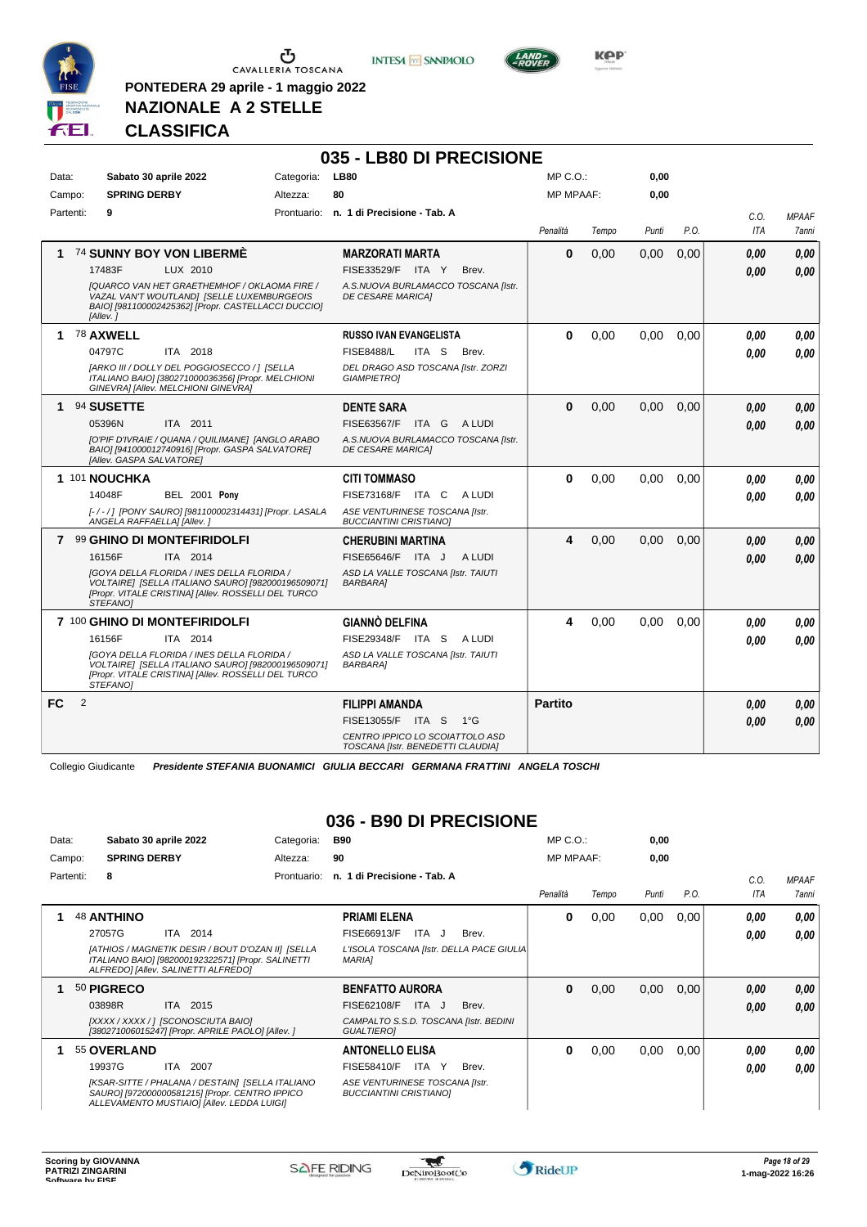

**PONTEDERA 29 aprile - 1 maggio 2022**

**NAZIONALE A 2 STELLE**





**KPP** 

**CLASSIFICA**

#### **035 - LB80 DI PRECISIONE**

| Data:<br>Campo: |   | <b>SPRING DERBY</b>        | Sabato 30 aprile 2022                                                                                                                                          | Categoria:<br>Altezza: | <b>LB80</b><br>80                                                    | $MP C. O.$ :<br><b>MP MPAAF:</b> |       | 0,00<br>0,00 |      |            |                     |
|-----------------|---|----------------------------|----------------------------------------------------------------------------------------------------------------------------------------------------------------|------------------------|----------------------------------------------------------------------|----------------------------------|-------|--------------|------|------------|---------------------|
| Partenti:       |   | 9                          |                                                                                                                                                                |                        | Prontuario: n. 1 di Precisione - Tab. A                              |                                  |       |              |      | C.O.       | <b>MPAAF</b>        |
|                 |   |                            |                                                                                                                                                                |                        |                                                                      | Penalità                         | Tempo | Punti        | P.O. | <b>ITA</b> | <i><b>7anni</b></i> |
| 1               |   |                            | 74 SUNNY BOY VON LIBERMÉ                                                                                                                                       |                        | <b>MARZORATI MARTA</b>                                               | $\bf{0}$                         | 0,00  | 0,00         | 0,00 | 0.00       | 0.00                |
|                 |   | 17483F                     | LUX 2010                                                                                                                                                       |                        | FISE33529/F ITA Y<br>Brev.                                           |                                  |       |              |      | 0.00       | 0.00                |
|                 |   | [Allev.]                   | <b>IQUARCO VAN HET GRAETHEMHOF / OKLAOMA FIRE /</b><br>VAZAL VAN'T WOUTLANDI [SELLE LUXEMBURGEOIS<br>BAIO] [981100002425362] [Propr. CASTELLACCI DUCCIO]       |                        | A.S.NUOVA BURLAMACCO TOSCANA [Istr.<br><b>DE CESARE MARICAI</b>      |                                  |       |              |      |            |                     |
| 1               |   | 78 AXWELL                  |                                                                                                                                                                |                        | <b>RUSSO IVAN EVANGELISTA</b>                                        | $\bf{0}$                         | 0,00  | 0,00         | 0.00 | 0.00       | 0.00                |
|                 |   | 04797C                     | ITA 2018                                                                                                                                                       |                        | <b>FISE8488/L</b><br>ITA S<br>Brev.                                  |                                  |       |              |      | 0.00       | 0.00                |
|                 |   |                            | [ARKO III / DOLLY DEL POGGIOSECCO / ] [SELLA<br>ITALIANO BAIO] [380271000036356] [Propr. MELCHIONI<br>GINEVRA] [Allev. MELCHIONI GINEVRA]                      |                        | DEL DRAGO ASD TOSCANA [Istr. ZORZI<br><b>GIAMPIETRO1</b>             |                                  |       |              |      |            |                     |
| 1               |   | 94 SUSETTE                 |                                                                                                                                                                |                        | <b>DENTE SARA</b>                                                    | $\mathbf{0}$                     | 0,00  | 0.00         | 0.00 | 0.00       | 0,00                |
|                 |   | 05396N                     | ITA 2011                                                                                                                                                       |                        | FISE63567/F ITA G<br>A LUDI                                          |                                  |       |              |      | 0.00       | 0.00                |
|                 |   | [Allev. GASPA SALVATORE]   | [O'PIF D'IVRAIE / QUANA / QUILIMANE] [ANGLO ARABO<br>BAIO] [941000012740916] [Propr. GASPA SALVATORE]                                                          |                        | A.S.NUOVA BURLAMACCO TOSCANA [Istr.<br><b>DE CESARE MARICAI</b>      |                                  |       |              |      |            |                     |
|                 |   | 1 101 NOUCHKA              |                                                                                                                                                                |                        | <b>CITI TOMMASO</b>                                                  | $\bf{0}$                         | 0,00  | 0,00         | 0.00 | 0.00       | 0.00                |
|                 |   | 14048F                     | <b>BEL 2001 Pony</b>                                                                                                                                           |                        | FISE73168/F ITA C<br>A LUDI                                          |                                  |       |              |      | 0.00       | 0.00                |
|                 |   | ANGELA RAFFAELLA] [Allev.] | [-/-/] [PONY SAURO] [981100002314431] [Propr. LASALA                                                                                                           |                        | ASE VENTURINESE TOSCANA [Istr.<br><b>BUCCIANTINI CRISTIANOI</b>      |                                  |       |              |      |            |                     |
| 7               |   |                            | 99 GHINO DI MONTEFIRIDOLFI                                                                                                                                     |                        | <b>CHERUBINI MARTINA</b>                                             | 4                                | 0,00  | 0,00         | 0.00 | 0,00       | 0,00                |
|                 |   | 16156F                     | ITA 2014                                                                                                                                                       |                        | FISE65646/F ITA J<br>A LUDI                                          |                                  |       |              |      | 0.00       | 0.00                |
|                 |   | STEFANOI                   | IGOYA DELLA FLORIDA / INES DELLA FLORIDA /<br>VOLTAIRE] [SELLA ITALIANO SAURO] [982000196509071]<br>[Propr. VITALE CRISTINA] [Allev. ROSSELLI DEL TURCO        |                        | ASD LA VALLE TOSCANA [Istr. TAIUTI<br><b>BARBARA1</b>                |                                  |       |              |      |            |                     |
|                 |   |                            | 7 100 GHINO DI MONTEFIRIDOLFI                                                                                                                                  |                        | <b>GIANNO DELFINA</b>                                                | 4                                | 0,00  | 0.00         | 0.00 | 0.00       | 0.00                |
|                 |   | 16156F                     | ITA 2014                                                                                                                                                       |                        | <b>FISE29348/F ITA S</b><br>A LUDI                                   |                                  |       |              |      | 0.00       | 0.00                |
|                 |   | STEFANOI                   | <b>[GOYA DELLA FLORIDA / INES DELLA FLORIDA /</b><br>VOLTAIRE] [SELLA ITALIANO SAURO] [982000196509071]<br>[Propr. VITALE CRISTINA] [Allev. ROSSELLI DEL TURCO |                        | ASD LA VALLE TOSCANA [Istr. TAIUTI<br><b>BARBARA1</b>                |                                  |       |              |      |            |                     |
| <b>FC</b>       | 2 |                            |                                                                                                                                                                |                        | <b>FILIPPI AMANDA</b>                                                | <b>Partito</b>                   |       |              |      | 0.00       | 0,00                |
|                 |   |                            |                                                                                                                                                                |                        | FISE13055/F ITA S<br>$1^{\circ}G$                                    |                                  |       |              |      | 0.00       | 0.00                |
|                 |   |                            |                                                                                                                                                                |                        | CENTRO IPPICO LO SCOIATTOLO ASD<br>TOSCANA [Istr. BENEDETTI CLAUDIA] |                                  |       |              |      |            |                     |

Collegio Giudicante *Presidente STEFANIA BUONAMICI GIULIA BECCARI GERMANA FRATTINI ANGELA TOSCHI*

### **036 - B90 DI PRECISIONE**

| Data: |           | Sabato 30 aprile 2022 |                                                                                                                                                  | Categoria:  | <b>B90</b>                                                      |       | $MP C. O.$ :     |       | 0,00  |      |      |              |
|-------|-----------|-----------------------|--------------------------------------------------------------------------------------------------------------------------------------------------|-------------|-----------------------------------------------------------------|-------|------------------|-------|-------|------|------|--------------|
|       | Campo:    | <b>SPRING DERBY</b>   |                                                                                                                                                  | Altezza:    | 90                                                              |       | <b>MP MPAAF:</b> |       | 0,00  |      |      |              |
|       | Partenti: | 8                     |                                                                                                                                                  | Prontuario: | n. 1 di Precisione - Tab. A                                     |       |                  |       |       |      | C.O. | <b>MPAAF</b> |
|       |           |                       |                                                                                                                                                  |             |                                                                 |       | Penalità         | Tempo | Punti | P.O. | ITA  | <b>7anni</b> |
|       |           | <b>48 ANTHINO</b>     |                                                                                                                                                  |             | <b>PRIAMI ELENA</b>                                             |       | 0                | 0,00  | 0,00  | 0.00 | 0.00 | 0,00         |
|       |           | 27057G                | ITA 2014                                                                                                                                         |             | FISE66913/F<br>ITA J                                            | Brev. |                  |       |       |      | 0.00 | 0.00         |
|       |           |                       | [ATHIOS / MAGNETIK DESIR / BOUT D'OZAN II] [SELLA<br>ITALIANO BAIO] [982000192322571] [Propr. SALINETTI<br>ALFREDO] [Allev. SALINETTI ALFREDO]   |             | L'ISOLA TOSCANA [Istr. DELLA PACE GIULIA<br><b>MARIAI</b>       |       |                  |       |       |      |      |              |
|       |           | 50 PIGRECO            |                                                                                                                                                  |             | <b>BENFATTO AURORA</b>                                          |       | $\bf{0}$         | 0,00  | 0,00  | 0,00 | 0.00 | 0,00         |
|       |           | 03898R                | 2015<br>ITA I                                                                                                                                    |             | FISE62108/F<br>ITA J                                            | Brev. |                  |       |       |      | 0,00 | 0,00         |
|       |           |                       | [XXXX / XXXX / ] [SCONOSCIUTA BAIO]<br>[380271006015247] [Propr. APRILE PAOLO] [Allev. ]                                                         |             | CAMPALTO S.S.D. TOSCANA [Istr. BEDINI<br><b>GUALTIEROI</b>      |       |                  |       |       |      |      |              |
|       |           | 55 OVERLAND           |                                                                                                                                                  |             | <b>ANTONELLO ELISA</b>                                          |       | 0                | 0,00  | 0,00  | 0,00 | 0,00 | 0,00         |
|       |           | 19937G                | 2007<br>ITA                                                                                                                                      |             | <b>FISE58410/F</b><br>ITA Y                                     | Brev. |                  |       |       |      | 0.00 | 0.00         |
|       |           |                       | [KSAR-SITTE / PHALANA / DESTAIN] [SELLA ITALIANO<br>SAURO] [972000000581215] [Propr. CENTRO IPPICO<br>ALLEVAMENTO MUSTIAIO] [Allev. LEDDA LUIGI] |             | ASE VENTURINESE TOSCANA [Istr.<br><b>BUCCIANTINI CRISTIANOI</b> |       |                  |       |       |      |      |              |

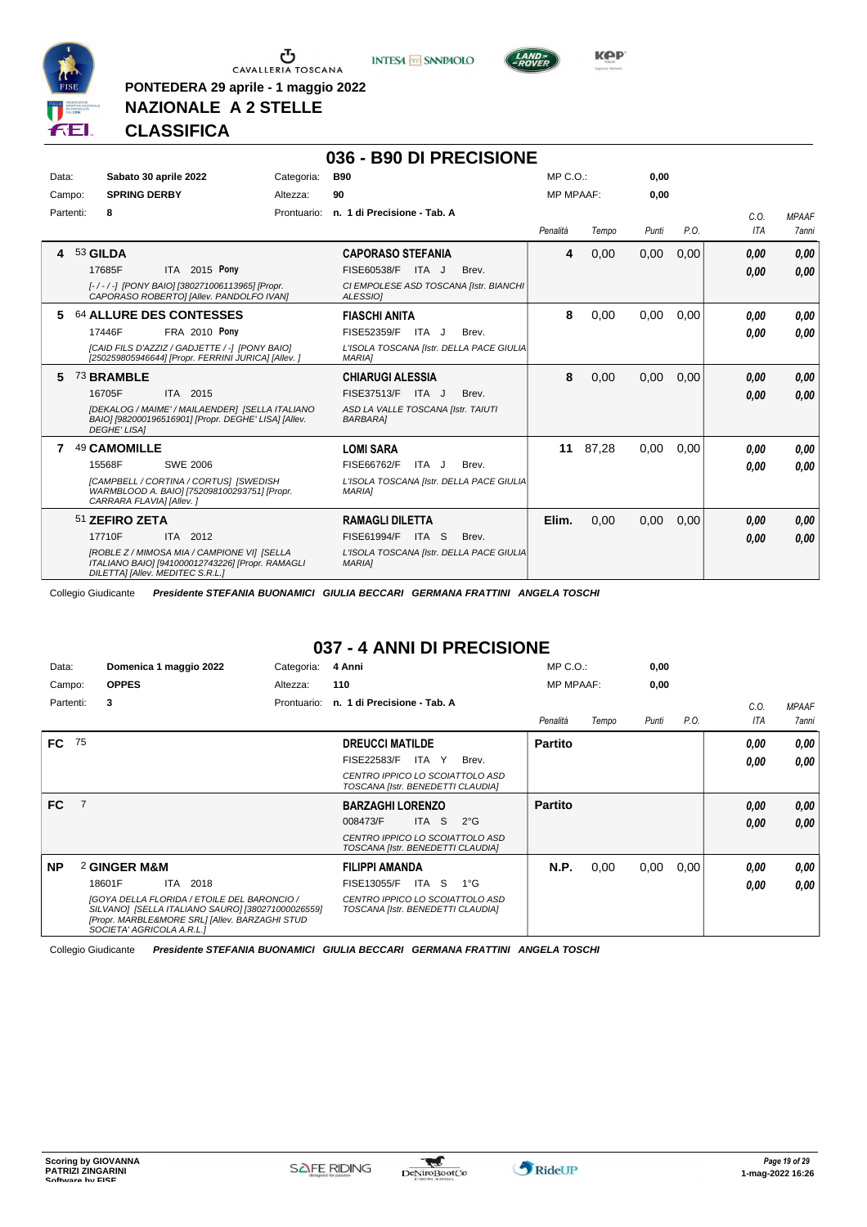



**036 - B90 DI PRECISIONE**



KOP

**PONTEDERA 29 aprile - 1 maggio 2022 NAZIONALE A 2 STELLE**

### **CLASSIFICA**

#### Data: Sabato 30 aprile 2022 **Base Categoria:** B90 Prontuario: **n. 1 di Precisione - Tab. A** Campo: **SPRING DERBY** Partenti: **8** Altezza: **90** MP C.O.: MP MPAAF: **0,00 0,00** *Penalità Tempo Punti P.O. C.O. ITA MPAAF 7anni* **4** 53 **GILDA** ITA 2015 Pony **CAPORASO STEFANIA** *[- / - / -] [PONY BAIO] [380271006113965] [Propr. CAPORASO ROBERTO] [Allev. PANDOLFO IVAN] CI EMPOLESE ASD TOSCANA [Istr. BIANCHI ALESSIO]* ITA J Brev. 17685F FISE60538/F *0,00* **Pony 4** 0,00 0,00 0,00 *0,00 0,00 0,00* **5** 64 **ALLURE DES CONTESSES FRA 2010 Pony FIASCHI ANITA** *[CAID FILS D'AZZIZ / GADJETTE / -] [PONY BAIO] [250259805946644] [Propr. FERRINI JURICA] [Allev. ] L'ISOLA TOSCANA [Istr. DELLA PACE GIULIA MARIA]* ITA J Brev. 17446F FISE52359/F *0,00* **Pony 8** 0,00 0,00 0,00 *0,00 0,00 0,00* **5** 73 **BRAMBLE** ITA 2015 **CHIARUGI ALESSIA** *[DEKALOG / MAIME' / MAILAENDER] [SELLA ITALIANO BAIO] [982000196516901] [Propr. DEGHE' LISA] [Allev. DEGHE' LISA] ASD LA VALLE TOSCANA [Istr. TAIUTI BARBARA]* 16705F ITA 2015 FISE37513/F ITA J Brev. **0,00 0,00 8** 0,00 0,00 0,00 *0,00 0,00 0,00* **7** 49 **CAMOMILLE** SWE 2006 **LOMI SARA** *[CAMPBELL / CORTINA / CORTUS] [SWEDISH WARMBLOOD A. BAIO] [752098100293751] [Propr. CARRARA FLAVIA] [Allev. ] L'ISOLA TOSCANA [Istr. DELLA PACE GIULIA MARIA]* 15568F SWE 2006 FISE66762/F ITA J Brev. **0,00 0,00 11** 87,28 0,00 0,00 *0,00 0,00 0,00* 51 **ZEFIRO ZETA** ITA 2012 **RAMAGLI DILETTA** *[ROBLE Z / MIMOSA MIA / CAMPIONE VI] [SELLA ITALIANO BAIO] [941000012743226] [Propr. RAMAGLI DILETTA] [Allev. MEDITEC S.R.L.] L'ISOLA TOSCANA [Istr. DELLA PACE GIULIA MARIA]* 17710F ITA 2012 FISE61994/F ITA S Brev. <mark>0,00 0,00</mark> **Elim.** 0,00 0,00 0,00 *0,00 0,00 0,00*

Collegio Giudicante *Presidente STEFANIA BUONAMICI GIULIA BECCARI GERMANA FRATTINI ANGELA TOSCHI*

### **037 - 4 ANNI DI PRECISIONE**

| Data:     |    | Domenica 1 maggio 2022                                                                                                                                                          | Categoria:  | 4 Anni                                                               | $MP C. O.$ :     |       | 0,00  |      |      |                     |
|-----------|----|---------------------------------------------------------------------------------------------------------------------------------------------------------------------------------|-------------|----------------------------------------------------------------------|------------------|-------|-------|------|------|---------------------|
| Campo:    |    | <b>OPPES</b>                                                                                                                                                                    | Altezza:    | 110                                                                  | <b>MP MPAAF:</b> |       | 0,00  |      |      |                     |
| Partenti: |    | 3                                                                                                                                                                               | Prontuario: | n. 1 di Precisione - Tab. A                                          |                  |       |       |      | C.O. | <b>MPAAF</b>        |
|           |    |                                                                                                                                                                                 |             |                                                                      | Penalità         | Tempo | Punti | P.O. | ITA  | <i><b>7anni</b></i> |
| FC.       | 75 |                                                                                                                                                                                 |             | <b>DREUCCI MATILDE</b>                                               | Partito          |       |       |      | 0.00 | 0,00                |
|           |    |                                                                                                                                                                                 |             | <b>FISE22583/F</b><br>ITA Y<br>Brev.                                 |                  |       |       |      | 0,00 | 0.00                |
|           |    |                                                                                                                                                                                 |             | CENTRO IPPICO LO SCOIATTOLO ASD<br>TOSCANA [Istr. BENEDETTI CLAUDIA] |                  |       |       |      |      |                     |
| FC.       |    |                                                                                                                                                                                 |             | <b>BARZAGHI LORENZO</b>                                              | <b>Partito</b>   |       |       |      | 0,00 | 0,00                |
|           |    |                                                                                                                                                                                 |             | 008473/F<br>ITA S<br>$2^{\circ}G$                                    |                  |       |       |      | 0,00 | 0,00                |
|           |    |                                                                                                                                                                                 |             | CENTRO IPPICO LO SCOIATTOLO ASD<br>TOSCANA [Istr. BENEDETTI CLAUDIA] |                  |       |       |      |      |                     |
| <b>NP</b> |    | 2 GINGER M&M                                                                                                                                                                    |             | <b>FILIPPI AMANDA</b>                                                | <b>N.P.</b>      | 0,00  | 0.00  | 0,00 | 0.00 | 0,00                |
|           |    | 18601F<br>ITA 2018                                                                                                                                                              |             | FISE13055/F<br>ITA S<br>$1^{\circ}G$                                 |                  |       |       |      | 0.00 | 0.00                |
|           |    | IGOYA DELLA FLORIDA / ETOILE DEL BARONCIO /<br>SILVANO] [SELLA ITALIANO SAURO] [380271000026559]<br>[Propr. MARBLE&MORE SRL] [Allev. BARZAGHI STUD<br>SOCIETA' AGRICOLA A.R.L.] |             | CENTRO IPPICO LO SCOIATTOLO ASD<br>TOSCANA [Istr. BENEDETTI CLAUDIA] |                  |       |       |      |      |                     |

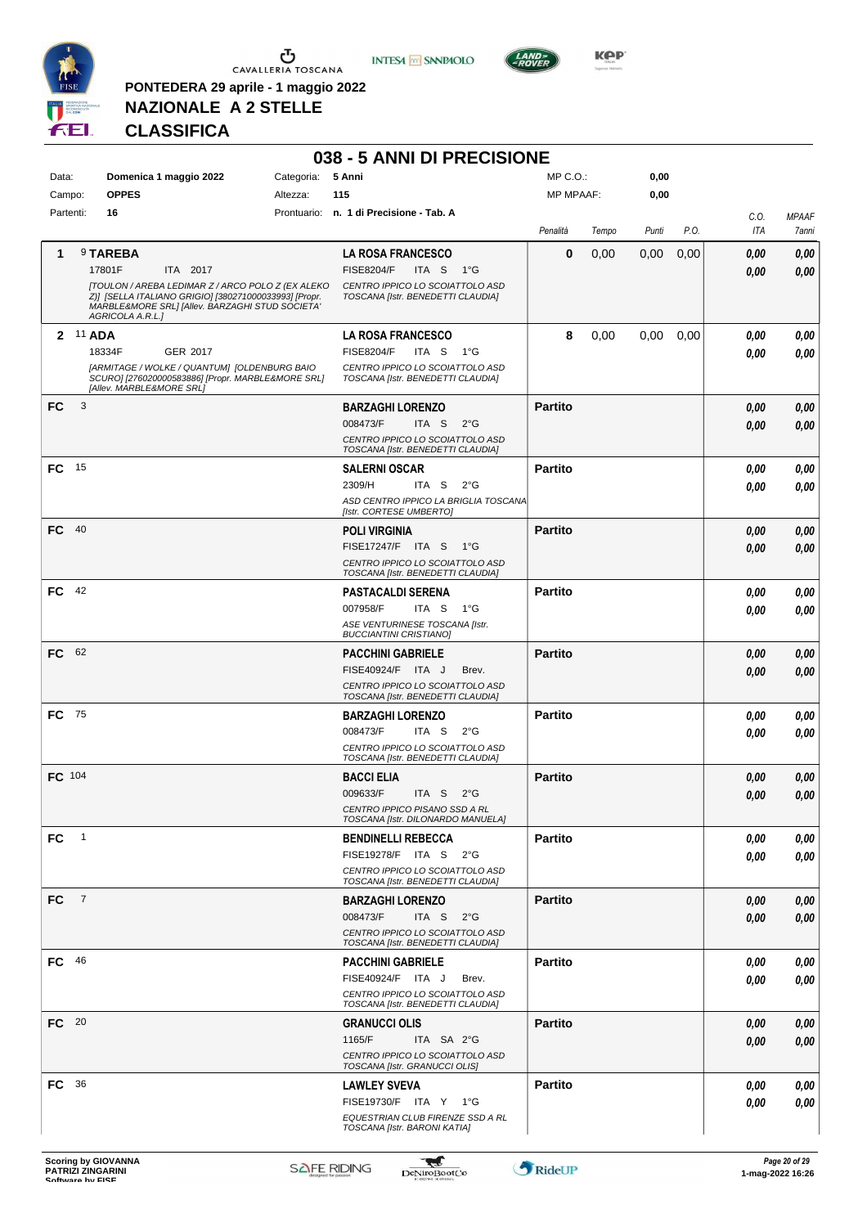

**PONTEDERA 29 aprile - 1 maggio 2022**

**INTESA** M SANPAOLO

**038 - 5 ANNI DI PRECISIONE**



**Kep** 

**NAZIONALE A 2 STELLE**

### **CLASSIFICA**

| Data:        | Domenica 1 maggio 2022                                                                                                                  |          | Categoria: | 5 Anni                                                                                                                                | $MP C. O.$ :     |       | 0,00  |      |              |                       |
|--------------|-----------------------------------------------------------------------------------------------------------------------------------------|----------|------------|---------------------------------------------------------------------------------------------------------------------------------------|------------------|-------|-------|------|--------------|-----------------------|
| Campo:       | <b>OPPES</b>                                                                                                                            |          | Altezza:   | 115                                                                                                                                   | <b>MP MPAAF:</b> |       | 0,00  |      |              |                       |
| Partenti:    | 16                                                                                                                                      |          |            | Prontuario: n. 1 di Precisione - Tab. A                                                                                               | Penalità         | Tempo | Punti | P.O. | C.O.<br>ITA  | <b>MPAAF</b><br>7anni |
| 1            | 9 TAREBA<br>17801F<br>ITOULON / AREBA LEDIMAR Z / ARCO POLO Z (EX ALEKO<br>Z)] [SELLA ITALIANO GRIGIO] [380271000033993] [Propr.        | ITA 2017 |            | <b>LA ROSA FRANCESCO</b><br><b>FISE8204/F</b><br>ITA S 1°G<br>CENTRO IPPICO LO SCOIATTOLO ASD<br>TOSCANA [Istr. BENEDETTI CLAUDIA]    | $\bf{0}$         | 0,00  | 0,00  | 0,00 | 0,00<br>0.00 | 0,00<br>0,00          |
|              | MARBLE&MORE SRL] [Allev. BARZAGHI STUD SOCIETA'<br>AGRICOLA A.R.L.]<br>2 <sup>11</sup> ADA                                              |          |            | <b>LA ROSA FRANCESCO</b>                                                                                                              | 8                | 0,00  | 0,00  | 0,00 | 0,00         | 0,00                  |
|              | 18334F<br>[ARMITAGE / WOLKE / QUANTUM] [OLDENBURG BAIO<br>SCURO] [276020000583886] [Propr. MARBLE&MORE SRL]<br>[Allev. MARBLE&MORE SRL] | GER 2017 |            | <b>FISE8204/F</b><br>ITA S 1°G<br>CENTRO IPPICO LO SCOIATTOLO ASD<br>TOSCANA [Istr. BENEDETTI CLAUDIA]                                |                  |       |       |      | 0.00         | 0,00                  |
| FC           | 3                                                                                                                                       |          |            | <b>BARZAGHI LORENZO</b><br>008473/F<br>ITA S<br>$2^{\circ}$ G<br>CENTRO IPPICO LO SCOIATTOLO ASD<br>TOSCANA [Istr. BENEDETTI CLAUDIA] | <b>Partito</b>   |       |       |      | 0,00<br>0.00 | 0,00<br>0,00          |
| $FC$ 15      |                                                                                                                                         |          |            | <b>SALERNI OSCAR</b><br>2309/H<br>ITA S<br>$2^{\circ}G$<br>ASD CENTRO IPPICO LA BRIGLIA TOSCANA<br>[Istr. CORTESE UMBERTO]            | <b>Partito</b>   |       |       |      | 0.00<br>0.00 | 0,00<br>0,00          |
| FC 40        |                                                                                                                                         |          |            | <b>POLI VIRGINIA</b><br>FISE17247/F ITA S 1°G<br>CENTRO IPPICO LO SCOIATTOLO ASD<br>TOSCANA [Istr. BENEDETTI CLAUDIA]                 | <b>Partito</b>   |       |       |      | 0.00<br>0.00 | 0,00<br>0,00          |
| FC 42        |                                                                                                                                         |          |            | <b>PASTACALDI SERENA</b><br>007958/F<br>ITA S<br>1°G<br>ASE VENTURINESE TOSCANA [Istr.<br><b>BUCCIANTINI CRISTIANO]</b>               | <b>Partito</b>   |       |       |      | 0,00<br>0.00 | 0,00<br>0,00          |
| FC 62        |                                                                                                                                         |          |            | <b>PACCHINI GABRIELE</b><br>FISE40924/F ITA J<br>Brev.<br>CENTRO IPPICO LO SCOIATTOLO ASD<br>TOSCANA [Istr. BENEDETTI CLAUDIA]        | <b>Partito</b>   |       |       |      | 0,00<br>0.00 | 0,00<br>0,00          |
| <b>FC</b> 75 |                                                                                                                                         |          |            | <b>BARZAGHI LORENZO</b><br>008473/F<br>ITA S<br>$2^{\circ}G$<br>CENTRO IPPICO LO SCOIATTOLO ASD<br>TOSCANA [Istr. BENEDETTI CLAUDIA]  | <b>Partito</b>   |       |       |      | 0.00<br>0.00 | 0,00<br>0,00          |
| FC 104       |                                                                                                                                         |          |            | <b>BACCI ELIA</b><br>009633/F<br>ITA S $2^{\circ}G$<br>CENTRO IPPICO PISANO SSD A RL<br>TOSCANA [Istr. DILONARDO MANUELA]             | <b>Partito</b>   |       |       |      | 0,00<br>0.00 | 0,00<br>0,00          |
| FC           | $\mathbf{1}$                                                                                                                            |          |            | <b>BENDINELLI REBECCA</b><br>FISE19278/F ITA S 2°G<br>CENTRO IPPICO LO SCOIATTOLO ASD<br>TOSCANA [Istr. BENEDETTI CLAUDIA]            | <b>Partito</b>   |       |       |      | 0.00<br>0.00 | 0,00<br>0,00          |
| FC.          | $\overline{7}$                                                                                                                          |          |            | <b>BARZAGHI LORENZO</b><br>008473/F<br>ITA S $2^{\circ}G$<br>CENTRO IPPICO LO SCOIATTOLO ASD<br>TOSCANA [Istr. BENEDETTI CLAUDIA]     | <b>Partito</b>   |       |       |      | 0,00<br>0.00 | 0,00<br>0,00          |
| FC 46        |                                                                                                                                         |          |            | <b>PACCHINI GABRIELE</b><br>FISE40924/F ITA J<br>Brev.<br>CENTRO IPPICO LO SCOIATTOLO ASD<br>TOSCANA [Istr. BENEDETTI CLAUDIA]        | <b>Partito</b>   |       |       |      | 0.00<br>0.00 | 0,00<br>0,00          |
| FC 20        |                                                                                                                                         |          |            | <b>GRANUCCI OLIS</b><br>1165/F<br>ITA SA 2°G<br>CENTRO IPPICO LO SCOIATTOLO ASD<br>TOSCANA [Istr. GRANUCCI OLIS]                      | <b>Partito</b>   |       |       |      | 0,00<br>0.00 | 0,00<br>0,00          |
| FC 36        |                                                                                                                                         |          |            | <b>LAWLEY SVEVA</b><br>FISE19730/F ITA Y 1°G<br>EQUESTRIAN CLUB FIRENZE SSD A RL<br>TOSCANA [Istr. BARONI KATIA]                      | <b>Partito</b>   |       |       |      | 0.00<br>0.00 | 0,00<br>0,00          |

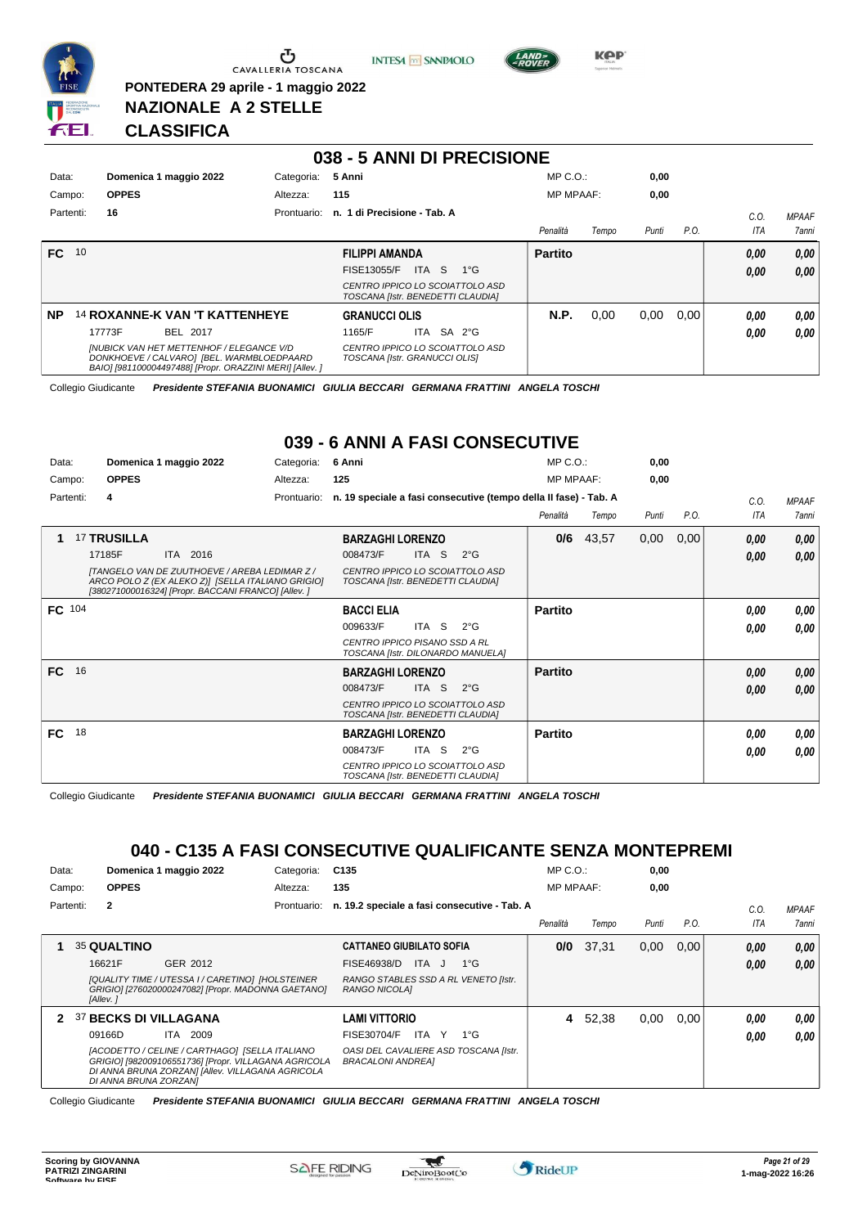

**PONTEDERA 29 aprile - 1 maggio 2022**

**NAZIONALE A 2 STELLE**





KOP

**CLASSIFICA**

#### **038 - 5 ANNI DI PRECISIONE** Data: **Domenica 1 maggio 2022** Categoria: 5 Anni Prontuario: **n. 1 di Precisione - Tab. A** Campo: **OPPES** Partenti: **16** Altezza: **115** MP C.O.: MP MPAAF: **0,00 0,00** *Penalità Tempo Punti P.O. C.O. ITA MPAAF 7anni* **FC** 10 **FILIPPI AMANDA** *CENTRO IPPICO LO SCOIATTOLO ASD TOSCANA [Istr. BENEDETTI CLAUDIA]* ITA S 1°G FISE13055/F *0,00* **Partito** *0,00 0,00 0,00* **N.P.** 0,00 0,00 0,00 *0,00 0,00*

ITA SA 2°G

**NP** 14 **ROXANNE-K VAN 'T KATTENHEYE** BEL 2017 **GRANUCCI OLIS** *[NUBICK VAN HET METTENHOF / ELEGANCE V/D DONKHOEVE / CALVARO] [BEL. WARMBLOEDPAARD BAIO] [981100004497488] [Propr. ORAZZINI MERI] [Allev. ] CENTRO IPPICO LO SCOIATTOLO ASD TOSCANA [Istr. GRANUCCI OLIS]* 17773F 1165/F *0,00*

Collegio Giudicante *Presidente STEFANIA BUONAMICI GIULIA BECCARI GERMANA FRATTINI ANGELA TOSCHI*

### **039 - 6 ANNI A FASI CONSECUTIVE**

| Data:     |    | Domenica 1 maggio 2022                                                                                                                                   | Categoria:  | 6 Anni                                                               |            |               | MP C.O.:         |       | 0,00  |      |      |              |
|-----------|----|----------------------------------------------------------------------------------------------------------------------------------------------------------|-------------|----------------------------------------------------------------------|------------|---------------|------------------|-------|-------|------|------|--------------|
| Campo:    |    | <b>OPPES</b>                                                                                                                                             | Altezza:    | 125                                                                  |            |               | <b>MP MPAAF:</b> |       | 0,00  |      |      |              |
| Partenti: |    | 4                                                                                                                                                        | Prontuario: | n. 19 speciale a fasi consecutive (tempo della II fase) - Tab. A     |            |               |                  |       |       |      | C.O. | <b>MPAAF</b> |
|           |    |                                                                                                                                                          |             |                                                                      |            |               | Penalità         | Tempo | Punti | P.O. | ITA  | 7anni        |
|           |    | 17 TRUSILLA                                                                                                                                              |             | <b>BARZAGHI LORENZO</b>                                              |            |               | 0/6              | 43,57 | 0,00  | 0,00 | 0,00 | 0,00         |
|           |    | ITA 2016<br>17185F                                                                                                                                       |             | 008473/F                                                             | ITA S      | $2^{\circ}$ G |                  |       |       |      | 0,00 | 0,00         |
|           |    | [TANGELO VAN DE ZUUTHOEVE / AREBA LEDIMAR Z /<br>ARCO POLO Z (EX ALEKO Z)] [SELLA ITALIANO GRIGIO]<br>[380271000016324] [Propr. BACCANI FRANCO] [Allev.] |             | CENTRO IPPICO LO SCOIATTOLO ASD<br>TOSCANA [Istr. BENEDETTI CLAUDIA] |            |               |                  |       |       |      |      |              |
| FC 104    |    |                                                                                                                                                          |             | <b>BACCI ELIA</b>                                                    |            |               | <b>Partito</b>   |       |       |      | 0.00 | 0,00         |
|           |    |                                                                                                                                                          |             | 009633/F                                                             | S<br>ITA I | $2^{\circ}G$  |                  |       |       |      | 0,00 | 0,00         |
|           |    |                                                                                                                                                          |             | CENTRO IPPICO PISANO SSD A RL<br>TOSCANA [Istr. DILONARDO MANUELA]   |            |               |                  |       |       |      |      |              |
| FC.       | 16 |                                                                                                                                                          |             | <b>BARZAGHI LORENZO</b>                                              |            |               | <b>Partito</b>   |       |       |      | 0,00 | 0,00         |
|           |    |                                                                                                                                                          |             | 008473/F                                                             | ITA S      | $2^{\circ}$ G |                  |       |       |      | 0,00 | 0,00         |
|           |    |                                                                                                                                                          |             | CENTRO IPPICO LO SCOIATTOLO ASD<br>TOSCANA [Istr. BENEDETTI CLAUDIA] |            |               |                  |       |       |      |      |              |
| <b>FC</b> | 18 |                                                                                                                                                          |             | <b>BARZAGHI LORENZO</b>                                              |            |               | <b>Partito</b>   |       |       |      | 0.00 | 0,00         |
|           |    |                                                                                                                                                          |             | 008473/F                                                             | ITA S      | $2^{\circ}$ G |                  |       |       |      | 0,00 | 0,00         |
|           |    |                                                                                                                                                          |             | CENTRO IPPICO LO SCOIATTOLO ASD<br>TOSCANA [Istr. BENEDETTI CLAUDIA] |            |               |                  |       |       |      |      |              |

Collegio Giudicante *Presidente STEFANIA BUONAMICI GIULIA BECCARI GERMANA FRATTINI ANGELA TOSCHI*

### **040 - C135 A FASI CONSECUTIVE QUALIFICANTE SENZA MONTEPREMI**

| Data:  |           |                       | Domenica 1 maggio 2022                                                                                                                                     | Categoria:  | C <sub>135</sub>                                                  | $MP C. O.$ :     |       | 0,00  |      |            |              |
|--------|-----------|-----------------------|------------------------------------------------------------------------------------------------------------------------------------------------------------|-------------|-------------------------------------------------------------------|------------------|-------|-------|------|------------|--------------|
| Campo: |           | <b>OPPES</b>          |                                                                                                                                                            | Altezza:    | 135                                                               | <b>MP MPAAF:</b> |       | 0,00  |      |            |              |
|        | Partenti: | $\mathbf{2}$          |                                                                                                                                                            | Prontuario: | n. 19.2 speciale a fasi consecutive - Tab. A                      |                  |       |       |      | C.0        | <b>MPAAF</b> |
|        |           |                       |                                                                                                                                                            |             |                                                                   | Penalità         | Tempo | Punti | P.O. | <b>ITA</b> | 7anni        |
|        |           | <b>35 QUALTINO</b>    |                                                                                                                                                            |             | <b>CATTANEO GIUBILATO SOFIA</b>                                   | 0/0              | 37.31 | 0,00  | 0.00 | 0.00       | 0.00         |
|        |           | 16621F                | GER 2012                                                                                                                                                   |             | FISE46938/D<br>ITA J<br>$1^{\circ}G$                              |                  |       |       |      | 0.00       | 0.00         |
|        |           | [Allev.]              | [QUALITY TIME / UTESSA I / CARETINO] [HOLSTEINER<br>GRIGIO] [276020000247082] [Propr. MADONNA GAETANO]                                                     |             | RANGO STABLES SSD A RL VENETO [Istr.<br>RANGO NICOLAI             |                  |       |       |      |            |              |
|        |           |                       | <b>37 BECKS DI VILLAGANA</b>                                                                                                                               |             | <b>LAMI VITTORIO</b>                                              | 4                | 52,38 | 0,00  | 0.00 | 0.00       | 0.00         |
|        |           | 09166D                | ITA 2009                                                                                                                                                   |             | FISE30704/F<br>ITA Y<br>$1^{\circ}G$                              |                  |       |       |      | 0.00       | 0.00         |
|        |           | DI ANNA BRUNA ZORZANI | [ACODETTO / CELINE / CARTHAGO] [SELLA ITALIANO<br>GRIGIO] [982009106551736] [Propr. VILLAGANA AGRICOLA<br>DI ANNA BRUNA ZORZAN] [Allev. VILLAGANA AGRICOLA |             | OASI DEL CAVALIERE ASD TOSCANA [Istr.<br><b>BRACALONI ANDREA1</b> |                  |       |       |      |            |              |

Collegio Giudicante *Presidente STEFANIA BUONAMICI GIULIA BECCARI GERMANA FRATTINI ANGELA TOSCHI*



*0,00*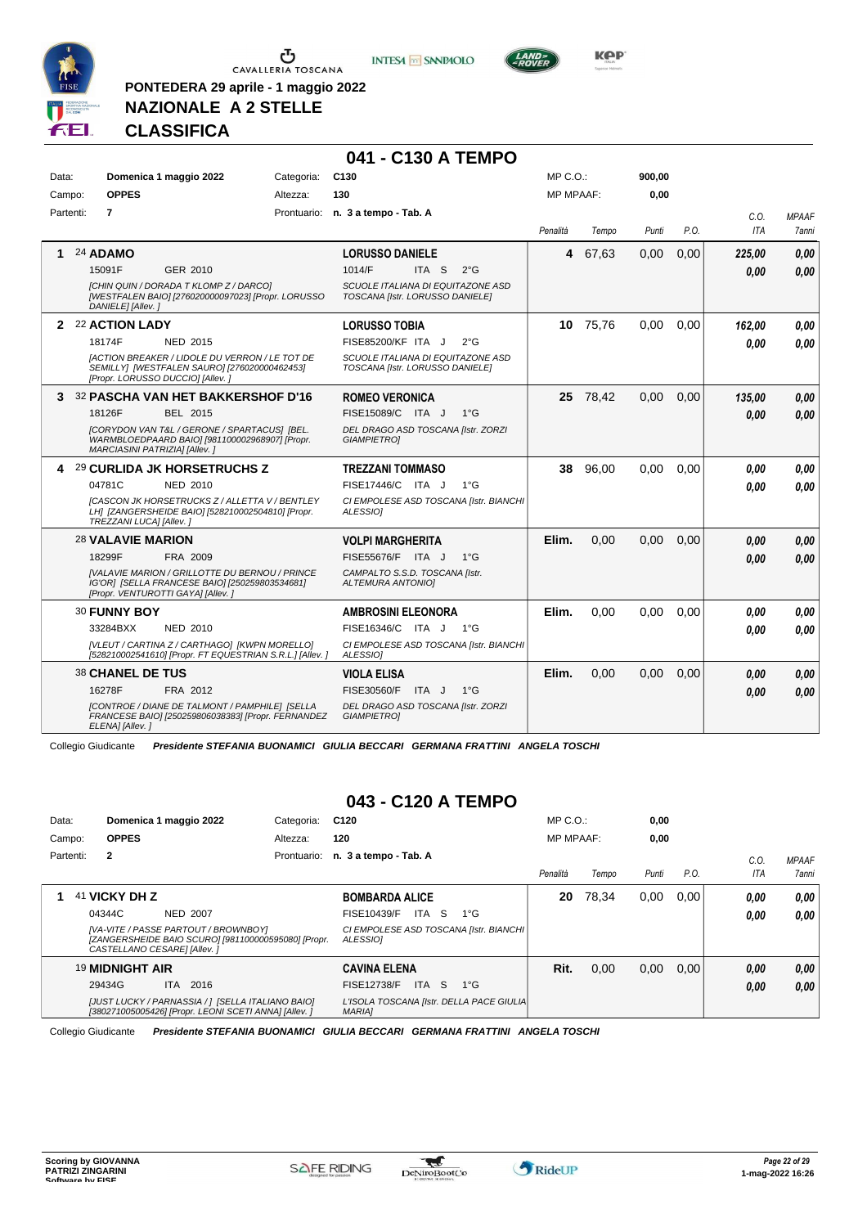

**PONTEDERA 29 aprile - 1 maggio 2022**

**NAZIONALE A 2 STELLE**

**INTESA** M SANPAOLO



**Kep** 

**CLASSIFICA**

#### **041 - C130 A TEMPO**

| Data: |           |                               | Domenica 1 maggio 2022                                                                                                                       | Categoria: | C <sub>130</sub>                                           |       |                                        | $MP C. O.$ :     |          | 900,00 |      |            |              |
|-------|-----------|-------------------------------|----------------------------------------------------------------------------------------------------------------------------------------------|------------|------------------------------------------------------------|-------|----------------------------------------|------------------|----------|--------|------|------------|--------------|
|       | Campo:    | <b>OPPES</b>                  |                                                                                                                                              | Altezza:   | 130                                                        |       |                                        | <b>MP MPAAF:</b> |          | 0,00   |      |            |              |
|       | Partenti: | $\overline{7}$                |                                                                                                                                              |            | Prontuario: n. 3 a tempo - Tab. A                          |       |                                        |                  |          |        |      | C.O.       | <b>MPAAF</b> |
|       |           |                               |                                                                                                                                              |            |                                                            |       |                                        | Penalità         | Tempo    | Punti  | P.O. | <b>ITA</b> | 7anni        |
|       |           | 24 ADAMO                      |                                                                                                                                              |            | <b>LORUSSO DANIELE</b>                                     |       |                                        | 4                | 67,63    | 0,00   | 0,00 | 225,00     | 0,00         |
|       |           | 15091F                        | GER 2010                                                                                                                                     |            | 1014/F                                                     | ITA S | $2^{\circ}$ G                          |                  |          |        |      | 0.00       | 0.00         |
|       |           | DANIELE] [Allev. ]            | <b>ICHIN QUIN / DORADA T KLOMP Z / DARCOI</b><br>[WESTFALEN BAIO] [276020000097023] [Propr. LORUSSO                                          |            | TOSCANA [Istr. LORUSSO DANIELE]                            |       | SCUOLE ITALIANA DI EQUITAZONE ASD      |                  |          |        |      |            |              |
|       |           | 2 22 ACTION LADY              |                                                                                                                                              |            | <b>LORUSSO TOBIA</b>                                       |       |                                        |                  | 10 75,76 | 0,00   | 0,00 | 162.00     | 0.00         |
|       |           | 18174F                        | NED 2015                                                                                                                                     |            | FISE85200/KF ITA J                                         |       | $2^{\circ}$ G                          |                  |          |        |      | 0.00       | 0.00         |
|       |           |                               | [ACTION BREAKER / LIDOLE DU VERRON / LE TOT DE<br>SEMILLY] [WESTFALEN SAURO] [276020000462453]<br>[Propr. LORUSSO DUCCIO] [Allev.]           |            | TOSCANA [Istr. LORUSSO DANIELE]                            |       | SCUOLE ITALIANA DI EQUITAZONE ASD      |                  |          |        |      |            |              |
| 3     |           |                               | 32 PASCHA VAN HET BAKKERSHOF D'16                                                                                                            |            | <b>ROMEO VERONICA</b>                                      |       |                                        |                  | 25 78.42 | 0.00   | 0.00 | 135.00     | 0,00         |
|       |           | 18126F                        | BEL 2015                                                                                                                                     |            | FISE15089/C ITA J                                          |       | $1^{\circ}$ G                          |                  |          |        |      | 0.00       | 0.00         |
|       |           | MARCIASINI PATRIZIA] [Allev.] | [CORYDON VAN T&L / GERONE / SPARTACUS] [BEL.<br>WARMBLOEDPAARD BAIO] [981100002968907] [Propr.                                               |            | DEL DRAGO ASD TOSCANA [Istr. ZORZI<br><b>GIAMPIETROI</b>   |       |                                        |                  |          |        |      |            |              |
| 4     |           |                               | 29 CURLIDA JK HORSETRUCHS Z                                                                                                                  |            | <b>TREZZANI TOMMASO</b>                                    |       |                                        |                  | 38 96.00 | 0.00   | 0.00 | 0.00       | 0.00         |
|       |           | 04781C                        | NED 2010                                                                                                                                     |            | FISE17446/C ITA J                                          |       | $1^{\circ}$ G                          |                  |          |        |      | 0.00       | 0.00         |
|       |           | TREZZANI LUCA] [Allev.]       | <b>ICASCON JK HORSETRUCKS Z / ALLETTA V / BENTLEY</b><br>LH] [ZANGERSHEIDE BAIO] [528210002504810] [Propr.                                   |            | <b>ALESSIO1</b>                                            |       | CI EMPOLESE ASD TOSCANA [Istr. BIANCHI |                  |          |        |      |            |              |
|       |           | <b>28 VALAVIE MARION</b>      |                                                                                                                                              |            | <b>VOLPI MARGHERITA</b>                                    |       |                                        | Elim.            | 0.00     | 0.00   | 0.00 | 0.00       | 0,00         |
|       |           | 18299F                        | FRA 2009                                                                                                                                     |            | FISE55676/F ITA J                                          |       | $1^{\circ}$ G                          |                  |          |        |      | 0.00       | 0,00         |
|       |           |                               | <b>IVALAVIE MARION / GRILLOTTE DU BERNOU / PRINCE</b><br>IG'OR] [SELLA FRANCESE BAIO] [250259803534681]<br>[Propr. VENTUROTTI GAYA] [Allev.] |            | CAMPALTO S.S.D. TOSCANA [Istr.<br><b>ALTEMURA ANTONIO1</b> |       |                                        |                  |          |        |      |            |              |
|       |           | 30 FUNNY BOY                  |                                                                                                                                              |            | <b>AMBROSINI ELEONORA</b>                                  |       |                                        | Elim.            | 0.00     | 0.00   | 0.00 | 0.00       | 0.00         |
|       |           | 33284BXX                      | <b>NED 2010</b>                                                                                                                              |            | FISE16346/C ITA J                                          |       | $1^{\circ}G$                           |                  |          |        |      | 0.00       | 0.00         |
|       |           |                               | [VLEUT / CARTINA Z / CARTHAGO] [KWPN MORELLO]<br>[528210002541610] [Propr. FT EQUESTRIAN S.R.L.] [Allev. ]                                   |            | ALESSIOI                                                   |       | CI EMPOLESE ASD TOSCANA [Istr. BIANCHI |                  |          |        |      |            |              |
|       |           | <b>38 CHANEL DE TUS</b>       |                                                                                                                                              |            | <b>VIOLA ELISA</b>                                         |       |                                        | Elim.            | 0,00     | 0,00   | 0,00 | 0.00       | 0,00         |
|       |           | 16278F                        | FRA 2012                                                                                                                                     |            | FISE30560/F                                                | ITA J | $1^{\circ}$ G                          |                  |          |        |      | 0.00       | 0.00         |
|       |           | ELENA] [Allev.]               | [CONTROE / DIANE DE TALMONT / PAMPHILE] [SELLA<br>FRANCESE BAIO] [250259806038383] [Propr. FERNANDEZ                                         |            | DEL DRAGO ASD TOSCANA [Istr. ZORZI<br><b>GIAMPIETROI</b>   |       |                                        |                  |          |        |      |            |              |

Collegio Giudicante *Presidente STEFANIA BUONAMICI GIULIA BECCARI GERMANA FRATTINI ANGELA TOSCHI*

### **043 - C120 A TEMPO**

| Data:     | Domenica 1 maggio 2022       |                                                                                                            | Categoria:  | C <sub>120</sub>      |       |                                           | $MP C. O.$ :     |       | 0,00  |      |      |              |
|-----------|------------------------------|------------------------------------------------------------------------------------------------------------|-------------|-----------------------|-------|-------------------------------------------|------------------|-------|-------|------|------|--------------|
| Campo:    | <b>OPPES</b>                 |                                                                                                            | Altezza:    | 120                   |       |                                           | <b>MP MPAAF:</b> |       | 0,00  |      |      |              |
| Partenti: | $\mathbf{2}$                 |                                                                                                            | Prontuario: | n. 3 a tempo - Tab. A |       |                                           |                  |       |       |      | C.0  | <b>MPAAF</b> |
|           |                              |                                                                                                            |             |                       |       |                                           | Penalità         | Tempo | Punti | P.O. | ITA  | 7anni        |
|           | 41 VICKY DH Z                |                                                                                                            |             | <b>BOMBARDA ALICE</b> |       |                                           | 20               | 78,34 | 0,00  | 0,00 | 0,00 | 0,00         |
|           | 04344C                       | NED 2007                                                                                                   |             | FISE10439/F           | ITA S | $1^{\circ}G$                              |                  |       |       |      | 0,00 | 0,00         |
|           | CASTELLANO CESARE] [Allev. ] | [VA-VITE / PASSE PARTOUT / BROWNBOY]<br>[ZANGERSHEIDE BAIO SCURO] [981100000595080] [Propr.                |             | <b>ALESSIOI</b>       |       | CI EMPOLESE ASD TOSCANA [Istr. BIANCHI]   |                  |       |       |      |      |              |
|           | 19 MIDNIGHT AIR              |                                                                                                            |             | <b>CAVINA ELENA</b>   |       |                                           | Rit.             | 0.00  | 0,00  | 0.00 | 0,00 | 0,00         |
|           | 29434G                       | ITA 2016                                                                                                   |             | <b>FISE12738/F</b>    | ITA S | $1^{\circ}G$                              |                  |       |       |      | 0,00 | 0.00         |
|           |                              | [JUST LUCKY / PARNASSIA / ] [SELLA ITALIANO BAIO]<br>[380271005005426] [Propr. LEONI SCETI ANNA] [Allev. ] |             | <b>MARIAI</b>         |       | L'ISOLA TOSCANA [Istr. DELLA PACE GIULIA] |                  |       |       |      |      |              |

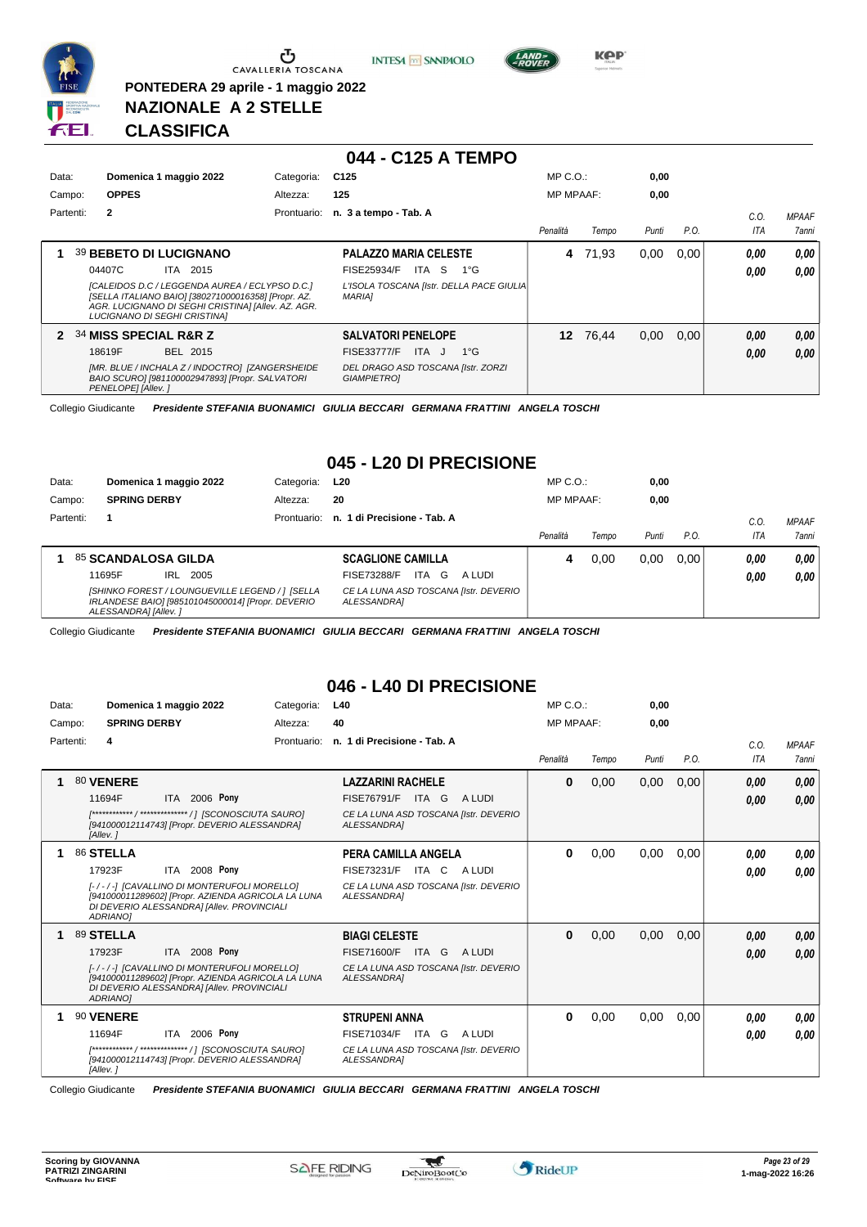

**INTESA** M SANPAOLO



**KPP** 

**PONTEDERA 29 aprile - 1 maggio 2022 NAZIONALE A 2 STELLE CLASSIFICA**

#### **044 - C125 A TEMPO** Data: **Domenica 1 maggio 2022** Categoria: C125 Prontuario: **n. 3 a tempo - Tab. A** Campo: **OPPES** Partenti: **2** Altezza: **125** MP C.O.: MP MPAAF: **0,00 0,00** *Penalità Tempo Punti P.O. C.O. ITA MPAAF 7anni* **1** 39 **BEBETO DI LUCIGNANO** ITA 2015 **PALAZZO MARIA CELESTE** *[CALEIDOS D.C / LEGGENDA AUREA / ECLYPSO D.C.] [SELLA ITALIANO BAIO] [380271000016358] [Propr. AZ. AGR. LUCIGNANO DI SEGHI CRISTINA] [Allev. AZ. AGR. LUCIGNANO DI SEGHI CRISTINA] L'ISOLA TOSCANA [Istr. DELLA PACE GIULIA MARIA]* 04407C ITA 2015 FISE25934/F ITA S 1°G **0,00 0,00 4** 71,93 0,00 0,00 *0,00 0,00 0,00* **2** 34 **MISS SPECIAL R&R Z** BEL 2015 **SALVATORI PENELOPE** *[MR. BLUE / INCHALA Z / INDOCTRO] [ZANGERSHEIDE BAIO SCURO] [981100002947893] [Propr. SALVATORI PENELOPE] [Allev. ] DEL DRAGO ASD TOSCANA [Istr. ZORZI GIAMPIETRO]* ITA J 1°G 18619F FISE33777/F *0,00* **12** 76,44 0,00 0,00 *0,00 0,00 0,00*

Collegio Giudicante *Presidente STEFANIA BUONAMICI GIULIA BECCARI GERMANA FRATTINI ANGELA TOSCHI*

### **045 - L20 DI PRECISIONE**

| Data:     | Domenica 1 maggio 2022<br>Categoria:                                                                                         |             | L20                                                         | $MP C. O.$ :     |       | 0,00  |      |      |              |
|-----------|------------------------------------------------------------------------------------------------------------------------------|-------------|-------------------------------------------------------------|------------------|-------|-------|------|------|--------------|
| Campo:    | <b>SPRING DERBY</b><br>Altezza:                                                                                              |             | 20                                                          | <b>MP MPAAF:</b> |       | 0.00  |      |      |              |
| Partenti: |                                                                                                                              | Prontuario: | n. 1 di Precisione - Tab. A                                 |                  |       |       |      | C.O. | <b>MPAAF</b> |
|           |                                                                                                                              |             |                                                             | Penalità         | Tempo | Punti | P.O. | ITA  | 7anni        |
|           | 85 SCANDALOSA GILDA                                                                                                          |             | <b>SCAGLIONE CAMILLA</b>                                    | 4                | 0.00  | 0.00  | 0.00 | 0.00 | 0,00         |
|           | 11695F<br>2005<br>IRL                                                                                                        |             | FISE73288/F<br>ITA.<br>G<br>A LUDI                          |                  |       |       |      | 0,00 | 0,00         |
|           | [SHINKO FOREST / LOUNGUEVILLE LEGEND / 1 [SELLA<br>IRLANDESE BAIO] [985101045000014] [Propr. DEVERIO<br>ALESSANDRA] [Allev.] |             | CE LA LUNA ASD TOSCANA [Istr. DEVERIO<br><b>ALESSANDRAI</b> |                  |       |       |      |      |              |

Collegio Giudicante *Presidente STEFANIA BUONAMICI GIULIA BECCARI GERMANA FRATTINI ANGELA TOSCHI*

### **046 - L40 DI PRECISIONE**

| Data:     | Domenica 1 maggio 2022                                                                                                                                            | Categoria:  | L40                                                  | $MP C. O.$ :     |       | 0.00  |      |      |              |
|-----------|-------------------------------------------------------------------------------------------------------------------------------------------------------------------|-------------|------------------------------------------------------|------------------|-------|-------|------|------|--------------|
| Campo:    | <b>SPRING DERBY</b>                                                                                                                                               | Altezza:    | 40                                                   | <b>MP MPAAF:</b> |       | 0.00  |      |      |              |
| Partenti: | 4                                                                                                                                                                 | Prontuario: | n. 1 di Precisione - Tab. A                          |                  |       |       |      | C.0. | <b>MPAAF</b> |
|           |                                                                                                                                                                   |             |                                                      | Penalità         | Tempo | Punti | P.O. | ITA  | <b>7anni</b> |
| 1         | 80 VENERE                                                                                                                                                         |             | <b>LAZZARINI RACHELE</b>                             | $\bf{0}$         | 0,00  | 0,00  | 0,00 | 0,00 | 0,00         |
|           | ITA 2006 Pony<br>11694F                                                                                                                                           |             | FISE76791/F<br>A LUDI<br>ITA G                       |                  |       |       |      | 0,00 | 0,00         |
|           | [************/ ***************/] [SCONOSCIUTA SAURO]<br>[941000012114743] [Propr. DEVERIO ALESSANDRA]<br>[Allev.]                                                 |             | CE LA LUNA ASD TOSCANA [Istr. DEVERIO<br>ALESSANDRA] |                  |       |       |      |      |              |
| 1         | 86 STELLA                                                                                                                                                         |             | PERA CAMILLA ANGELA                                  | 0                | 0,00  | 0,00  | 0,00 | 0.00 | 0,00         |
|           | ITA 2008 Pony<br>17923F                                                                                                                                           |             | <b>FISE73231/F</b><br>ITA CALUDI                     |                  |       |       |      | 0.00 | 0.00         |
|           | [-/-/-] [CAVALLINO DI MONTERUFOLI MORELLO]<br>[941000011289602] [Propr. AZIENDA AGRICOLA LA LUNA<br>DI DEVERIO ALESSANDRA] [Allev. PROVINCIALI<br>ADRIANO1        |             | CE LA LUNA ASD TOSCANA [Istr. DEVERIO<br>ALESSANDRA1 |                  |       |       |      |      |              |
| 1         | 89 STELLA                                                                                                                                                         |             | <b>BIAGI CELESTE</b>                                 | $\bf{0}$         | 0,00  | 0,00  | 0,00 | 0.00 | 0,00         |
|           | ITA 2008 Pony<br>17923F                                                                                                                                           |             | <b>FISE71600/F</b><br>ITA G<br>A LUDI                |                  |       |       |      | 0.00 | 0.00         |
|           | [-/-/-] [CAVALLINO DI MONTERUFOLI MORELLO]<br>[941000011289602] [Propr. AZIENDA AGRICOLA LA LUNA<br>DI DEVERIO ALESSANDRA] [Allev. PROVINCIALI<br><b>ADRIANOI</b> |             | CE LA LUNA ASD TOSCANA [Istr. DEVERIO<br>ALESSANDRA1 |                  |       |       |      |      |              |
| 1         | 90 VENERE                                                                                                                                                         |             | <b>STRUPENI ANNA</b>                                 | $\bf{0}$         | 0,00  | 0,00  | 0,00 | 0.00 | 0,00         |
|           | 11694F<br>ITA 2006 Pony                                                                                                                                           |             | A LUDI<br>FISE71034/F<br>ITA G                       |                  |       |       |      | 0.00 | 0.00         |
|           | [************/ **************/ ] [SCONOSCIUTA SAURO]<br>[941000012114743] [Propr. DEVERIO ALESSANDRA]<br>[Allev.]                                                 |             | CE LA LUNA ASD TOSCANA [Istr. DEVERIO<br>ALESSANDRA] |                  |       |       |      |      |              |

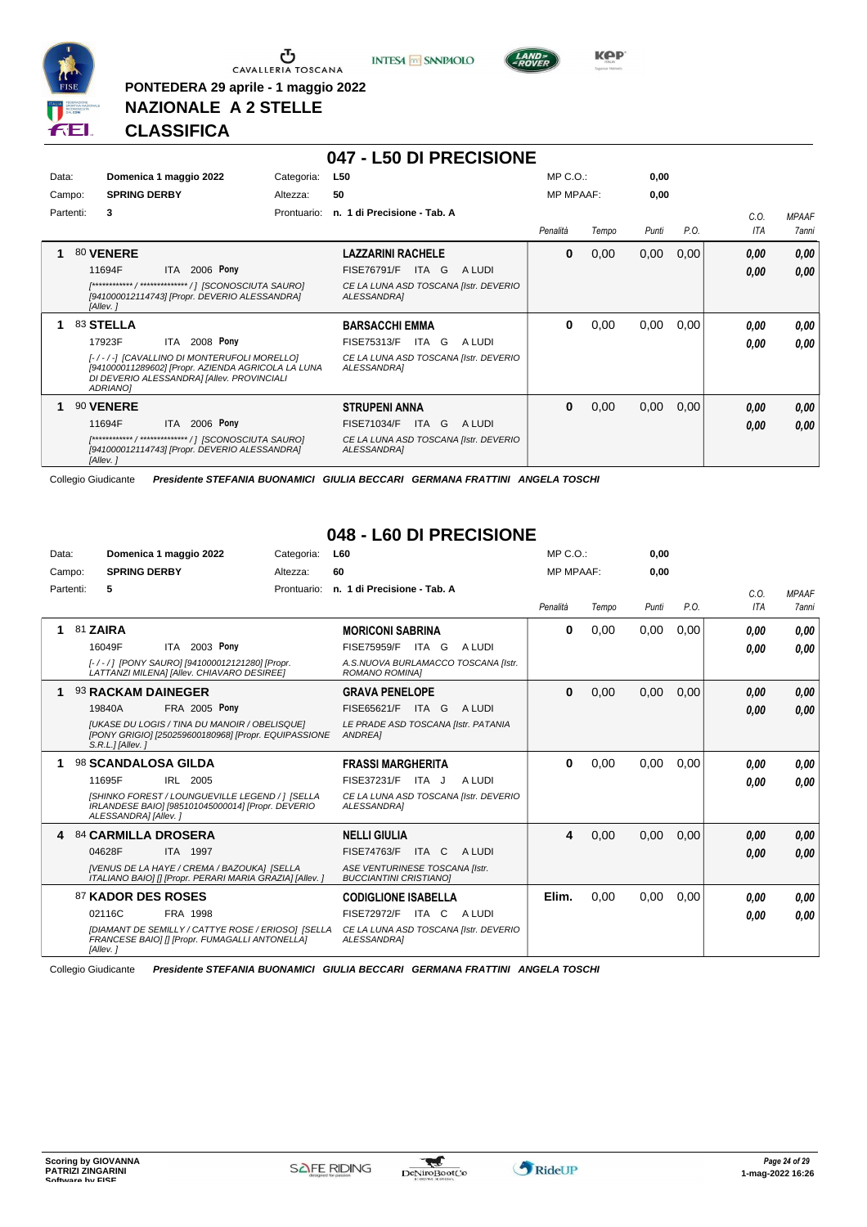

**PONTEDERA 29 aprile - 1 maggio 2022**

**NAZIONALE A 2 STELLE**

**INTESA** M SANPAOLO



**Kep** 

**CLASSIFICA**

# **047 - L50 DI PRECISIONE**

| Data:     |                     | Domenica 1 maggio 2022                                                                                                                         | Categoria:  | L50                                                  | $MP C. O.$ :     |       | 0,00  |      |            |              |
|-----------|---------------------|------------------------------------------------------------------------------------------------------------------------------------------------|-------------|------------------------------------------------------|------------------|-------|-------|------|------------|--------------|
| Campo:    | <b>SPRING DERBY</b> |                                                                                                                                                | Altezza:    | 50                                                   | <b>MP MPAAF:</b> |       | 0,00  |      |            |              |
| Partenti: | 3                   |                                                                                                                                                | Prontuario: | n. 1 di Precisione - Tab. A                          |                  |       |       |      | C.O.       | <b>MPAAF</b> |
|           |                     |                                                                                                                                                |             |                                                      | Penalità         | Tempo | Punti | P.O. | <b>ITA</b> | <b>7anni</b> |
|           | 80 VENERE           |                                                                                                                                                |             | <b>LAZZARINI RACHELE</b>                             | 0                | 0,00  | 0,00  | 0,00 | 0.00       | 0,00         |
|           | 11694F              | ITA 2006 Pony                                                                                                                                  |             | <b>FISE76791/F</b><br>ITA G<br>A LUDI                |                  |       |       |      | 0.00       | 0,00         |
|           | [Allev.]            | [941000012114743] [Propr. DEVERIO ALESSANDRA]                                                                                                  |             | CE LA LUNA ASD TOSCANA [Istr. DEVERIO<br>ALESSANDRA] |                  |       |       |      |            |              |
|           | 83 STELLA           |                                                                                                                                                |             | <b>BARSACCHI EMMA</b>                                | 0                | 0,00  | 0,00  | 0,00 | 0.00       | 0,00         |
|           | 17923F              | ITA 2008 Pony                                                                                                                                  |             | ITA G<br>FISE75313/F<br>A LUDI                       |                  |       |       |      | 0.00       | 0.00         |
|           | ADRIANO]            | [-/-/-] [CAVALLINO DI MONTERUFOLI MORELLO]<br>[941000011289602] [Propr. AZIENDA AGRICOLA LA LUNA<br>DI DEVERIO ALESSANDRA] [Allev. PROVINCIALI |             | CE LA LUNA ASD TOSCANA [Istr. DEVERIO<br>ALESSANDRA] |                  |       |       |      |            |              |
|           | 90 VENERE           |                                                                                                                                                |             | <b>STRUPENI ANNA</b>                                 | 0                | 0,00  | 0,00  | 0,00 | 0.00       | 0,00         |
|           | 11694F              | ITA 2006 Pony                                                                                                                                  |             | FISE71034/F<br>A LUDI<br>ITA I<br>G                  |                  |       |       |      | 0.00       | 0,00         |
|           | [Allev.]            | [941000012114743] [Propr. DEVERIO ALESSANDRA]                                                                                                  |             | CE LA LUNA ASD TOSCANA [Istr. DEVERIO<br>ALESSANDRA] |                  |       |       |      |            |              |

Collegio Giudicante *Presidente STEFANIA BUONAMICI GIULIA BECCARI GERMANA FRATTINI ANGELA TOSCHI*

#### **048 - L60 DI PRECISIONE**

| Data:  |           | Domenica 1 maggio 2022                                                                                                                                                              | Categoria:  | L60                                                                                                                             | MP C.O.          |       | 0,00  |      |                    |                       |
|--------|-----------|-------------------------------------------------------------------------------------------------------------------------------------------------------------------------------------|-------------|---------------------------------------------------------------------------------------------------------------------------------|------------------|-------|-------|------|--------------------|-----------------------|
| Campo: |           | <b>SPRING DERBY</b>                                                                                                                                                                 | Altezza:    | 60                                                                                                                              | <b>MP MPAAF:</b> |       | 0.00  |      |                    |                       |
|        | Partenti: | 5                                                                                                                                                                                   | Prontuario: | n. 1 di Precisione - Tab. A                                                                                                     | Penalità         | Tempo | Punti | P.O. | C.0.<br><b>ITA</b> | <b>MPAAF</b><br>7anni |
|        |           | 81 ZAIRA<br>ITA 2003 Pony<br>16049F<br>[-/-/] [PONY SAURO] [941000012121280] [Propr.<br>LATTANZI MILENA] [Allev. CHIAVARO DESIREE]                                                  |             | <b>MORICONI SABRINA</b><br><b>FISE75959/F</b><br>A LUDI<br>ITA G<br>A.S.NUOVA BURLAMACCO TOSCANA [Istr.<br>ROMANO ROMINA]       | 0                | 0.00  | 0,00  | 0,00 | 0.00<br>0.00       | 0,00<br>0.00          |
|        |           | 93 RACKAM DAINEGER<br>FRA 2005 Pony<br>19840A<br><b>JUKASE DU LOGIS / TINA DU MANOIR / OBELISQUE]</b><br>[PONY GRIGIO] [250259600180968] [Propr. EQUIPASSIONE<br>$S.R.L.JIAllev.$ ] |             | <b>GRAVA PENELOPE</b><br>FISE65621/F<br>A LUDI<br>ITA G<br>LE PRADE ASD TOSCANA [Istr. PATANIA<br><b>ANDREA1</b>                | 0                | 0.00  | 0,00  | 0,00 | 0,00<br>0.00       | 0,00<br>0,00          |
|        |           | 98 SCANDALOSA GILDA<br>11695F<br>IRL 2005<br>[SHINKO FOREST / LOUNGUEVILLE LEGEND / ] [SELLA<br>IRLANDESE BAIO] [985101045000014] [Propr. DEVERIO<br>ALESSANDRA] [Allev.]           |             | <b>FRASSI MARGHERITA</b><br>FISE37231/F<br>ITA J<br>A LUDI<br>CE LA LUNA ASD TOSCANA [Istr. DEVERIO<br>ALESSANDRA]              | 0                | 0,00  | 0,00  | 0.00 | 0,00<br>0.00       | 0,00<br>0.00          |
| 4      |           | 84 CARMILLA DROSERA<br>04628F<br>ITA 1997<br><b>IVENUS DE LA HAYE / CREMA / BAZOUKAI ISELLA</b><br>ITALIANO BAIO] [] [Propr. PERARI MARIA GRAZIA] [Allev. ]                         |             | <b>NELLI GIULIA</b><br><b>FISE74763/F</b><br>ITA C<br>A LUDI<br>ASE VENTURINESE TOSCANA [Istr.<br><b>BUCCIANTINI CRISTIANOI</b> | 4                | 0,00  | 0,00  | 0,00 | 0.00<br>0,00       | 0,00<br>0.00          |
|        |           | 87 KADOR DES ROSES<br>02116C<br>FRA 1998<br><b>IDIAMANT DE SEMILLY / CATTYE ROSE / ERIOSOI ISELLA</b><br>FRANCESE BAIOI [] [Propr. FUMAGALLI ANTONELLA]<br>[Allev.]                 |             | <b>CODIGLIONE ISABELLA</b><br><b>FISE72972/F</b><br>ITA C<br>A LUDI<br>CE LA LUNA ASD TOSCANA [Istr. DEVERIO<br>ALESSANDRA]     | Elim.            | 0,00  | 0,00  | 0,00 | 0.00<br>0.00       | 0.00<br>0.00          |

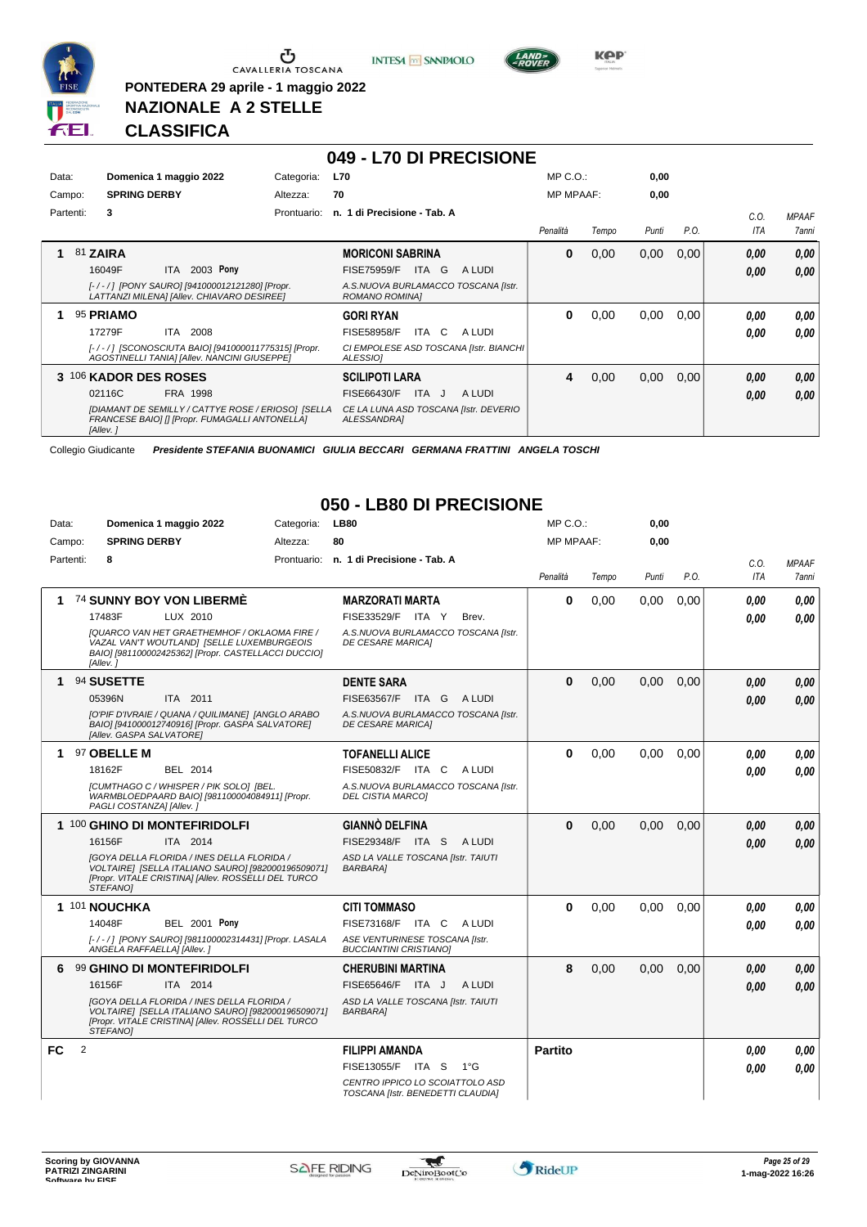

**PONTEDERA 29 aprile - 1 maggio 2022**





**Kep** 

**NAZIONALE A 2 STELLE**

#### **CLASSIFICA**

|       |           |                        |                                                                                                      |             | 049 - L70 DI PRECISIONE                               |        |                  |       |       |      |            |                     |
|-------|-----------|------------------------|------------------------------------------------------------------------------------------------------|-------------|-------------------------------------------------------|--------|------------------|-------|-------|------|------------|---------------------|
| Data: |           | Domenica 1 maggio 2022 |                                                                                                      | Categoria:  | <b>L70</b>                                            |        | $MP C. O.$ :     |       | 0,00  |      |            |                     |
|       | Campo:    | <b>SPRING DERBY</b>    |                                                                                                      | Altezza:    | 70                                                    |        | <b>MP MPAAF:</b> |       | 0,00  |      |            |                     |
|       | Partenti: | 3                      |                                                                                                      | Prontuario: | n. 1 di Precisione - Tab. A                           |        |                  |       |       |      | C.O.       | <b>MPAAF</b>        |
|       |           |                        |                                                                                                      |             |                                                       |        | Penalità         | Tempo | Punti | P.O. | <b>ITA</b> | <i><b>7anni</b></i> |
|       |           | 81 ZAIRA               |                                                                                                      |             | <b>MORICONI SABRINA</b>                               |        | $\bf{0}$         | 0,00  | 0,00  | 0,00 | 0.00       | 0,00                |
|       |           | 16049F<br><b>ITA</b>   | 2003 Pony                                                                                            |             | ITA G<br><b>FISE75959/F</b>                           | A LUDI |                  |       |       |      | 0.00       | 0.00                |
|       |           |                        | [-/-/] [PONY SAURO] [941000012121280] [Propr.<br>LATTANZI MILENA] [Allev. CHIAVARO DESIREE]          |             | A.S.NUOVA BURLAMACCO TOSCANA [Istr.<br>ROMANO ROMINA] |        |                  |       |       |      |            |                     |
|       |           | 95 PRIAMO              |                                                                                                      |             | <b>GORI RYAN</b>                                      |        | 0                | 0,00  | 0,00  | 0,00 | 0.00       | 0.00                |
|       |           | <b>ITA</b><br>17279F   | 2008                                                                                                 |             | ITA C<br><b>FISE58958/F</b>                           | A LUDI |                  |       |       |      | 0.00       | 0.00                |
|       |           |                        | [-/-/] [SCONOSCIUTA BAIO] [941000011775315] [Propr.<br>AGOSTINELLI TANIA] [Allev. NANCINI GIUSEPPE]  |             | CI EMPOLESE ASD TOSCANA [Istr. BIANCHI<br>ALESSIOI    |        |                  |       |       |      |            |                     |
|       |           | 3 106 KADOR DES ROSES  |                                                                                                      |             | <b>SCILIPOTI LARA</b>                                 |        | 4                | 0.00  | 0,00  | 0,00 | 0.00       | 0,00                |
|       |           | 02116C                 | FRA 1998                                                                                             |             | FISE66430/F<br>ITA J                                  | A LUDI |                  |       |       |      | 0.00       | 0,00                |
|       |           | [Allev.]               | [DIAMANT DE SEMILLY / CATTYE ROSE / ERIOSO] [SELLA<br>FRANCESE BAIO] [] [Propr. FUMAGALLI ANTONELLA] |             | CE LA LUNA ASD TOSCANA [Istr. DEVERIO<br>ALESSANDRA]  |        |                  |       |       |      |            |                     |

Collegio Giudicante *Presidente STEFANIA BUONAMICI GIULIA BECCARI GERMANA FRATTINI ANGELA TOSCHI*

### **050 - LB80 DI PRECISIONE**

| Data:     |                | Domenica 1 maggio 2022                                                                                                                                                     | Categoria: | <b>LB80</b>                                                          | $MP C. O.$ :     |       | 0,00  |      |            |              |
|-----------|----------------|----------------------------------------------------------------------------------------------------------------------------------------------------------------------------|------------|----------------------------------------------------------------------|------------------|-------|-------|------|------------|--------------|
| Campo:    |                | <b>SPRING DERBY</b>                                                                                                                                                        | Altezza:   | 80                                                                   | <b>MP MPAAF:</b> |       | 0.00  |      |            |              |
| Partenti: |                | 8                                                                                                                                                                          |            | Prontuario: n. 1 di Precisione - Tab. A                              |                  |       |       |      | C.O.       | <b>MPAAF</b> |
|           |                |                                                                                                                                                                            |            |                                                                      | Penalità         | Tempo | Punti | P.O. | <b>ITA</b> | 7anni        |
| 1         |                | 74 SUNNY BOY VON LIBERMÈ                                                                                                                                                   |            | <b>MARZORATI MARTA</b>                                               | 0                | 0,00  | 0,00  | 0,00 | 0,00       | 0.00         |
|           |                | 17483F<br>LUX 2010                                                                                                                                                         |            | FISE33529/F ITA Y<br>Brev.                                           |                  |       |       |      | 0,00       | 0.00         |
|           |                | <b>IQUARCO VAN HET GRAETHEMHOF / OKLAOMA FIRE /</b><br>VAZAL VAN'T WOUTLAND] [SELLE LUXEMBURGEOIS<br>BAIO] [981100002425362] [Propr. CASTELLACCI DUCCIO]<br>[Allev.]       |            | A.S.NUOVA BURLAMACCO TOSCANA [Istr.<br>DE CESARE MARICAI             |                  |       |       |      |            |              |
| 1         |                | 94 SUSETTE                                                                                                                                                                 |            | <b>DENTE SARA</b>                                                    | $\bf{0}$         | 0,00  | 0,00  | 0.00 | 0,00       | 0,00         |
|           |                | ITA 2011<br>05396N                                                                                                                                                         |            | FISE63567/F ITA G<br>A LUDI                                          |                  |       |       |      | 0,00       | 0,00         |
|           |                | [O'PIF D'IVRAIE / QUANA / QUILIMANE] [ANGLO ARABO<br>BAIO] [941000012740916] [Propr. GASPA SALVATORE]<br>[Allev. GASPA SALVATORE]                                          |            | A.S.NUOVA BURLAMACCO TOSCANA [Istr.<br><b>DE CESARE MARICAI</b>      |                  |       |       |      |            |              |
| 1         |                | 97 OBELLE M                                                                                                                                                                |            | <b>TOFANELLI ALICE</b>                                               | $\bf{0}$         | 0.00  | 0.00  | 0.00 | 0.00       | 0,00         |
|           |                | 18162F<br><b>BEL 2014</b>                                                                                                                                                  |            | FISE50832/F ITA C<br>A LUDI                                          |                  |       |       |      | 0.00       | 0.00         |
|           |                | [CUMTHAGO C / WHISPER / PIK SOLO] [BEL.<br>WARMBLOEDPAARD BAIO] [981100004084911] [Propr.<br>PAGLI COSTANZA] [Allev.]                                                      |            | A.S.NUOVA BURLAMACCO TOSCANA [Istr.<br><b>DEL CISTIA MARCO]</b>      |                  |       |       |      |            |              |
|           |                | 1 100 GHINO DI MONTEFIRIDOLFI                                                                                                                                              |            | <b>GIANNO DELFINA</b>                                                | $\bf{0}$         | 0,00  | 0,00  | 0,00 | 0,00       | 0,00         |
|           |                | 16156F<br>ITA 2014                                                                                                                                                         |            | <b>FISE29348/F ITA S</b><br>A LUDI                                   |                  |       |       |      | 0.00       | 0,00         |
|           |                | <b>[GOYA DELLA FLORIDA / INES DELLA FLORIDA /</b><br>VOLTAIRE] [SELLA ITALIANO SAURO] [982000196509071]<br>[Propr. VITALE CRISTINA] [Allev. ROSSELLI DEL TURCO<br>STEFANOI |            | ASD LA VALLE TOSCANA [Istr. TAIUTI<br><b>BARBARA1</b>                |                  |       |       |      |            |              |
|           |                | 1 101 NOUCHKA                                                                                                                                                              |            | <b>CITI TOMMASO</b>                                                  | $\bf{0}$         | 0,00  | 0,00  | 0.00 | 0.00       | 0,00         |
|           |                | 14048F<br><b>BEL 2001 Pony</b>                                                                                                                                             |            | FISE73168/F ITA C<br>A LUDI                                          |                  |       |       |      | 0.00       | 0.00         |
|           |                | [-/-/] [PONY SAURO] [981100002314431] [Propr. LASALA<br>ANGELA RAFFAELLA] [Allev.]                                                                                         |            | ASE VENTURINESE TOSCANA [Istr.<br><b>BUCCIANTINI CRISTIANO]</b>      |                  |       |       |      |            |              |
| 6         |                | 99 GHINO DI MONTEFIRIDOLFI                                                                                                                                                 |            | <b>CHERUBINI MARTINA</b>                                             | 8                | 0,00  | 0,00  | 0,00 | 0.00       | 0,00         |
|           |                | 16156F<br>ITA 2014                                                                                                                                                         |            | FISE65646/F ITA J<br>A LUDI                                          |                  |       |       |      | 0.00       | 0,00         |
|           |                | IGOYA DELLA FLORIDA / INES DELLA FLORIDA /<br>VOLTAIRE] [SELLA ITALIANO SAURO] [982000196509071]<br>[Propr. VITALE CRISTINA] [Allev. ROSSELLI DEL TURCO<br>STEFANOI        |            | ASD LA VALLE TOSCANA [Istr. TAIUTI<br><b>BARBARA1</b>                |                  |       |       |      |            |              |
| FC        | $\overline{2}$ |                                                                                                                                                                            |            | <b>FILIPPI AMANDA</b>                                                | <b>Partito</b>   |       |       |      | 0,00       | 0,00         |
|           |                |                                                                                                                                                                            |            | $1^{\circ}G$<br>FISE13055/F ITA S                                    |                  |       |       |      | 0,00       | 0,00         |
|           |                |                                                                                                                                                                            |            | CENTRO IPPICO LO SCOIATTOLO ASD<br>TOSCANA [Istr. BENEDETTI CLAUDIA] |                  |       |       |      |            |              |

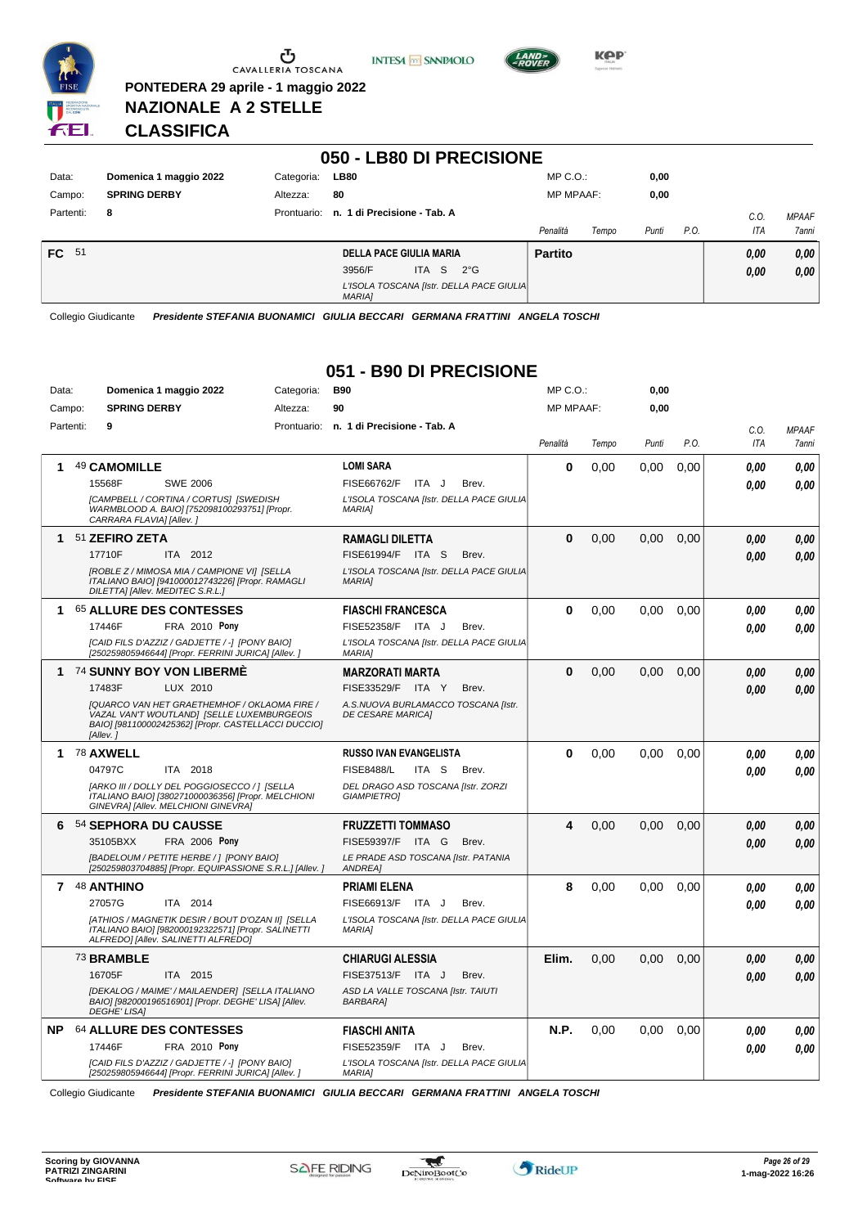

 $\mathop{\mathbf{U}}_{\mathop{\mathbf{CAVALLERIA}}}\mathop{\mathbf{Coxana}}$ 

**PONTEDERA 29 aprile - 1 maggio 2022**

**NAZIONALE A 2 STELLE**





**KPP** 

**CLASSIFICA**

| 050 - LB80 DI PRECISIONE |                        |             |                                                            |                  |       |       |      |      |              |  |
|--------------------------|------------------------|-------------|------------------------------------------------------------|------------------|-------|-------|------|------|--------------|--|
| Data:                    | Domenica 1 maggio 2022 | Categoria:  | <b>LB80</b>                                                | $MP C. O.$ :     |       | 0,00  |      |      |              |  |
| Campo:                   | <b>SPRING DERBY</b>    | Altezza:    | 80                                                         | <b>MP MPAAF:</b> |       | 0,00  |      |      |              |  |
| Partenti:                | 8                      | Prontuario: | n. 1 di Precisione - Tab. A                                |                  |       |       |      | C.0  | <b>MPAAF</b> |  |
|                          |                        |             |                                                            | Penalità         | Tempo | Punti | P.O. | ITA  | <b>7anni</b> |  |
| FC 51                    |                        |             | <b>DELLA PACE GIULIA MARIA</b>                             | <b>Partito</b>   |       |       |      | 0,00 | 0,00         |  |
|                          |                        |             | -S<br><b>ITA</b><br>3956/F<br>$2^{\circ}$ G                |                  |       |       |      | 0,00 | 0,00         |  |
|                          |                        |             | L'ISOLA TOSCANA [Istr. DELLA PACE GIULIA]<br><b>MARIAI</b> |                  |       |       |      |      |              |  |

Collegio Giudicante *Presidente STEFANIA BUONAMICI GIULIA BECCARI GERMANA FRATTINI ANGELA TOSCHI*

### **051 - B90 DI PRECISIONE**

| Data:     | Domenica 1 maggio 2022                                                                                                                                               | Categoria:  | <b>B90</b>                                                      | MP C.O.:         |       | 0,00  |      |      |              |
|-----------|----------------------------------------------------------------------------------------------------------------------------------------------------------------------|-------------|-----------------------------------------------------------------|------------------|-------|-------|------|------|--------------|
| Campo:    | <b>SPRING DERBY</b>                                                                                                                                                  | Altezza:    | 90                                                              | <b>MP MPAAF:</b> |       | 0,00  |      |      |              |
| Partenti: | 9                                                                                                                                                                    | Prontuario: | n. 1 di Precisione - Tab. A                                     |                  |       |       |      | C.O. | <b>MPAAF</b> |
|           |                                                                                                                                                                      |             |                                                                 | Penalità         | Tempo | Punti | P.O. | ITA  | 7anni        |
| 1         | 49 CAMOMILLE                                                                                                                                                         |             | <b>LOMI SARA</b>                                                | $\bf{0}$         | 0.00  | 0,00  | 0.00 | 0.00 | 0.00         |
|           | 15568F<br><b>SWE 2006</b>                                                                                                                                            |             | FISE66762/F<br>ITA J<br>Brev.                                   |                  |       |       |      | 0.00 | 0.00         |
|           | [CAMPBELL / CORTINA / CORTUS] [SWEDISH<br>WARMBLOOD A. BAIO] [752098100293751] [Propr.<br>CARRARA FLAVIA] [Allev.]                                                   |             | L'ISOLA TOSCANA [Istr. DELLA PACE GIULIA<br><b>MARIA1</b>       |                  |       |       |      |      |              |
| 1         | 51 ZEFIRO ZETA                                                                                                                                                       |             | <b>RAMAGLI DILETTA</b>                                          | $\bf{0}$         | 0,00  | 0,00  | 0,00 | 0.00 | 0,00         |
|           | 17710F<br>ITA 2012                                                                                                                                                   |             | FISE61994/F ITA S<br>Brev.                                      |                  |       |       |      | 0.00 | 0.00         |
|           | [ROBLE Z / MIMOSA MIA / CAMPIONE VI] [SELLA<br>ITALIANO BAIO] [941000012743226] [Propr. RAMAGLI<br>DILETTA] [Allev. MEDITEC S.R.L.]                                  |             | L'ISOLA TOSCANA [Istr. DELLA PACE GIULIA<br><b>MARIA1</b>       |                  |       |       |      |      |              |
| 1.        | 65 ALLURE DES CONTESSES                                                                                                                                              |             | <b>FIASCHI FRANCESCA</b>                                        | $\bf{0}$         | 0.00  | 0.00  | 0.00 | 0.00 | 0.00         |
|           | 17446F<br>FRA 2010 Pony                                                                                                                                              |             | FISE52358/F ITA J<br>Brev.                                      |                  |       |       |      | 0.00 | 0.00         |
|           | [CAID FILS D'AZZIZ / GADJETTE / -] [PONY BAIO]<br>[250259805946644] [Propr. FERRINI JURICA] [Allev. ]                                                                |             | L'ISOLA TOSCANA [Istr. DELLA PACE GIULIA<br><b>MARIAI</b>       |                  |       |       |      |      |              |
| 1         | 74 SUNNY BOY VON LIBERMÉ                                                                                                                                             |             | <b>MARZORATI MARTA</b>                                          | $\bf{0}$         | 0,00  | 0,00  | 0,00 | 0.00 | 0,00         |
|           | 17483F<br>LUX 2010                                                                                                                                                   |             | FISE33529/F ITA Y<br>Brev.                                      |                  |       |       |      | 0.00 | 0.00         |
|           | <b>IQUARCO VAN HET GRAETHEMHOF / OKLAOMA FIRE /</b><br>VAZAL VAN'T WOUTLAND] [SELLE LUXEMBURGEOIS<br>BAIO] [981100002425362] [Propr. CASTELLACCI DUCCIO]<br>[Allev.] |             | A.S.NUOVA BURLAMACCO TOSCANA [Istr.<br><b>DE CESARE MARICAI</b> |                  |       |       |      |      |              |
| 1         | <b>78 AXWELL</b>                                                                                                                                                     |             | <b>RUSSO IVAN EVANGELISTA</b>                                   | $\bf{0}$         | 0,00  | 0.00  | 0,00 | 0.00 | 0,00         |
|           | 04797C<br>ITA 2018                                                                                                                                                   |             | <b>FISE8488/L</b><br>ITA S<br>Brev.                             |                  |       |       |      | 0.00 | 0.00         |
|           | [ARKO III / DOLLY DEL POGGIOSECCO / ] [SELLA<br>ITALIANO BAIO] [380271000036356] [Propr. MELCHIONI<br>GINEVRA] [Allev. MELCHIONI GINEVRA]                            |             | DEL DRAGO ASD TOSCANA [Istr. ZORZI<br><b>GIAMPIETROI</b>        |                  |       |       |      |      |              |
| 6         | 54 SEPHORA DU CAUSSE                                                                                                                                                 |             | <b>FRUZZETTI TOMMASO</b>                                        | 4                | 0,00  | 0.00  | 0.00 | 0.00 | 0,00         |
|           | FRA 2006 Pony<br>35105BXX                                                                                                                                            |             | FISE59397/F ITA G<br>Brev.                                      |                  |       |       |      | 0.00 | 0.00         |
|           | [BADELOUM / PETITE HERBE / ] [PONY BAIO]<br>[250259803704885] [Propr. EQUIPASSIONE S.R.L.] [Allev.]                                                                  |             | LE PRADE ASD TOSCANA [Istr. PATANIA<br>ANDREA]                  |                  |       |       |      |      |              |
|           | 7 48 ANTHINO                                                                                                                                                         |             | <b>PRIAMI ELENA</b>                                             | 8                | 0,00  | 0,00  | 0,00 | 0.00 | 0,00         |
|           | 27057G<br>ITA 2014                                                                                                                                                   |             | FISE66913/F ITA J<br>Brev.                                      |                  |       |       |      | 0.00 | 0.00         |
|           | [ATHIOS / MAGNETIK DESIR / BOUT D'OZAN II] [SELLA<br>ITALIANO BAIO] [982000192322571] [Propr. SALINETTI<br>ALFREDO] [Allev. SALINETTI ALFREDO]                       |             | L'ISOLA TOSCANA [Istr. DELLA PACE GIULIA<br><b>MARIA1</b>       |                  |       |       |      |      |              |
|           | 73 BRAMBLE                                                                                                                                                           |             | <b>CHIARUGI ALESSIA</b>                                         | Elim.            | 0.00  | 0.00  | 0.00 | 0.00 | 0.00         |
|           | 16705F<br>ITA 2015                                                                                                                                                   |             | FISE37513/F ITA J<br>Brev.                                      |                  |       |       |      | 0.00 | 0.00         |
|           | [DEKALOG / MAIME' / MAILAENDER] [SELLA ITALIANO<br>BAIO] [982000196516901] [Propr. DEGHE' LISA] [Allev.<br><b>DEGHE' LISA]</b>                                       |             | ASD LA VALLE TOSCANA [Istr. TAIUTI<br><b>BARBARA1</b>           |                  |       |       |      |      |              |
| NP.       | <b>64 ALLURE DES CONTESSES</b>                                                                                                                                       |             | <b>FIASCHI ANITA</b>                                            | N.P.             | 0,00  | 0,00  | 0,00 | 0.00 | 0,00         |
|           | 17446F<br>FRA 2010 Pony                                                                                                                                              |             | FISE52359/F ITA J<br>Brev.                                      |                  |       |       |      | 0.00 | 0.00         |
|           | [CAID FILS D'AZZIZ / GADJETTE / -] [PONY BAIO]<br>[250259805946644] [Propr. FERRINI JURICA] [Allev. ]                                                                |             | L'ISOLA TOSCANA [Istr. DELLA PACE GIULIA<br>MARIA]              |                  |       |       |      |      |              |

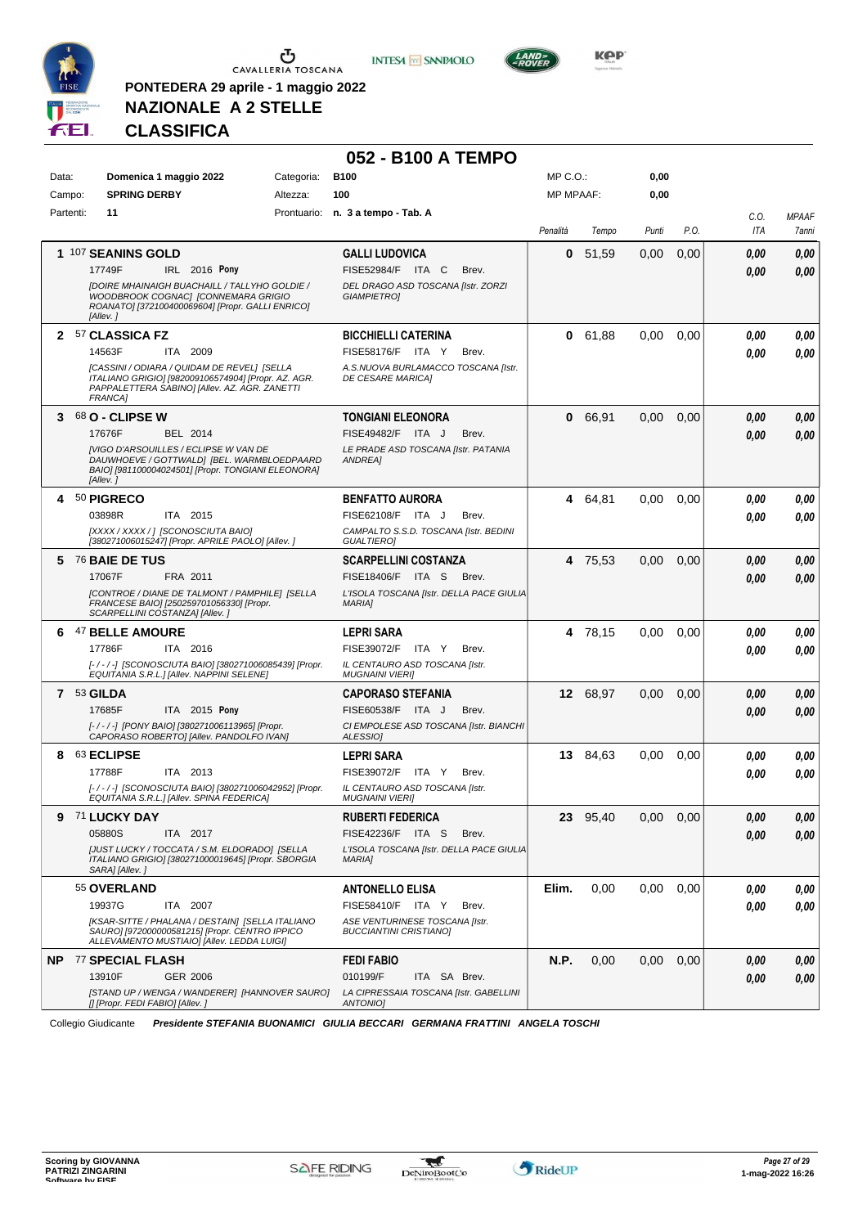



**052 - B100 A TEMPO**



**PONTEDERA 29 aprile - 1 maggio 2022 NAZIONALE A 2 STELLE**

### **CLASSIFICA**

| Data:     | Domenica 1 maggio 2022                                                                                                                                                                                          | Categoria: | <b>B100</b>                                                                                                                 | $MP C. O.$ :     |          | 0,00  |      |              |                       |
|-----------|-----------------------------------------------------------------------------------------------------------------------------------------------------------------------------------------------------------------|------------|-----------------------------------------------------------------------------------------------------------------------------|------------------|----------|-------|------|--------------|-----------------------|
| Campo:    | <b>SPRING DERBY</b>                                                                                                                                                                                             | Altezza:   | 100                                                                                                                         | <b>MP MPAAF:</b> |          | 0,00  |      |              |                       |
| Partenti: | 11                                                                                                                                                                                                              |            | Prontuario: n. 3 a tempo - Tab. A                                                                                           | Penalità         | Tempo    | Punti | P.O. | C.O.<br>ITA  | <b>MPAAF</b><br>7anni |
|           | 1 107 SEANINS GOLD<br>17749F<br>IRL 2016 Pony<br><b>[DOIRE MHAINAIGH BUACHAILL / TALLYHO GOLDIE /</b><br>WOODBROOK COGNACJ [CONNEMARA GRIGIO<br>ROANATO] [372100400069604] [Propr. GALLI ENRICO]<br>[Allev.]    |            | <b>GALLI LUDOVICA</b><br>FISE52984/F ITA C<br>Brev.<br>DEL DRAGO ASD TOSCANA [Istr. ZORZI<br><b>GIAMPIETRO]</b>             | 0                | 51,59    | 0,00  | 0,00 | 0,00<br>0.00 | 0,00<br>0.00          |
|           | 2 57 CLASSICA FZ<br>14563F<br>ITA 2009<br>[CASSINI / ODIARA / QUIDAM DE REVEL] [SELLA<br>ITALIANO GRIGIO] [982009106574904] [Propr. AZ. AGR.<br>PAPPALETTERA SABINO] [Allev. AZ. AGR. ZANETTI<br><b>FRANCA]</b> |            | <b>BICCHIELLI CATERINA</b><br>FISE58176/F ITA Y<br>Brev.<br>A.S.NUOVA BURLAMACCO TOSCANA [Istr.<br><b>DE CESARE MARICAI</b> | 0                | 61.88    | 0,00  | 0.00 | 0,00<br>0.00 | 0,00<br>0.00          |
|           | 3 68 O - CLIPSE W<br>17676F<br>BEL 2014<br>[VIGO D'ARSOUILLES / ECLIPSE W VAN DE<br>DAUWHOEVE / GOTTWALD] [BEL. WARMBLOEDPAARD<br>BAIO] [981100004024501] [Propr. TONGIANI ELEONORA]<br>[Allev.]                |            | <b>TONGIANI ELEONORA</b><br><b>FISE49482/F</b><br>ITA J<br>Brev.<br>LE PRADE ASD TOSCANA [Istr. PATANIA<br>ANDREA]          | 0                | 66,91    | 0,00  | 0,00 | 0,00<br>0.00 | 0,00<br>0,00          |
| 4         | 50 PIGRECO<br>03898R<br>ITA 2015<br>[XXXX / XXXX / ] [SCONOSCIUTA BAIO]<br>[380271006015247] [Propr. APRILE PAOLO] [Allev. ]                                                                                    |            | <b>BENFATTO AURORA</b><br>FISE62108/F ITA J<br>Brev.<br>CAMPALTO S.S.D. TOSCANA [Istr. BEDINI<br><b>GUALTIERO]</b>          | 4                | 64,81    | 0,00  | 0,00 | 0.00<br>0.00 | 0,00<br>0.00          |
|           | 5 76 BAIE DE TUS<br>17067F<br>FRA 2011<br>[CONTROE / DIANE DE TALMONT / PAMPHILE] [SELLA<br>FRANCESE BAIO] [250259701056330] [Propr.<br>SCARPELLINI COSTANZA] [Allev.]                                          |            | <b>SCARPELLINI COSTANZA</b><br>FISE18406/F ITA S<br>Brev.<br>L'ISOLA TOSCANA [Istr. DELLA PACE GIULIA<br><b>MARIAI</b>      |                  | 4 75,53  | 0,00  | 0,00 | 0,00<br>0,00 | 0,00<br>0,00          |
| 6.        | <sup>47</sup> BELLE AMOURE<br>17786F<br>ITA 2016<br>[-/-/-] [SCONOSCIUTA BAIO] [380271006085439] [Propr.<br>EQUITANIA S.R.L.] [Allev. NAPPINI SELENE]                                                           |            | <b>LEPRI SARA</b><br>FISE39072/F ITA Y<br>Brev.<br>IL CENTAURO ASD TOSCANA [Istr.<br><b>MUGNAINI VIERI</b>                  |                  | 4 78,15  | 0.00  | 0,00 | 0.00<br>0.00 | 0,00<br>0.00          |
|           | 7 53 GILDA<br>17685F<br>ITA 2015 Pony<br>[-/-/-] [PONY BAIO] [380271006113965] [Propr.<br>CAPORASO ROBERTO] [Allev. PANDOLFO IVAN]                                                                              |            | <b>CAPORASO STEFANIA</b><br>FISE60538/F ITA J<br>Brev.<br>CI EMPOLESE ASD TOSCANA [Istr. BIANCHI<br>ALESSIO]                |                  | 12 68,97 | 0,00  | 0,00 | 0.00<br>0.00 | 0,00<br>0.00          |
| 8         | 63 ECLIPSE<br>ITA 2013<br>17788F<br>[-/-/-] [SCONOSCIUTA BAIO] [380271006042952] [Propr.<br>EQUITANIA S.R.L.] [Allev. SPINA FEDERICA]                                                                           |            | <b>LEPRI SARA</b><br>FISE39072/F ITA Y<br>Brev.<br>IL CENTAURO ASD TOSCANA [Istr.<br><b>MUGNAINI VIERII</b>                 |                  | 13 84,63 | 0,00  | 0,00 | 0,00<br>0,00 | 0,00<br>0.00          |
| 9         | 71 LUCKY DAY<br>ITA 2017<br>05880S<br>[JUST LUCKY / TOCCATA / S.M. ELDORADO] [SELLA<br>ITALIANO GRIGIO] [380271000019645] [Propr. SBORGIA<br>SARA] [Allev.]                                                     |            | <b>RUBERTI FEDERICA</b><br>FISE42236/F ITA S<br>Brev.<br>L'ISOLA TOSCANA [Istr. DELLA PACE GIULIA<br><b>MARIA1</b>          |                  | 23 95.40 | 0,00  | 0.00 | 0.00<br>0,00 | 0.00<br>0,00          |
|           | 55 OVERLAND<br>ITA 2007<br>19937G<br>[KSAR-SITTE / PHALANA / DESTAIN] [SELLA ITALIANO<br>SAURO] [972000000581215] [Propr. CENTRO IPPICO<br>ALLEVAMENTO MUSTIAIO] [Allev. LEDDA LUIGI]                           |            | <b>ANTONELLO ELISA</b><br>FISE58410/F ITA Y<br>Brev.<br>ASE VENTURINESE TOSCANA [Istr.<br><b>BUCCIANTINI CRISTIANOI</b>     | Elim.            | 0,00     | 0,00  | 0,00 | 0,00<br>0,00 | 0,00<br>0,00          |
|           | <b>NP 77 SPECIAL FLASH</b><br>13910F<br>GER 2006<br>[STAND UP / WENGA / WANDERER] [HANNOVER SAURO]<br>[] [Propr. FEDI FABIO] [Allev.]                                                                           |            | <b>FEDI FABIO</b><br>010199/F<br>ITA SA Brev.<br>LA CIPRESSAIA TOSCANA [Istr. GABELLINI<br>ANTONIO]                         | N.P.             | 0,00     | 0,00  | 0,00 | 0,00<br>0,00 | 0,00<br>0,00          |

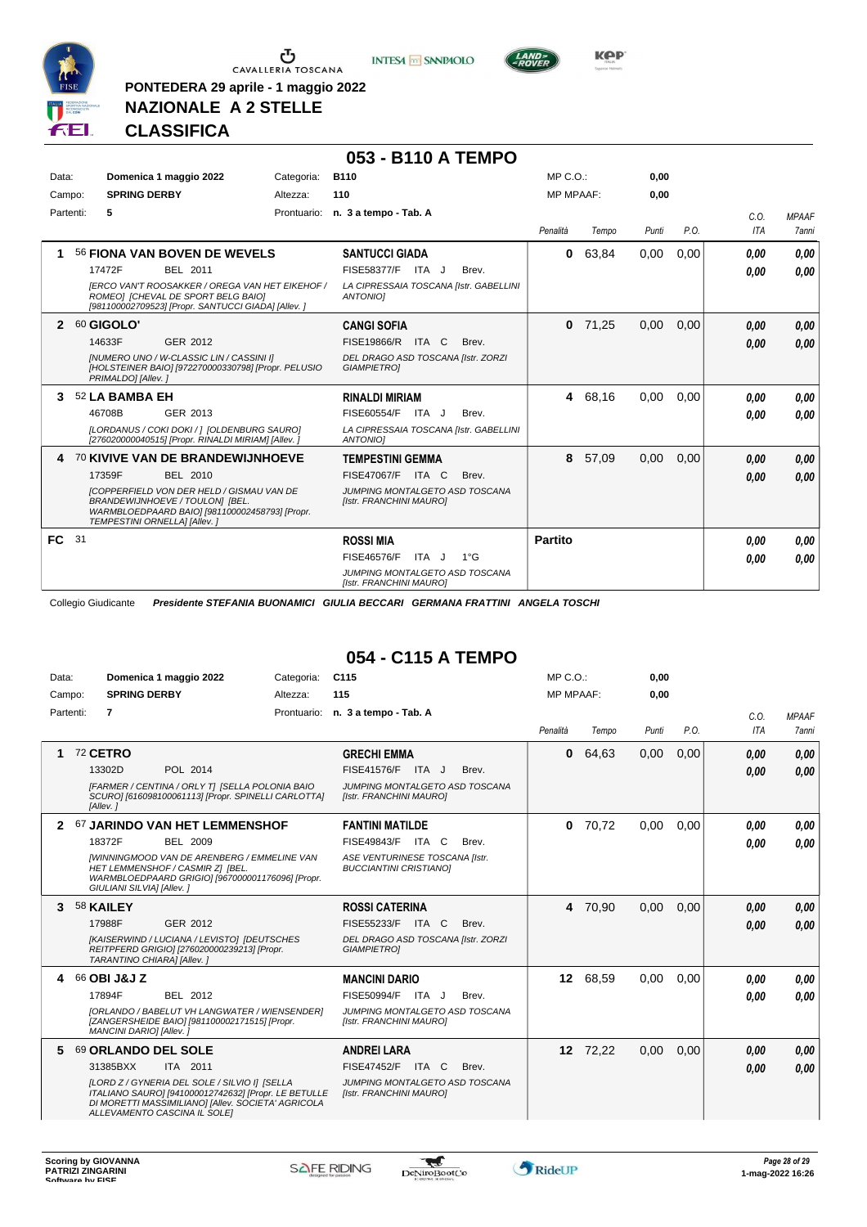

**PONTEDERA 29 aprile - 1 maggio 2022**



**053 - B110 A TEMPO**



**Kep** 

**NAZIONALE A 2 STELLE**

#### **CLASSIFICA**

| Data:        |                               | Domenica 1 maggio 2022                                                                                                                       | Categoria: | <b>B110</b>                                               |       |                                        | $MP C. O.$ :     |       | 0,00  |      |            |              |
|--------------|-------------------------------|----------------------------------------------------------------------------------------------------------------------------------------------|------------|-----------------------------------------------------------|-------|----------------------------------------|------------------|-------|-------|------|------------|--------------|
| Campo:       | <b>SPRING DERBY</b>           |                                                                                                                                              | Altezza:   | 110                                                       |       |                                        | <b>MP MPAAF:</b> |       | 0,00  |      |            |              |
| Partenti:    | 5                             |                                                                                                                                              |            | Prontuario: n. 3 a tempo - Tab. A                         |       |                                        |                  |       |       |      | C.O.       | <b>MPAAF</b> |
|              |                               |                                                                                                                                              |            |                                                           |       |                                        | Penalità         | Tempo | Punti | P.O. | <b>ITA</b> | <b>7anni</b> |
| 1            |                               | 56 FIONA VAN BOVEN DE WEVELS                                                                                                                 |            | <b>SANTUCCI GIADA</b>                                     |       |                                        | 0                | 63,84 | 0,00  | 0,00 | 0.00       | 0,00         |
|              | 17472F                        | BEL 2011                                                                                                                                     |            | <b>FISE58377/F</b>                                        | ITA J | Brev.                                  |                  |       |       |      | 0.00       | 0.00         |
|              |                               | IERCO VAN'T ROOSAKKER / OREGA VAN HET EIKEHOF /<br>ROMEO] [CHEVAL DE SPORT BELG BAIO]<br>[981100002709523] [Propr. SANTUCCI GIADA] [Allev. ] |            | ANTONIO]                                                  |       | LA CIPRESSAIA TOSCANA [Istr. GABELLINI |                  |       |       |      |            |              |
| $\mathbf{2}$ | 60 GIGOLO'                    |                                                                                                                                              |            | <b>CANGI SOFIA</b>                                        |       |                                        | $\mathbf{0}$     | 71,25 | 0,00  | 0,00 | 0.00       | 0,00         |
|              | 14633F                        | GER 2012                                                                                                                                     |            | FISE19866/R                                               | ITA C | Brev.                                  |                  |       |       |      | 0,00       | 0.00         |
|              | PRIMALDO] [Allev. ]           | [NUMERO UNO / W-CLASSIC LIN / CASSINI I]<br>[HOLSTEINER BAIO] [972270000330798] [Propr. PELUSIO                                              |            | DEL DRAGO ASD TOSCANA [Istr. ZORZI<br>GIAMPIETRO]         |       |                                        |                  |       |       |      |            |              |
| 3            | 52 LA BAMBA EH                |                                                                                                                                              |            | <b>RINALDI MIRIAM</b>                                     |       |                                        | 4                | 68.16 | 0.00  | 0.00 | 0.00       | 0.00         |
|              | 46708B                        | GER 2013                                                                                                                                     |            | FISE60554/F ITA J                                         |       | Brev.                                  |                  |       |       |      | 0.00       | 0.00         |
|              |                               | [LORDANUS / COKI DOKI / ] [OLDENBURG SAURO]<br>[276020000040515] [Propr. RINALDI MIRIAM] [Allev. ]                                           |            | <b>ANTONIOI</b>                                           |       | LA CIPRESSAIA TOSCANA [Istr. GABELLINI |                  |       |       |      |            |              |
| 4            |                               | <b>70 KIVIVE VAN DE BRANDEWIJNHOEVE</b>                                                                                                      |            | <b>TEMPESTINI GEMMA</b>                                   |       |                                        | 8                | 57,09 | 0.00  | 0.00 | 0,00       | 0,00         |
|              | 17359F                        | BEL 2010                                                                                                                                     |            | <b>FISE47067/F</b>                                        | ITA C | Brev.                                  |                  |       |       |      | 0.00       | 0.00         |
|              | TEMPESTINI ORNELLA] [Allev. ] | <b>ICOPPERFIELD VON DER HELD / GISMAU VAN DE</b><br>BRANDEWIJNHOEVE / TOULON] [BEL.<br>WARMBLOEDPAARD BAIO] [981100002458793] [Propr.        |            | JUMPING MONTALGETO ASD TOSCANA<br>[Istr. FRANCHINI MAURO] |       |                                        |                  |       |       |      |            |              |
| FC 31        |                               |                                                                                                                                              |            | <b>ROSSI MIA</b>                                          |       |                                        | <b>Partito</b>   |       |       |      | 0.00       | 0.00         |
|              |                               |                                                                                                                                              |            | FISE46576/F                                               | ITA J | $1^{\circ}G$                           |                  |       |       |      | 0.00       | 0.00         |
|              |                               |                                                                                                                                              |            | JUMPING MONTALGETO ASD TOSCANA<br>[Istr. FRANCHINI MAURO] |       |                                        |                  |       |       |      |            |              |

Collegio Giudicante *Presidente STEFANIA BUONAMICI GIULIA BECCARI GERMANA FRATTINI ANGELA TOSCHI*

### **054 - C115 A TEMPO**

| Data:  | Domenica 1 maggio 2022                                                                                                                                                                      | C <sub>115</sub><br>Categoria:                                  | MP C.O.:         |          | 0,00  |      |            |              |
|--------|---------------------------------------------------------------------------------------------------------------------------------------------------------------------------------------------|-----------------------------------------------------------------|------------------|----------|-------|------|------------|--------------|
| Campo: | <b>SPRING DERBY</b><br>Altezza:                                                                                                                                                             | 115                                                             | <b>MP MPAAF:</b> |          | 0.00  |      |            |              |
|        | Partenti:<br>$\overline{7}$                                                                                                                                                                 | Prontuario:<br>n. 3 a tempo - Tab. A                            |                  |          |       |      | C.O.       | <b>MPAAF</b> |
|        |                                                                                                                                                                                             |                                                                 | Penalità         | Tempo    | Punti | P.O. | <b>ITA</b> | <b>7anni</b> |
| 1      | <b>72 CETRO</b>                                                                                                                                                                             | <b>GRECHI EMMA</b>                                              | $\bf{0}$         | 64,63    | 0,00  | 0,00 | 0,00       | 0.00         |
|        | 13302D<br>POL 2014                                                                                                                                                                          | <b>FISE41576/F</b><br>ITA J<br>Brev.                            |                  |          |       |      | 0.00       | 0.00         |
|        | [FARMER / CENTINA / ORLY T] [SELLA POLONIA BAIO<br>SCURO] [616098100061113] [Propr. SPINELLI CARLOTTA]<br>[Allev.]                                                                          | JUMPING MONTALGETO ASD TOSCANA<br>[Istr. FRANCHINI MAURO]       |                  |          |       |      |            |              |
| 2      | 67 JARINDO VAN HET LEMMENSHOF                                                                                                                                                               | <b>FANTINI MATILDE</b>                                          | $\mathbf{0}$     | 70,72    | 0,00  | 0,00 | 0.00       | 0.00         |
|        | 18372F<br><b>BEL 2009</b>                                                                                                                                                                   | <b>FISE49843/F ITA C</b><br>Brev.                               |                  |          |       |      | 0.00       | 0.00         |
|        | <b>IWINNINGMOOD VAN DE ARENBERG / EMMELINE VAN</b><br>HET LEMMENSHOF / CASMIR ZI [BEL.<br>WARMBLOEDPAARD GRIGIO] [967000001176096] [Propr.<br>GIULIANI SILVIA] [Allev.]                     | ASE VENTURINESE TOSCANA [Istr.<br><b>BUCCIANTINI CRISTIANOI</b> |                  |          |       |      |            |              |
| 3      | 58 KAILEY                                                                                                                                                                                   | <b>ROSSI CATERINA</b>                                           |                  | 4 70,90  | 0,00  | 0.00 | 0,00       | 0,00         |
|        | GER 2012<br>17988F                                                                                                                                                                          | FISE55233/F<br>ITA C<br>Brev.                                   |                  |          |       |      | 0,00       | 0.00         |
|        | [KAISERWIND / LUCIANA / LEVISTO] [DEUTSCHES<br>REITPFERD GRIGIO] [276020000239213] [Propr.<br>TARANTINO CHIARA] [Allev.]                                                                    | DEL DRAGO ASD TOSCANA [Istr. ZORZI<br><b>GIAMPIETROI</b>        |                  |          |       |      |            |              |
|        | 66 OBI J&J Z                                                                                                                                                                                | <b>MANCINI DARIO</b>                                            |                  | 12 68,59 | 0.00  | 0,00 | 0.00       | 0.00         |
|        | 17894F<br>BEL 2012                                                                                                                                                                          | <b>FISE50994/F</b><br>ITA J<br>Brev.                            |                  |          |       |      | 0.00       | 0.00         |
|        | <b>IORLANDO / BABELUT VH LANGWATER / WIENSENDERI</b><br>[ZANGERSHEIDE BAIO] [981100002171515] [Propr.<br>MANCINI DARIO] [Allev.]                                                            | JUMPING MONTALGETO ASD TOSCANA<br>[Istr. FRANCHINI MAURO]       |                  |          |       |      |            |              |
| 5      | 69 ORLANDO DEL SOLE                                                                                                                                                                         | <b>ANDREI LARA</b>                                              |                  | 12 72,22 | 0,00  | 0,00 | 0,00       | 0.00         |
|        | 31385BXX<br>ITA 2011                                                                                                                                                                        | <b>FISE47452/F</b><br>ITA C<br>Brev.                            |                  |          |       |      | 0.00       | 0,00         |
|        | ILORD Z / GYNERIA DEL SOLE / SILVIO I] [SELLA<br>ITALIANO SAURO] [941000012742632] [Propr. LE BETULLE<br>DI MORETTI MASSIMILIANO] [Allev. SOCIETA' AGRICOLA<br>ALLEVAMENTO CASCINA IL SOLEI | JUMPING MONTALGETO ASD TOSCANA<br>[Istr. FRANCHINI MAURO]       |                  |          |       |      |            |              |